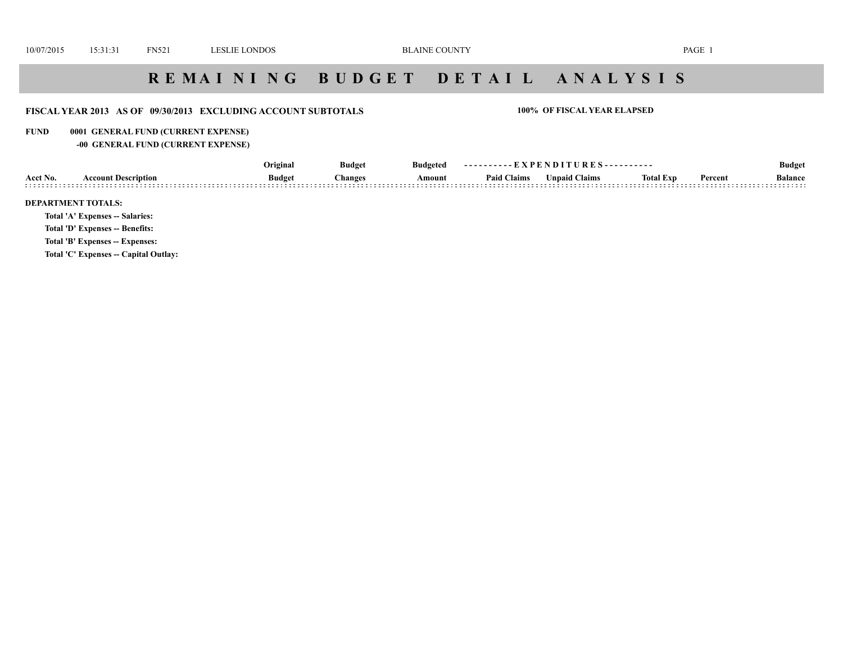# **R E M A I N I N G B U D G E T D E T A I L A N A L Y S I S**

## **FISCAL YEAR 2013 AS OF 09/30/2013 EXCLUDING ACCOUNT SUBTOTALS 100% OF FISCAL YEAR ELAPSED**

### **FUND 0001 GENERAL FUND (CURRENT EXPENSE)**

## **-00 GENERAL FUND (CURRENT EXPENSE)**

| ' Claims<br><b>Budget</b><br><b>Theory</b> Inputed Claims<br>Acct No.<br>Percent<br>Amount<br>Balance<br>Paid<br><b>hanges</b><br><b>Account Description</b><br>lotal Exp<br>. |  | Original | Budget | Budgeted |  |  |  | <b>Budge</b> |
|--------------------------------------------------------------------------------------------------------------------------------------------------------------------------------|--|----------|--------|----------|--|--|--|--------------|
|                                                                                                                                                                                |  |          |        |          |  |  |  |              |

### **DEPARTMENT TOTALS:**

**Total 'A' Expenses -- Salaries:**

**Total 'D' Expenses -- Benefits:**

**Total 'B' Expenses -- Expenses:**

**Total 'C' Expenses -- Capital Outlay:**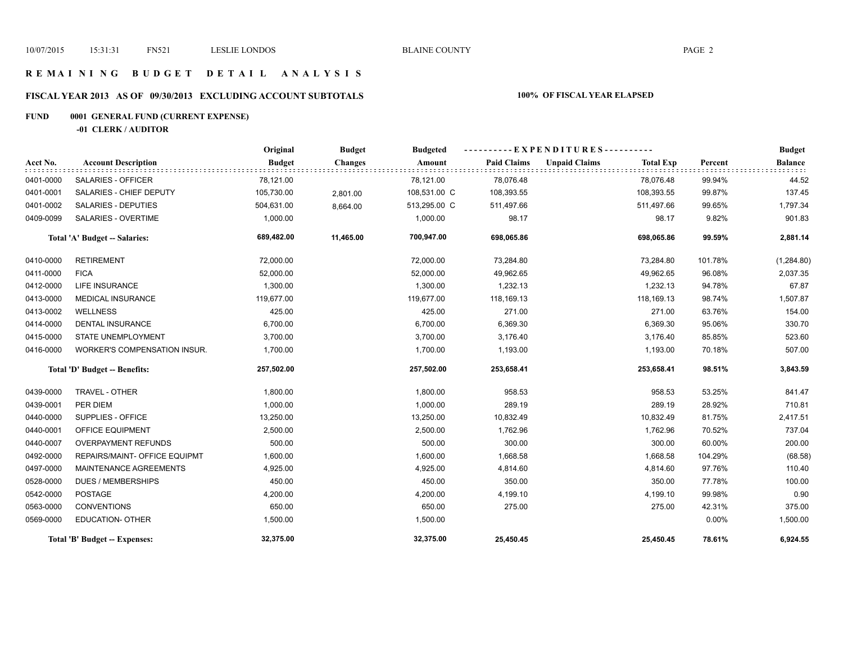## **R E M A I N I N G B U D G E T D E T A I L A N A L Y S I S**

# **FISCAL YEAR 2013 AS OF 09/30/2013 EXCLUDING ACCOUNT SUBTOTALS 100% OF FISCAL YEAR ELAPSED**

# **FUND 0001 GENERAL FUND (CURRENT EXPENSE)**

**-01 CLERK / AUDITOR**

|           |                               | Original      | <b>Budget</b>  | <b>Budgeted</b> |                    | ----------EXPENDITURES---------- |                  |         | <b>Budget</b>  |
|-----------|-------------------------------|---------------|----------------|-----------------|--------------------|----------------------------------|------------------|---------|----------------|
| Acct No.  | <b>Account Description</b>    | <b>Budget</b> | <b>Changes</b> | Amount          | <b>Paid Claims</b> | <b>Unpaid Claims</b>             | <b>Total Exp</b> | Percent | <b>Balance</b> |
| 0401-0000 | <b>SALARIES - OFFICER</b>     | 78,121.00     |                | 78,121.00       | 78,076.48          |                                  | 78,076.48        | 99.94%  | 44.52          |
| 0401-0001 | SALARIES - CHIEF DEPUTY       | 105,730.00    | 2,801.00       | 108,531.00 C    | 108,393.55         |                                  | 108,393.55       | 99.87%  | 137.45         |
| 0401-0002 | SALARIES - DEPUTIES           | 504,631.00    | 8,664.00       | 513,295.00 C    | 511,497.66         |                                  | 511,497.66       | 99.65%  | 1,797.34       |
| 0409-0099 | <b>SALARIES - OVERTIME</b>    | 1,000.00      |                | 1,000.00        | 98.17              |                                  | 98.17            | 9.82%   | 901.83         |
|           | Total 'A' Budget -- Salaries: | 689,482.00    | 11,465.00      | 700,947.00      | 698,065.86         |                                  | 698,065.86       | 99.59%  | 2,881.14       |
| 0410-0000 | <b>RETIREMENT</b>             | 72,000.00     |                | 72,000.00       | 73,284.80          |                                  | 73,284.80        | 101.78% | (1, 284.80)    |
| 0411-0000 | <b>FICA</b>                   | 52,000.00     |                | 52,000.00       | 49,962.65          |                                  | 49,962.65        | 96.08%  | 2,037.35       |
| 0412-0000 | <b>LIFE INSURANCE</b>         | 1,300.00      |                | 1,300.00        | 1,232.13           |                                  | 1,232.13         | 94.78%  | 67.87          |
| 0413-0000 | <b>MEDICAL INSURANCE</b>      | 119,677.00    |                | 119,677.00      | 118,169.13         |                                  | 118,169.13       | 98.74%  | 1,507.87       |
| 0413-0002 | <b>WELLNESS</b>               | 425.00        |                | 425.00          | 271.00             |                                  | 271.00           | 63.76%  | 154.00         |
| 0414-0000 | <b>DENTAL INSURANCE</b>       | 6,700.00      |                | 6,700.00        | 6,369.30           |                                  | 6,369.30         | 95.06%  | 330.70         |
| 0415-0000 | STATE UNEMPLOYMENT            | 3,700.00      |                | 3,700.00        | 3,176.40           |                                  | 3,176.40         | 85.85%  | 523.60         |
| 0416-0000 | WORKER'S COMPENSATION INSUR.  | 1,700.00      |                | 1,700.00        | 1,193.00           |                                  | 1,193.00         | 70.18%  | 507.00         |
|           | Total 'D' Budget -- Benefits: | 257,502.00    |                | 257,502.00      | 253,658.41         |                                  | 253,658.41       | 98.51%  | 3,843.59       |
| 0439-0000 | TRAVEL - OTHER                | 1,800.00      |                | 1,800.00        | 958.53             |                                  | 958.53           | 53.25%  | 841.47         |
| 0439-0001 | PER DIEM                      | 1,000.00      |                | 1,000.00        | 289.19             |                                  | 289.19           | 28.92%  | 710.81         |
| 0440-0000 | SUPPLIES - OFFICE             | 13,250.00     |                | 13,250.00       | 10,832.49          |                                  | 10,832.49        | 81.75%  | 2,417.51       |
| 0440-0001 | OFFICE EQUIPMENT              | 2,500.00      |                | 2,500.00        | 1,762.96           |                                  | 1,762.96         | 70.52%  | 737.04         |
| 0440-0007 | <b>OVERPAYMENT REFUNDS</b>    | 500.00        |                | 500.00          | 300.00             |                                  | 300.00           | 60.00%  | 200.00         |
| 0492-0000 | REPAIRS/MAINT- OFFICE EQUIPMT | 1,600.00      |                | 1,600.00        | 1,668.58           |                                  | 1,668.58         | 104.29% | (68.58)        |
| 0497-0000 | MAINTENANCE AGREEMENTS        | 4,925.00      |                | 4,925.00        | 4,814.60           |                                  | 4,814.60         | 97.76%  | 110.40         |
| 0528-0000 | <b>DUES / MEMBERSHIPS</b>     | 450.00        |                | 450.00          | 350.00             |                                  | 350.00           | 77.78%  | 100.00         |
| 0542-0000 | <b>POSTAGE</b>                | 4,200.00      |                | 4,200.00        | 4,199.10           |                                  | 4,199.10         | 99.98%  | 0.90           |
| 0563-0000 | <b>CONVENTIONS</b>            | 650.00        |                | 650.00          | 275.00             |                                  | 275.00           | 42.31%  | 375.00         |
| 0569-0000 | <b>EDUCATION- OTHER</b>       | 1,500.00      |                | 1,500.00        |                    |                                  |                  | 0.00%   | 1,500.00       |
|           | Total 'B' Budget -- Expenses: | 32,375.00     |                | 32,375.00       | 25,450.45          |                                  | 25,450.45        | 78.61%  | 6,924.55       |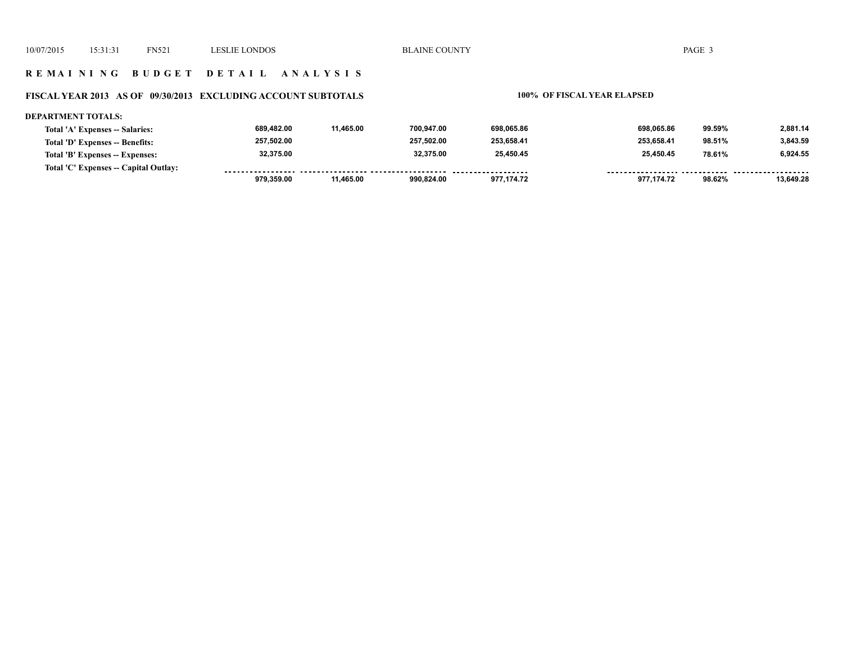### **R E M A I N I N G B U D G E T D E T A I L A N A L Y S I S**

### **FISCAL YEAR 2013 AS OF 09/30/2013 EXCLUDING ACCOUNT SUBTOTALS 100% OF FISCAL YEAR ELAPSED**

### **DEPARTMENT TOTALS: 689,482.00 11,465.00 700,947.00 698,065.86 698,065.86 99.59% 2,881.14 Total 'A' Expenses -- Salaries: 257,502.00 257,502.00 253,658.41 253,658.41 3,843.59 Total 'D' Expenses -- Benefits: 98.51% 6,924.55 32,375.00 32,375.00 25,450.45 25,450.45 78.61% Total 'B' Expenses -- Expenses: Total 'C' Expenses -- Capital Outlay:** ................. .......... ................... ......... . **. . . . . . . . . . . . . . .** . ------- -------- **979,359.00 11,465.00 990,824.00 977,174.72 977,174.72 98.62% 13,649.28**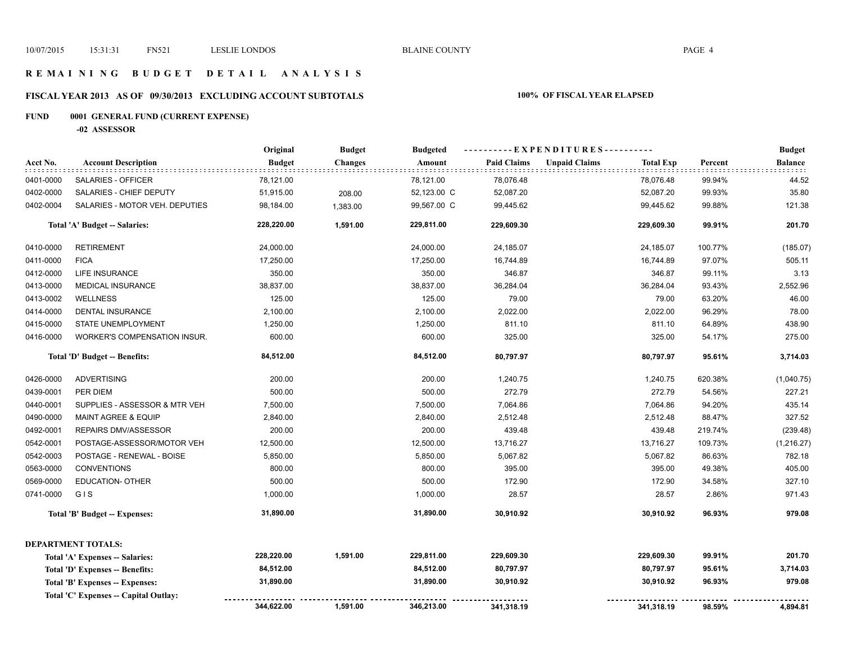## **R E M A I N I N G B U D G E T D E T A I L A N A L Y S I S**

# **FISCAL YEAR 2013 AS OF 09/30/2013 EXCLUDING ACCOUNT SUBTOTALS 100% OF FISCAL YEAR ELAPSED**

# **FUND 0001 GENERAL FUND (CURRENT EXPENSE)**

**-02 ASSESSOR**

|           |                                       | Original      | <b>Budget</b>  | <b>Budgeted</b> |                    | ----------EXPENDITURES---------- |                  |         | <b>Budget</b>  |
|-----------|---------------------------------------|---------------|----------------|-----------------|--------------------|----------------------------------|------------------|---------|----------------|
| Acct No.  | <b>Account Description</b>            | <b>Budget</b> | <b>Changes</b> | Amount          | <b>Paid Claims</b> | <b>Unpaid Claims</b>             | <b>Total Exp</b> | Percent | <b>Balance</b> |
| 0401-0000 | <b>SALARIES - OFFICER</b>             | 78,121.00     |                | 78,121.00       | 78,076.48          |                                  | 78,076.48        | 99.94%  | 44.52          |
| 0402-0000 | SALARIES - CHIEF DEPUTY               | 51,915.00     | 208.00         | 52,123.00 C     | 52,087.20          |                                  | 52,087.20        | 99.93%  | 35.80          |
| 0402-0004 | SALARIES - MOTOR VEH. DEPUTIES        | 98,184.00     | 1,383.00       | 99,567.00 C     | 99,445.62          |                                  | 99,445.62        | 99.88%  | 121.38         |
|           | Total 'A' Budget -- Salaries:         | 228,220.00    | 1,591.00       | 229,811.00      | 229,609.30         |                                  | 229,609.30       | 99.91%  | 201.70         |
| 0410-0000 | <b>RETIREMENT</b>                     | 24,000.00     |                | 24,000.00       | 24,185.07          |                                  | 24,185.07        | 100.77% | (185.07)       |
| 0411-0000 | <b>FICA</b>                           | 17,250.00     |                | 17,250.00       | 16,744.89          |                                  | 16,744.89        | 97.07%  | 505.11         |
| 0412-0000 | <b>LIFE INSURANCE</b>                 | 350.00        |                | 350.00          | 346.87             |                                  | 346.87           | 99.11%  | 3.13           |
| 0413-0000 | <b>MEDICAL INSURANCE</b>              | 38,837.00     |                | 38,837.00       | 36,284.04          |                                  | 36,284.04        | 93.43%  | 2,552.96       |
| 0413-0002 | <b>WELLNESS</b>                       | 125.00        |                | 125.00          | 79.00              |                                  | 79.00            | 63.20%  | 46.00          |
| 0414-0000 | <b>DENTAL INSURANCE</b>               | 2,100.00      |                | 2,100.00        | 2,022.00           |                                  | 2,022.00         | 96.29%  | 78.00          |
| 0415-0000 | STATE UNEMPLOYMENT                    | 1,250.00      |                | 1,250.00        | 811.10             |                                  | 811.10           | 64.89%  | 438.90         |
| 0416-0000 | WORKER'S COMPENSATION INSUR.          | 600.00        |                | 600.00          | 325.00             |                                  | 325.00           | 54.17%  | 275.00         |
|           | Total 'D' Budget -- Benefits:         | 84,512.00     |                | 84,512.00       | 80,797.97          |                                  | 80,797.97        | 95.61%  | 3,714.03       |
| 0426-0000 | <b>ADVERTISING</b>                    | 200.00        |                | 200.00          | 1,240.75           |                                  | 1,240.75         | 620.38% | (1,040.75)     |
| 0439-0001 | PER DIEM                              | 500.00        |                | 500.00          | 272.79             |                                  | 272.79           | 54.56%  | 227.21         |
| 0440-0001 | SUPPLIES - ASSESSOR & MTR VEH         | 7,500.00      |                | 7,500.00        | 7,064.86           |                                  | 7,064.86         | 94.20%  | 435.14         |
| 0490-0000 | <b>MAINT AGREE &amp; EQUIP</b>        | 2,840.00      |                | 2,840.00        | 2,512.48           |                                  | 2,512.48         | 88.47%  | 327.52         |
| 0492-0001 | REPAIRS DMV/ASSESSOR                  | 200.00        |                | 200.00          | 439.48             |                                  | 439.48           | 219.74% | (239.48)       |
| 0542-0001 | POSTAGE-ASSESSOR/MOTOR VEH            | 12,500.00     |                | 12,500.00       | 13,716.27          |                                  | 13,716.27        | 109.73% | (1,216.27)     |
| 0542-0003 | POSTAGE - RENEWAL - BOISE             | 5,850.00      |                | 5,850.00        | 5,067.82           |                                  | 5,067.82         | 86.63%  | 782.18         |
| 0563-0000 | <b>CONVENTIONS</b>                    | 800.00        |                | 800.00          | 395.00             |                                  | 395.00           | 49.38%  | 405.00         |
| 0569-0000 | <b>EDUCATION- OTHER</b>               | 500.00        |                | 500.00          | 172.90             |                                  | 172.90           | 34.58%  | 327.10         |
| 0741-0000 | GIS                                   | 1,000.00      |                | 1,000.00        | 28.57              |                                  | 28.57            | 2.86%   | 971.43         |
|           | <b>Total 'B' Budget -- Expenses:</b>  | 31,890.00     |                | 31,890.00       | 30,910.92          |                                  | 30,910.92        | 96.93%  | 979.08         |
|           | <b>DEPARTMENT TOTALS:</b>             |               |                |                 |                    |                                  |                  |         |                |
|           | Total 'A' Expenses -- Salaries:       | 228,220.00    | 1,591.00       | 229,811.00      | 229,609.30         |                                  | 229,609.30       | 99.91%  | 201.70         |
|           | Total 'D' Expenses -- Benefits:       | 84,512.00     |                | 84,512.00       | 80,797.97          |                                  | 80,797.97        | 95.61%  | 3,714.03       |
|           | Total 'B' Expenses -- Expenses:       | 31,890.00     |                | 31,890.00       | 30,910.92          |                                  | 30,910.92        | 96.93%  | 979.08         |
|           | Total 'C' Expenses -- Capital Outlay: |               |                |                 |                    |                                  |                  |         |                |
|           |                                       | 344,622.00    | 1,591.00       | 346,213.00      | 341,318.19         |                                  | 341,318.19       | 98.59%  | 4,894.81       |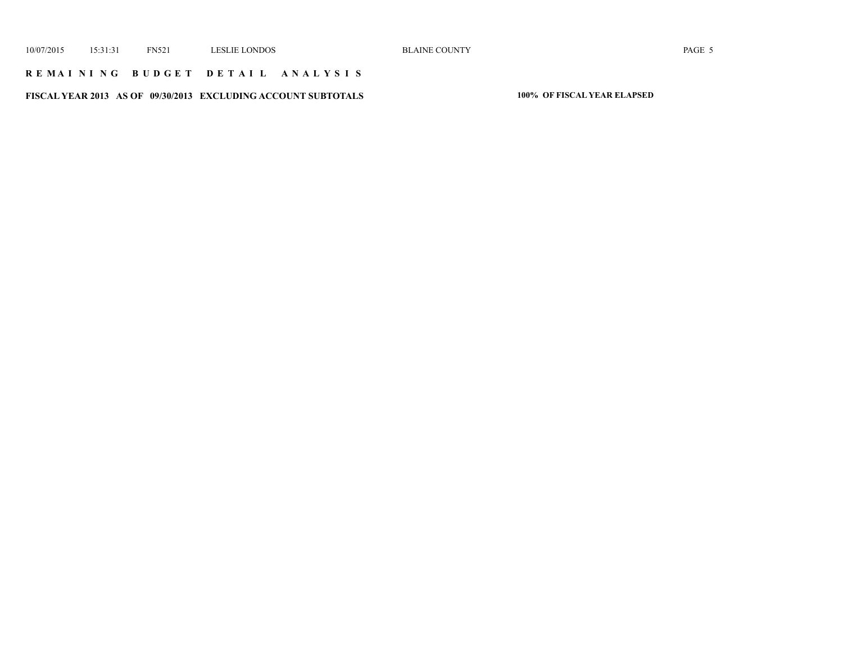## **R E M A I N I N G B U D G E T D E T A I L A N A L Y S I S**

**FISCAL YEAR 2013 AS OF 09/30/2013 EXCLUDING ACCOUNT SUBTOTALS 100% OF FISCAL YEAR ELAPSED**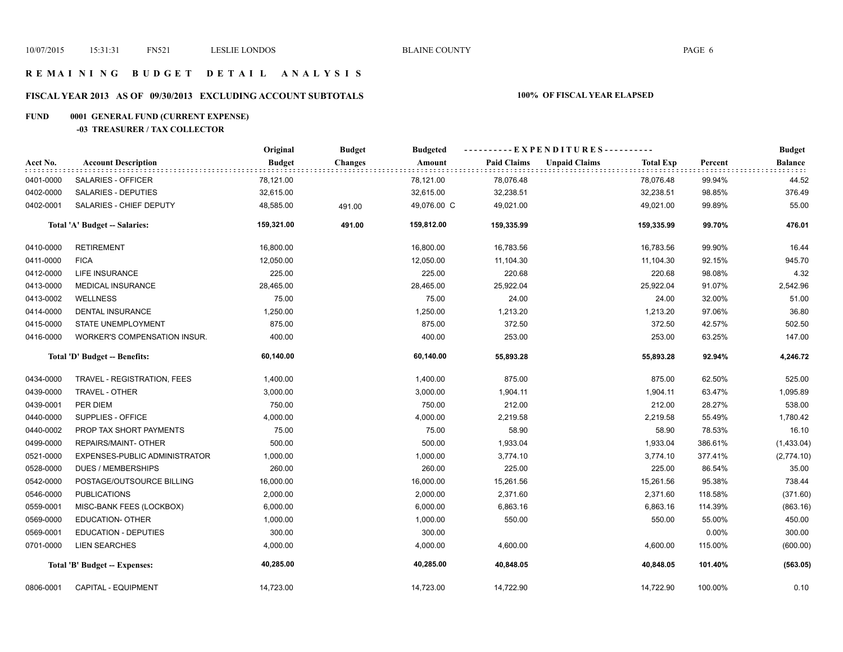## **R E M A I N I N G B U D G E T D E T A I L A N A L Y S I S**

# **FISCAL YEAR 2013 AS OF 09/30/2013 EXCLUDING ACCOUNT SUBTOTALS 100% OF FISCAL YEAR ELAPSED**

# **FUND 0001 GENERAL FUND (CURRENT EXPENSE)**

**-03 TREASURER / TAX COLLECTOR**

|           |                                     | Original      | <b>Budget</b>  | <b>Budgeted</b> |                    | ----------EXPENDITURES---------- |                  |         | <b>Budget</b> |
|-----------|-------------------------------------|---------------|----------------|-----------------|--------------------|----------------------------------|------------------|---------|---------------|
| Acct No.  | <b>Account Description</b>          | <b>Budget</b> | <b>Changes</b> | Amount          | <b>Paid Claims</b> | <b>Unpaid Claims</b>             | <b>Total Exp</b> | Percent | Balance       |
| 0401-0000 | SALARIES - OFFICER                  | 78,121.00     |                | 78,121.00       | 78,076.48          |                                  | 78,076.48        | 99.94%  | 44.52         |
| 0402-0000 | SALARIES - DEPUTIES                 | 32,615.00     |                | 32,615.00       | 32,238.51          |                                  | 32,238.51        | 98.85%  | 376.49        |
| 0402-0001 | SALARIES - CHIEF DEPUTY             | 48,585.00     | 491.00         | 49,076.00 C     | 49,021.00          |                                  | 49,021.00        | 99.89%  | 55.00         |
|           | Total 'A' Budget -- Salaries:       | 159,321.00    | 491.00         | 159,812.00      | 159,335.99         |                                  | 159,335.99       | 99.70%  | 476.01        |
| 0410-0000 | <b>RETIREMENT</b>                   | 16,800.00     |                | 16,800.00       | 16,783.56          |                                  | 16,783.56        | 99.90%  | 16.44         |
| 0411-0000 | <b>FICA</b>                         | 12,050.00     |                | 12,050.00       | 11,104.30          |                                  | 11,104.30        | 92.15%  | 945.70        |
| 0412-0000 | <b>LIFE INSURANCE</b>               | 225.00        |                | 225.00          | 220.68             |                                  | 220.68           | 98.08%  | 4.32          |
| 0413-0000 | MEDICAL INSURANCE                   | 28,465.00     |                | 28,465.00       | 25,922.04          |                                  | 25,922.04        | 91.07%  | 2,542.96      |
| 0413-0002 | <b>WELLNESS</b>                     | 75.00         |                | 75.00           | 24.00              |                                  | 24.00            | 32.00%  | 51.00         |
| 0414-0000 | DENTAL INSURANCE                    | 1,250.00      |                | 1,250.00        | 1,213.20           |                                  | 1,213.20         | 97.06%  | 36.80         |
| 0415-0000 | STATE UNEMPLOYMENT                  | 875.00        |                | 875.00          | 372.50             |                                  | 372.50           | 42.57%  | 502.50        |
| 0416-0000 | <b>WORKER'S COMPENSATION INSUR.</b> | 400.00        |                | 400.00          | 253.00             |                                  | 253.00           | 63.25%  | 147.00        |
|           | Total 'D' Budget -- Benefits:       | 60,140.00     |                | 60,140.00       | 55,893.28          |                                  | 55,893.28        | 92.94%  | 4,246.72      |
| 0434-0000 | TRAVEL - REGISTRATION, FEES         | 1,400.00      |                | 1,400.00        | 875.00             |                                  | 875.00           | 62.50%  | 525.00        |
| 0439-0000 | TRAVEL - OTHER                      | 3,000.00      |                | 3,000.00        | 1,904.11           |                                  | 1,904.11         | 63.47%  | 1,095.89      |
| 0439-0001 | PER DIEM                            | 750.00        |                | 750.00          | 212.00             |                                  | 212.00           | 28.27%  | 538.00        |
| 0440-0000 | SUPPLIES - OFFICE                   | 4,000.00      |                | 4,000.00        | 2,219.58           |                                  | 2,219.58         | 55.49%  | 1,780.42      |
| 0440-0002 | PROP TAX SHORT PAYMENTS             | 75.00         |                | 75.00           | 58.90              |                                  | 58.90            | 78.53%  | 16.10         |
| 0499-0000 | REPAIRS/MAINT- OTHER                | 500.00        |                | 500.00          | 1,933.04           |                                  | 1,933.04         | 386.61% | (1,433.04)    |
| 0521-0000 | EXPENSES-PUBLIC ADMINISTRATOR       | 1,000.00      |                | 1,000.00        | 3,774.10           |                                  | 3,774.10         | 377.41% | (2,774.10)    |
| 0528-0000 | <b>DUES / MEMBERSHIPS</b>           | 260.00        |                | 260.00          | 225.00             |                                  | 225.00           | 86.54%  | 35.00         |
| 0542-0000 | POSTAGE/OUTSOURCE BILLING           | 16,000.00     |                | 16,000.00       | 15,261.56          |                                  | 15,261.56        | 95.38%  | 738.44        |
| 0546-0000 | <b>PUBLICATIONS</b>                 | 2,000.00      |                | 2,000.00        | 2,371.60           |                                  | 2,371.60         | 118.58% | (371.60)      |
| 0559-0001 | MISC-BANK FEES (LOCKBOX)            | 6,000.00      |                | 6,000.00        | 6,863.16           |                                  | 6,863.16         | 114.39% | (863.16)      |
| 0569-0000 | <b>EDUCATION- OTHER</b>             | 1,000.00      |                | 1,000.00        | 550.00             |                                  | 550.00           | 55.00%  | 450.00        |
| 0569-0001 | <b>EDUCATION - DEPUTIES</b>         | 300.00        |                | 300.00          |                    |                                  |                  | 0.00%   | 300.00        |
| 0701-0000 | <b>LIEN SEARCHES</b>                | 4,000.00      |                | 4,000.00        | 4,600.00           |                                  | 4,600.00         | 115.00% | (600.00)      |
|           | Total 'B' Budget -- Expenses:       | 40,285.00     |                | 40,285.00       | 40,848.05          |                                  | 40,848.05        | 101.40% | (563.05)      |
| 0806-0001 | <b>CAPITAL - EQUIPMENT</b>          | 14,723.00     |                | 14,723.00       | 14,722.90          |                                  | 14,722.90        | 100.00% | 0.10          |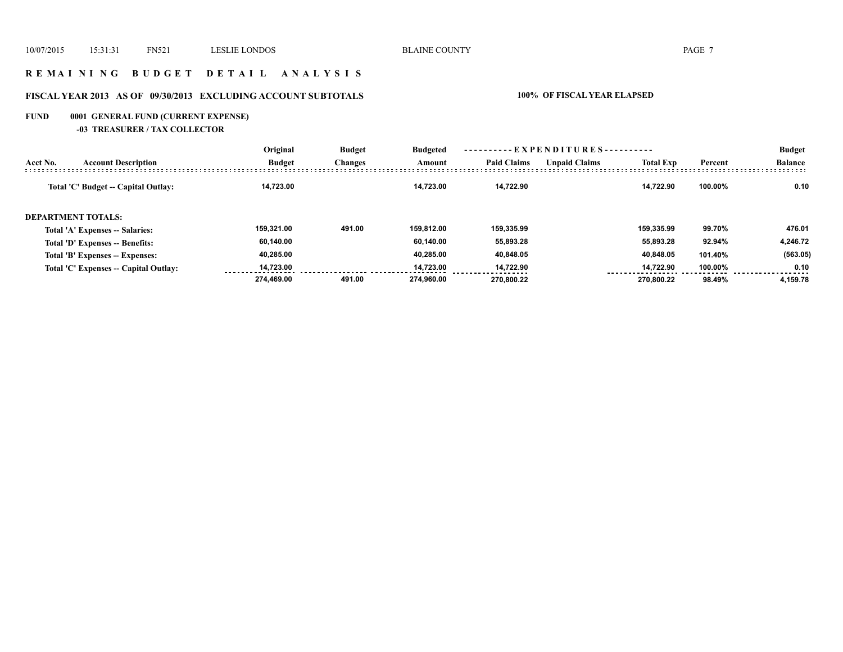## **R E M A I N I N G B U D G E T D E T A I L A N A L Y S I S**

# **FISCAL YEAR 2013 AS OF 09/30/2013 EXCLUDING ACCOUNT SUBTOTALS 100% OF FISCAL YEAR ELAPSED**

# **FUND 0001 GENERAL FUND (CURRENT EXPENSE)**

**-03 TREASURER / TAX COLLECTOR**

|          |                                       | Original      | <b>Budget</b><br><b>Changes</b> | <b>Budgeted</b><br>Amount | $-EXPENDITURES$ --------- |                      |                  |         | <b>Budget</b>  |
|----------|---------------------------------------|---------------|---------------------------------|---------------------------|---------------------------|----------------------|------------------|---------|----------------|
| Acct No. | <b>Account Description</b>            | <b>Budget</b> |                                 |                           | <b>Paid Claims</b>        | <b>Unpaid Claims</b> | <b>Total Exp</b> | Percent | <b>Balance</b> |
|          | Total 'C' Budget -- Capital Outlay:   | 14.723.00     |                                 | 14.723.00                 | 14.722.90                 |                      | 14.722.90        | 100.00% | 0.10           |
|          | <b>DEPARTMENT TOTALS:</b>             |               |                                 |                           |                           |                      |                  |         |                |
|          | Total 'A' Expenses -- Salaries:       | 159.321.00    | 491.00                          | 159.812.00                | 159.335.99                |                      | 159.335.99       | 99.70%  | 476.01         |
|          | Total 'D' Expenses -- Benefits:       | 60.140.00     |                                 | 60.140.00                 | 55,893.28                 |                      | 55,893.28        | 92.94%  | 4.246.72       |
|          | Total 'B' Expenses -- Expenses:       | 40,285.00     |                                 | 40.285.00                 | 40,848.05                 |                      | 40,848.05        | 101.40% | (563.05)       |
|          | Total 'C' Expenses -- Capital Outlay: | 14.723.00     |                                 | 14.723.00                 | 14.722.90                 |                      | 14.722.90        | 100.00% | 0.10           |
|          |                                       | 274.469.00    | 491.00                          | 274.960.00                | 270.800.22                |                      | 270.800.22       | 98.49%  | 4,159.78       |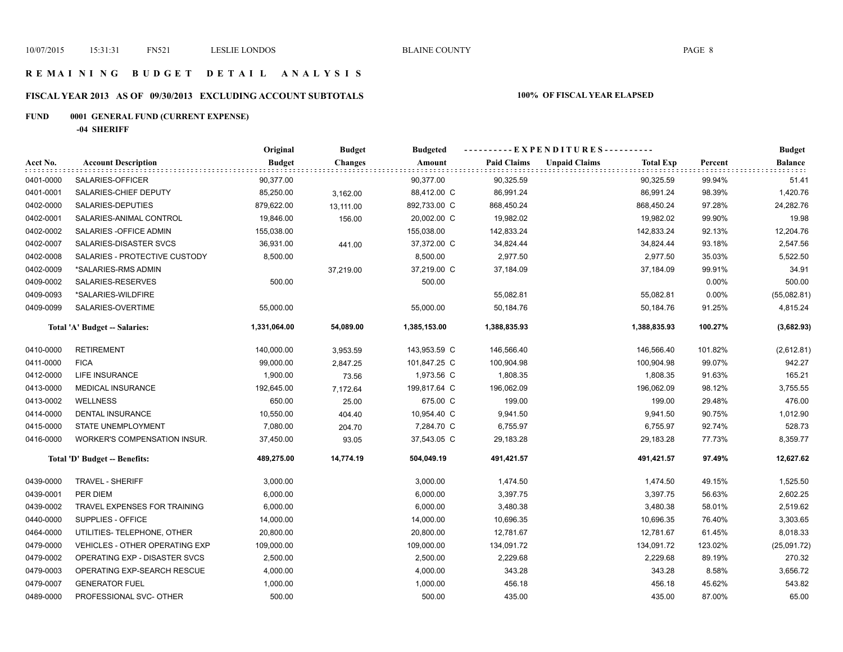## **R E M A I N I N G B U D G E T D E T A I L A N A L Y S I S**

# **FISCAL YEAR 2013 AS OF 09/30/2013 EXCLUDING ACCOUNT SUBTOTALS 100% OF FISCAL YEAR ELAPSED**

# **FUND 0001 GENERAL FUND (CURRENT EXPENSE)**

**-04 SHERIFF**

|           |                                     | Original      | <b>Budget</b>  | <b>Budgeted</b> |                    | ----------EXPENDITURES----------         |         | <b>Budget</b>  |
|-----------|-------------------------------------|---------------|----------------|-----------------|--------------------|------------------------------------------|---------|----------------|
| Acct No.  | <b>Account Description</b>          | <b>Budget</b> | <b>Changes</b> | Amount          | <b>Paid Claims</b> | <b>Unpaid Claims</b><br><b>Total Exp</b> | Percent | <b>Balance</b> |
| 0401-0000 | SALARIES-OFFICER                    | 90,377.00     |                | 90,377.00       | 90,325.59          | 90,325.59                                | 99.94%  | 51.41          |
| 0401-0001 | SALARIES-CHIEF DEPUTY               | 85,250.00     | 3,162.00       | 88,412.00 C     | 86,991.24          | 86,991.24                                | 98.39%  | 1,420.76       |
| 0402-0000 | SALARIES-DEPUTIES                   | 879,622.00    | 13,111.00      | 892,733.00 C    | 868,450.24         | 868,450.24                               | 97.28%  | 24,282.76      |
| 0402-0001 | SALARIES-ANIMAL CONTROL             | 19,846.00     | 156.00         | 20,002.00 C     | 19,982.02          | 19,982.02                                | 99.90%  | 19.98          |
| 0402-0002 | SALARIES - OFFICE ADMIN             | 155,038.00    |                | 155,038.00      | 142,833.24         | 142,833.24                               | 92.13%  | 12,204.76      |
| 0402-0007 | SALARIES-DISASTER SVCS              | 36,931.00     | 441.00         | 37,372.00 C     | 34,824.44          | 34,824.44                                | 93.18%  | 2,547.56       |
| 0402-0008 | SALARIES - PROTECTIVE CUSTODY       | 8,500.00      |                | 8,500.00        | 2,977.50           | 2,977.50                                 | 35.03%  | 5,522.50       |
| 0402-0009 | *SALARIES-RMS ADMIN                 |               | 37,219.00      | 37,219.00 C     | 37,184.09          | 37,184.09                                | 99.91%  | 34.91          |
| 0409-0002 | SALARIES-RESERVES                   | 500.00        |                | 500.00          |                    |                                          | 0.00%   | 500.00         |
| 0409-0093 | *SALARIES-WILDFIRE                  |               |                |                 | 55,082.81          | 55,082.81                                | 0.00%   | (55,082.81)    |
| 0409-0099 | SALARIES-OVERTIME                   | 55,000.00     |                | 55,000.00       | 50,184.76          | 50,184.76                                | 91.25%  | 4,815.24       |
|           | Total 'A' Budget -- Salaries:       | 1,331,064.00  | 54,089.00      | 1,385,153.00    | 1,388,835.93       | 1,388,835.93                             | 100.27% | (3,682.93)     |
| 0410-0000 | <b>RETIREMENT</b>                   | 140,000.00    | 3,953.59       | 143,953.59 C    | 146,566.40         | 146,566.40                               | 101.82% | (2,612.81)     |
| 0411-0000 | <b>FICA</b>                         | 99,000.00     | 2,847.25       | 101,847.25 C    | 100,904.98         | 100,904.98                               | 99.07%  | 942.27         |
| 0412-0000 | LIFE INSURANCE                      | 1,900.00      | 73.56          | 1,973.56 C      | 1,808.35           | 1,808.35                                 | 91.63%  | 165.21         |
| 0413-0000 | <b>MEDICAL INSURANCE</b>            | 192,645.00    | 7,172.64       | 199,817.64 C    | 196,062.09         | 196,062.09                               | 98.12%  | 3,755.55       |
| 0413-0002 | <b>WELLNESS</b>                     | 650.00        | 25.00          | 675.00 C        | 199.00             | 199.00                                   | 29.48%  | 476.00         |
| 0414-0000 | DENTAL INSURANCE                    | 10,550.00     | 404.40         | 10,954.40 C     | 9,941.50           | 9,941.50                                 | 90.75%  | 1,012.90       |
| 0415-0000 | STATE UNEMPLOYMENT                  | 7,080.00      | 204.70         | 7,284.70 C      | 6,755.97           | 6,755.97                                 | 92.74%  | 528.73         |
| 0416-0000 | <b>WORKER'S COMPENSATION INSUR.</b> | 37,450.00     | 93.05          | 37,543.05 C     | 29,183.28          | 29,183.28                                | 77.73%  | 8,359.77       |
|           | Total 'D' Budget -- Benefits:       | 489,275.00    | 14,774.19      | 504,049.19      | 491,421.57         | 491,421.57                               | 97.49%  | 12,627.62      |
| 0439-0000 | TRAVEL - SHERIFF                    | 3,000.00      |                | 3,000.00        | 1,474.50           | 1,474.50                                 | 49.15%  | 1,525.50       |
| 0439-0001 | PER DIEM                            | 6,000.00      |                | 6,000.00        | 3,397.75           | 3,397.75                                 | 56.63%  | 2,602.25       |
| 0439-0002 | TRAVEL EXPENSES FOR TRAINING        | 6,000.00      |                | 6,000.00        | 3,480.38           | 3,480.38                                 | 58.01%  | 2,519.62       |
| 0440-0000 | SUPPLIES - OFFICE                   | 14,000.00     |                | 14,000.00       | 10,696.35          | 10,696.35                                | 76.40%  | 3,303.65       |
| 0464-0000 | UTILITIES- TELEPHONE, OTHER         | 20,800.00     |                | 20,800.00       | 12,781.67          | 12,781.67                                | 61.45%  | 8,018.33       |
| 0479-0000 | VEHICLES - OTHER OPERATING EXP      | 109,000.00    |                | 109,000.00      | 134,091.72         | 134,091.72                               | 123.02% | (25,091.72)    |
| 0479-0002 | OPERATING EXP - DISASTER SVCS       | 2,500.00      |                | 2,500.00        | 2,229.68           | 2,229.68                                 | 89.19%  | 270.32         |
| 0479-0003 | OPERATING EXP-SEARCH RESCUE         | 4,000.00      |                | 4,000.00        | 343.28             | 343.28                                   | 8.58%   | 3,656.72       |
| 0479-0007 | <b>GENERATOR FUEL</b>               | 1,000.00      |                | 1,000.00        | 456.18             | 456.18                                   | 45.62%  | 543.82         |
| 0489-0000 | PROFESSIONAL SVC- OTHER             | 500.00        |                | 500.00          | 435.00             | 435.00                                   | 87.00%  | 65.00          |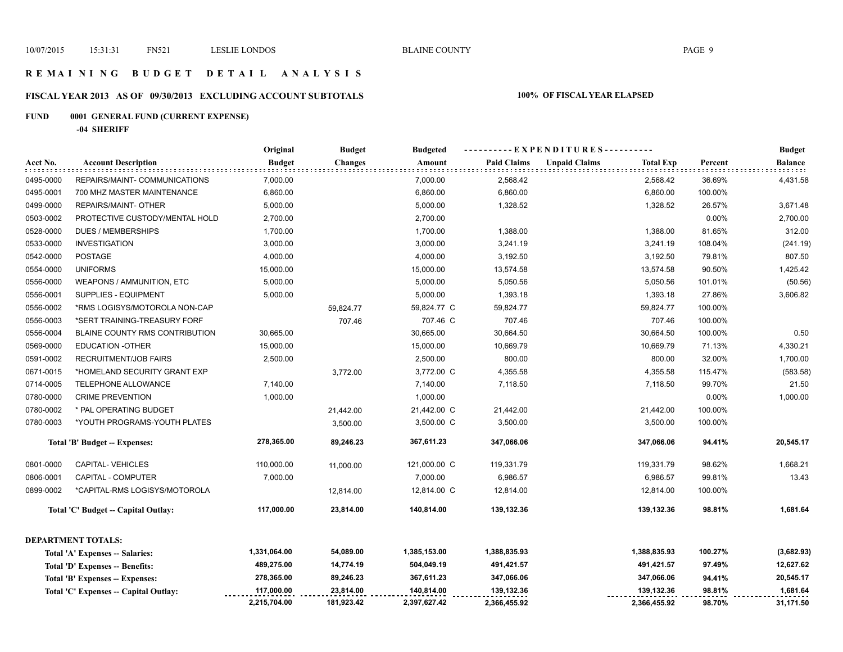## **R E M A I N I N G B U D G E T D E T A I L A N A L Y S I S**

# **FISCAL YEAR 2013 AS OF 09/30/2013 EXCLUDING ACCOUNT SUBTOTALS 100% OF FISCAL YEAR ELAPSED**

# **FUND 0001 GENERAL FUND (CURRENT EXPENSE)**

**-04 SHERIFF**

|           |                                       | Original      | <b>Budget</b>  | <b>Budgeted</b> |                    | ----------EXPENDITURES---------- |                  |         | <b>Budget</b>  |
|-----------|---------------------------------------|---------------|----------------|-----------------|--------------------|----------------------------------|------------------|---------|----------------|
| Acct No.  | <b>Account Description</b>            | <b>Budget</b> | <b>Changes</b> | Amount          | <b>Paid Claims</b> | <b>Unpaid Claims</b>             | <b>Total Exp</b> | Percent | <b>Balance</b> |
| 0495-0000 | REPAIRS/MAINT- COMMUNICATIONS         | 7,000.00      |                | 7,000.00        | 2,568.42           |                                  | 2,568.42         | 36.69%  | 4,431.58       |
| 0495-0001 | 700 MHZ MASTER MAINTENANCE            | 6,860.00      |                | 6,860.00        | 6,860.00           |                                  | 6,860.00         | 100.00% |                |
| 0499-0000 | REPAIRS/MAINT- OTHER                  | 5,000.00      |                | 5,000.00        | 1,328.52           |                                  | 1,328.52         | 26.57%  | 3,671.48       |
| 0503-0002 | PROTECTIVE CUSTODY/MENTAL HOLD        | 2,700.00      |                | 2,700.00        |                    |                                  |                  | 0.00%   | 2,700.00       |
| 0528-0000 | <b>DUES / MEMBERSHIPS</b>             | 1,700.00      |                | 1,700.00        | 1,388.00           |                                  | 1,388.00         | 81.65%  | 312.00         |
| 0533-0000 | <b>INVESTIGATION</b>                  | 3,000.00      |                | 3,000.00        | 3,241.19           |                                  | 3,241.19         | 108.04% | (241.19)       |
| 0542-0000 | <b>POSTAGE</b>                        | 4,000.00      |                | 4,000.00        | 3,192.50           |                                  | 3,192.50         | 79.81%  | 807.50         |
| 0554-0000 | <b>UNIFORMS</b>                       | 15,000.00     |                | 15,000.00       | 13,574.58          |                                  | 13,574.58        | 90.50%  | 1,425.42       |
| 0556-0000 | WEAPONS / AMMUNITION, ETC             | 5,000.00      |                | 5,000.00        | 5,050.56           |                                  | 5,050.56         | 101.01% | (50.56)        |
| 0556-0001 | SUPPLIES - EQUIPMENT                  | 5,000.00      |                | 5,000.00        | 1,393.18           |                                  | 1,393.18         | 27.86%  | 3,606.82       |
| 0556-0002 | *RMS LOGISYS/MOTOROLA NON-CAP         |               | 59,824.77      | 59,824.77 C     | 59,824.77          |                                  | 59,824.77        | 100.00% |                |
| 0556-0003 | *SERT TRAINING-TREASURY FORF          |               | 707.46         | 707.46 C        | 707.46             |                                  | 707.46           | 100.00% |                |
| 0556-0004 | BLAINE COUNTY RMS CONTRIBUTION        | 30,665.00     |                | 30,665.00       | 30,664.50          |                                  | 30,664.50        | 100.00% | 0.50           |
| 0569-0000 | <b>EDUCATION -OTHER</b>               | 15,000.00     |                | 15,000.00       | 10,669.79          |                                  | 10,669.79        | 71.13%  | 4,330.21       |
| 0591-0002 | <b>RECRUITMENT/JOB FAIRS</b>          | 2,500.00      |                | 2,500.00        | 800.00             |                                  | 800.00           | 32.00%  | 1,700.00       |
| 0671-0015 | *HOMELAND SECURITY GRANT EXP          |               | 3,772.00       | 3,772.00 C      | 4,355.58           |                                  | 4,355.58         | 115.47% | (583.58)       |
| 0714-0005 | TELEPHONE ALLOWANCE                   | 7,140.00      |                | 7,140.00        | 7,118.50           |                                  | 7,118.50         | 99.70%  | 21.50          |
| 0780-0000 | <b>CRIME PREVENTION</b>               | 1,000.00      |                | 1,000.00        |                    |                                  |                  | 0.00%   | 1,000.00       |
| 0780-0002 | * PAL OPERATING BUDGET                |               | 21,442.00      | 21,442.00 C     | 21,442.00          |                                  | 21,442.00        | 100.00% |                |
| 0780-0003 | *YOUTH PROGRAMS-YOUTH PLATES          |               | 3,500.00       | 3,500.00 C      | 3,500.00           |                                  | 3,500.00         | 100.00% |                |
|           | Total 'B' Budget -- Expenses:         | 278,365.00    | 89,246.23      | 367,611.23      | 347,066.06         |                                  | 347,066.06       | 94.41%  | 20,545.17      |
| 0801-0000 | CAPITAL-VEHICLES                      | 110,000.00    | 11,000.00      | 121,000.00 C    | 119,331.79         |                                  | 119,331.79       | 98.62%  | 1,668.21       |
| 0806-0001 | CAPITAL - COMPUTER                    | 7,000.00      |                | 7,000.00        | 6,986.57           |                                  | 6,986.57         | 99.81%  | 13.43          |
| 0899-0002 | *CAPITAL-RMS LOGISYS/MOTOROLA         |               | 12,814.00      | 12,814.00 C     | 12,814.00          |                                  | 12,814.00        | 100.00% |                |
|           | Total 'C' Budget -- Capital Outlay:   | 117,000.00    | 23,814.00      | 140,814.00      | 139,132.36         |                                  | 139,132.36       | 98.81%  | 1,681.64       |
|           | <b>DEPARTMENT TOTALS:</b>             |               |                |                 |                    |                                  |                  |         |                |
|           | Total 'A' Expenses -- Salaries:       | 1,331,064.00  | 54,089.00      | 1,385,153.00    | 1,388,835.93       |                                  | 1,388,835.93     | 100.27% | (3,682.93)     |
|           | Total 'D' Expenses -- Benefits:       | 489,275.00    | 14,774.19      | 504,049.19      | 491,421.57         |                                  | 491,421.57       | 97.49%  | 12,627.62      |
|           | Total 'B' Expenses -- Expenses:       | 278,365.00    | 89,246.23      | 367,611.23      | 347,066.06         |                                  | 347,066.06       | 94.41%  | 20,545.17      |
|           | Total 'C' Expenses -- Capital Outlay: | 117,000.00    | 23,814.00      | 140,814.00      | 139,132.36         |                                  | 139,132.36       | 98.81%  | 1,681.64       |
|           |                                       | 2,215,704.00  | 181,923.42     | 2,397,627.42    | 2,366,455.92       |                                  | 2,366,455.92     | 98.70%  | 31,171.50      |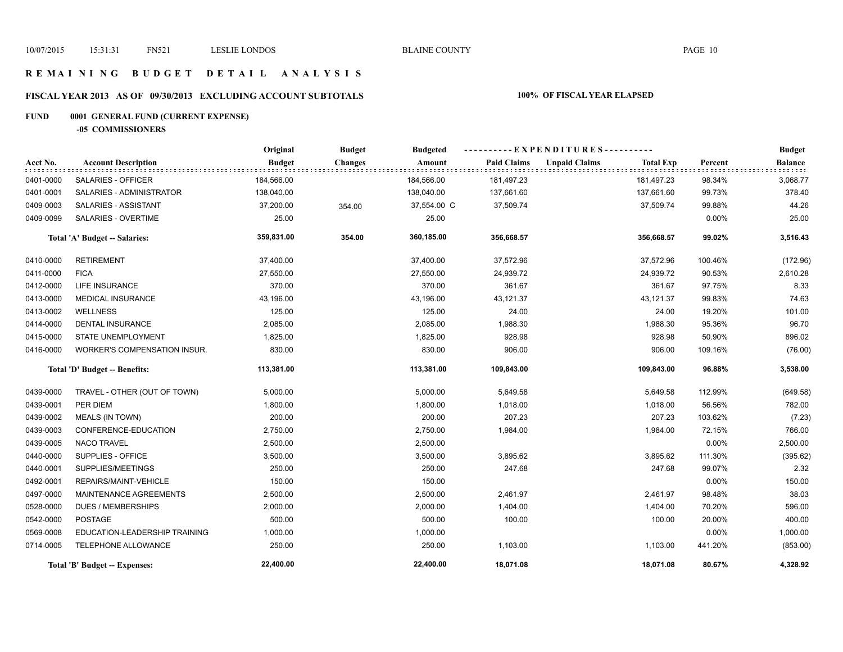# **R E M A I N I N G B U D G E T D E T A I L A N A L Y S I S**

# **FISCAL YEAR 2013 AS OF 09/30/2013 EXCLUDING ACCOUNT SUBTOTALS 100% OF FISCAL YEAR ELAPSED**

# **FUND 0001 GENERAL FUND (CURRENT EXPENSE)**

**-05 COMMISSIONERS**

|           |                                     | Original      | <b>Budget</b>  | <b>Budgeted</b> |                    | ----------EXPENDITURES---------- |                  |          | <b>Budget</b>  |
|-----------|-------------------------------------|---------------|----------------|-----------------|--------------------|----------------------------------|------------------|----------|----------------|
| Acct No.  | <b>Account Description</b>          | <b>Budget</b> | <b>Changes</b> | Amount          | <b>Paid Claims</b> | <b>Unpaid Claims</b>             | <b>Total Exp</b> | Percent  | <b>Balance</b> |
| 0401-0000 | SALARIES - OFFICER                  | 184,566.00    |                | 184,566.00      | 181,497.23         |                                  | 181,497.23       | 98.34%   | 3,068.77       |
| 0401-0001 | SALARIES - ADMINISTRATOR            | 138,040.00    |                | 138,040.00      | 137,661.60         |                                  | 137,661.60       | 99.73%   | 378.40         |
| 0409-0003 | SALARIES - ASSISTANT                | 37,200.00     | 354.00         | 37,554.00 C     | 37,509.74          |                                  | 37,509.74        | 99.88%   | 44.26          |
| 0409-0099 | SALARIES - OVERTIME                 | 25.00         |                | 25.00           |                    |                                  |                  | $0.00\%$ | 25.00          |
|           | Total 'A' Budget -- Salaries:       | 359,831.00    | 354.00         | 360,185.00      | 356,668.57         |                                  | 356,668.57       | 99.02%   | 3,516.43       |
| 0410-0000 | <b>RETIREMENT</b>                   | 37,400.00     |                | 37,400.00       | 37,572.96          |                                  | 37,572.96        | 100.46%  | (172.96)       |
| 0411-0000 | <b>FICA</b>                         | 27,550.00     |                | 27,550.00       | 24,939.72          |                                  | 24,939.72        | 90.53%   | 2,610.28       |
| 0412-0000 | LIFE INSURANCE                      | 370.00        |                | 370.00          | 361.67             |                                  | 361.67           | 97.75%   | 8.33           |
| 0413-0000 | <b>MEDICAL INSURANCE</b>            | 43,196.00     |                | 43,196.00       | 43,121.37          |                                  | 43,121.37        | 99.83%   | 74.63          |
| 0413-0002 | <b>WELLNESS</b>                     | 125.00        |                | 125.00          | 24.00              |                                  | 24.00            | 19.20%   | 101.00         |
| 0414-0000 | <b>DENTAL INSURANCE</b>             | 2,085.00      |                | 2,085.00        | 1,988.30           |                                  | 1,988.30         | 95.36%   | 96.70          |
| 0415-0000 | <b>STATE UNEMPLOYMENT</b>           | 1,825.00      |                | 1,825.00        | 928.98             |                                  | 928.98           | 50.90%   | 896.02         |
| 0416-0000 | <b>WORKER'S COMPENSATION INSUR.</b> | 830.00        |                | 830.00          | 906.00             |                                  | 906.00           | 109.16%  | (76.00)        |
|           | Total 'D' Budget -- Benefits:       | 113,381.00    |                | 113,381.00      | 109,843.00         |                                  | 109,843.00       | 96.88%   | 3,538.00       |
| 0439-0000 | TRAVEL - OTHER (OUT OF TOWN)        | 5,000.00      |                | 5,000.00        | 5,649.58           |                                  | 5,649.58         | 112.99%  | (649.58)       |
| 0439-0001 | PER DIEM                            | 1,800.00      |                | 1,800.00        | 1,018.00           |                                  | 1,018.00         | 56.56%   | 782.00         |
| 0439-0002 | <b>MEALS (IN TOWN)</b>              | 200.00        |                | 200.00          | 207.23             |                                  | 207.23           | 103.62%  | (7.23)         |
| 0439-0003 | CONFERENCE-EDUCATION                | 2,750.00      |                | 2,750.00        | 1,984.00           |                                  | 1,984.00         | 72.15%   | 766.00         |
| 0439-0005 | <b>NACO TRAVEL</b>                  | 2,500.00      |                | 2,500.00        |                    |                                  |                  | 0.00%    | 2,500.00       |
| 0440-0000 | SUPPLIES - OFFICE                   | 3,500.00      |                | 3,500.00        | 3,895.62           |                                  | 3,895.62         | 111.30%  | (395.62)       |
| 0440-0001 | SUPPLIES/MEETINGS                   | 250.00        |                | 250.00          | 247.68             |                                  | 247.68           | 99.07%   | 2.32           |
| 0492-0001 | REPAIRS/MAINT-VEHICLE               | 150.00        |                | 150.00          |                    |                                  |                  | 0.00%    | 150.00         |
| 0497-0000 | MAINTENANCE AGREEMENTS              | 2,500.00      |                | 2,500.00        | 2,461.97           |                                  | 2,461.97         | 98.48%   | 38.03          |
| 0528-0000 | <b>DUES / MEMBERSHIPS</b>           | 2,000.00      |                | 2,000.00        | 1,404.00           |                                  | 1,404.00         | 70.20%   | 596.00         |
| 0542-0000 | <b>POSTAGE</b>                      | 500.00        |                | 500.00          | 100.00             |                                  | 100.00           | 20.00%   | 400.00         |
| 0569-0008 | EDUCATION-LEADERSHIP TRAINING       | 1,000.00      |                | 1,000.00        |                    |                                  |                  | 0.00%    | 1,000.00       |
| 0714-0005 | TELEPHONE ALLOWANCE                 | 250.00        |                | 250.00          | 1,103.00           |                                  | 1,103.00         | 441.20%  | (853.00)       |
|           | Total 'B' Budget -- Expenses:       | 22,400.00     |                | 22,400.00       | 18,071.08          |                                  | 18,071.08        | 80.67%   | 4,328.92       |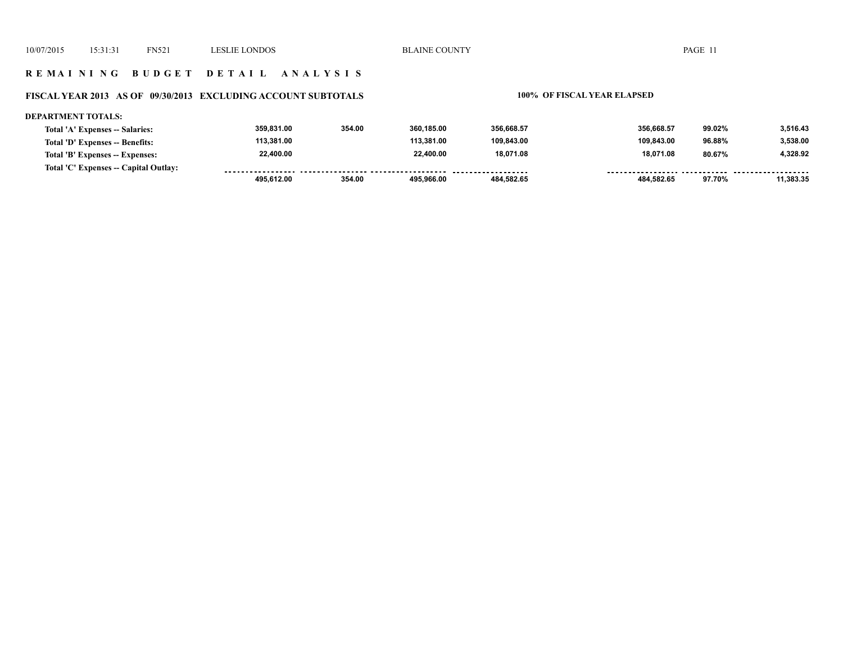### **R E M A I N I N G B U D G E T D E T A I L A N A L Y S I S**

### **FISCAL YEAR 2013 AS OF 09/30/2013 EXCLUDING ACCOUNT SUBTOTALS 100% OF FISCAL YEAR ELAPSED**

### **DEPARTMENT TOTALS: 359,831.00 354.00 360,185.00 356,668.57 356,668.57 99.02% 3,516.43 Total 'A' Expenses -- Salaries: 113,381.00 113,381.00 109,843.00 109,843.00 96.88% 3,538.00 Total 'D' Expenses -- Benefits: 22,400.00 22,400.00 18,071.08 18,071.08 80.67% 4,328.92 Total 'B' Expenses -- Expenses: Total 'C' Expenses -- Capital Outlay:** ................. .......... ................... . . . . . . . . . ........ ...... <u>....... .........</u>  **495,612.00 354.00 495,966.00 484,582.65 484,582.65 97.70% 11,383.35**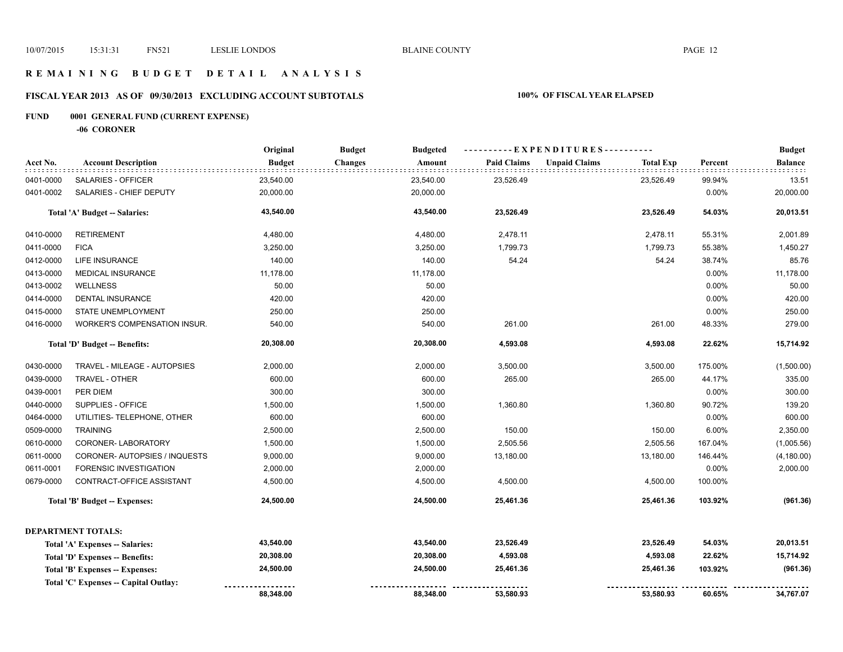## **R E M A I N I N G B U D G E T D E T A I L A N A L Y S I S**

# **FISCAL YEAR 2013 AS OF 09/30/2013 EXCLUDING ACCOUNT SUBTOTALS 100% OF FISCAL YEAR ELAPSED**

# **FUND 0001 GENERAL FUND (CURRENT EXPENSE)**

**-06 CORONER**

|           |                                       | Original      | <b>Budget</b><br><b>Budgeted</b> |                    | ---------- EXPENDITURES----------        |         | <b>Budget</b>  |
|-----------|---------------------------------------|---------------|----------------------------------|--------------------|------------------------------------------|---------|----------------|
| Acct No.  | <b>Account Description</b>            | <b>Budget</b> | <b>Changes</b><br>Amount         | <b>Paid Claims</b> | <b>Unpaid Claims</b><br><b>Total Exp</b> | Percent | <b>Balance</b> |
| 0401-0000 | SALARIES - OFFICER                    | 23,540.00     | 23,540.00                        | 23,526.49          | 23,526.49                                | 99.94%  | 13.51          |
| 0401-0002 | SALARIES - CHIEF DEPUTY               | 20,000.00     | 20,000.00                        |                    |                                          | 0.00%   | 20,000.00      |
|           | Total 'A' Budget -- Salaries:         | 43,540.00     | 43,540.00                        | 23,526.49          | 23,526.49                                | 54.03%  | 20,013.51      |
| 0410-0000 | <b>RETIREMENT</b>                     | 4,480.00      | 4,480.00                         | 2,478.11           | 2,478.11                                 | 55.31%  | 2,001.89       |
| 0411-0000 | <b>FICA</b>                           | 3,250.00      | 3,250.00                         | 1,799.73           | 1,799.73                                 | 55.38%  | 1,450.27       |
| 0412-0000 | LIFE INSURANCE                        | 140.00        | 140.00                           | 54.24              | 54.24                                    | 38.74%  | 85.76          |
| 0413-0000 | <b>MEDICAL INSURANCE</b>              | 11,178.00     | 11,178.00                        |                    |                                          | 0.00%   | 11,178.00      |
| 0413-0002 | <b>WELLNESS</b>                       | 50.00         | 50.00                            |                    |                                          | 0.00%   | 50.00          |
| 0414-0000 | <b>DENTAL INSURANCE</b>               | 420.00        | 420.00                           |                    |                                          | 0.00%   | 420.00         |
| 0415-0000 | STATE UNEMPLOYMENT                    | 250.00        | 250.00                           |                    |                                          | 0.00%   | 250.00         |
| 0416-0000 | WORKER'S COMPENSATION INSUR.          | 540.00        | 540.00                           | 261.00             | 261.00                                   | 48.33%  | 279.00         |
|           | Total 'D' Budget -- Benefits:         | 20,308.00     | 20,308.00                        | 4,593.08           | 4,593.08                                 | 22.62%  | 15,714.92      |
| 0430-0000 | TRAVEL - MILEAGE - AUTOPSIES          | 2,000.00      | 2,000.00                         | 3,500.00           | 3,500.00                                 | 175.00% | (1,500.00)     |
| 0439-0000 | TRAVEL - OTHER                        | 600.00        | 600.00                           | 265.00             | 265.00                                   | 44.17%  | 335.00         |
| 0439-0001 | PER DIEM                              | 300.00        | 300.00                           |                    |                                          | 0.00%   | 300.00         |
| 0440-0000 | SUPPLIES - OFFICE                     | 1,500.00      | 1,500.00                         | 1,360.80           | 1,360.80                                 | 90.72%  | 139.20         |
| 0464-0000 | UTILITIES- TELEPHONE, OTHER           | 600.00        | 600.00                           |                    |                                          | 0.00%   | 600.00         |
| 0509-0000 | <b>TRAINING</b>                       | 2,500.00      | 2,500.00                         | 150.00             | 150.00                                   | 6.00%   | 2,350.00       |
| 0610-0000 | CORONER-LABORATORY                    | 1,500.00      | 1,500.00                         | 2,505.56           | 2,505.56                                 | 167.04% | (1,005.56)     |
| 0611-0000 | CORONER- AUTOPSIES / INQUESTS         | 9,000.00      | 9,000.00                         | 13,180.00          | 13,180.00                                | 146.44% | (4, 180.00)    |
| 0611-0001 | FORENSIC INVESTIGATION                | 2,000.00      | 2,000.00                         |                    |                                          | 0.00%   | 2,000.00       |
| 0679-0000 | CONTRACT-OFFICE ASSISTANT             | 4,500.00      | 4,500.00                         | 4,500.00           | 4,500.00                                 | 100.00% |                |
|           | Total 'B' Budget -- Expenses:         | 24,500.00     | 24,500.00                        | 25,461.36          | 25,461.36                                | 103.92% | (961.36)       |
|           | <b>DEPARTMENT TOTALS:</b>             |               |                                  |                    |                                          |         |                |
|           | Total 'A' Expenses -- Salaries:       | 43,540.00     | 43,540.00                        | 23,526.49          | 23,526.49                                | 54.03%  | 20,013.51      |
|           | Total 'D' Expenses -- Benefits:       | 20,308.00     | 20,308.00                        | 4,593.08           | 4,593.08                                 | 22.62%  | 15,714.92      |
|           | Total 'B' Expenses -- Expenses:       | 24,500.00     | 24,500.00                        | 25,461.36          | 25,461.36                                | 103.92% | (961.36)       |
|           | Total 'C' Expenses -- Capital Outlay: |               |                                  |                    |                                          |         |                |
|           |                                       | 88,348.00     | 88,348.00                        | 53,580.93          | 53,580.93                                | 60.65%  | 34,767.07      |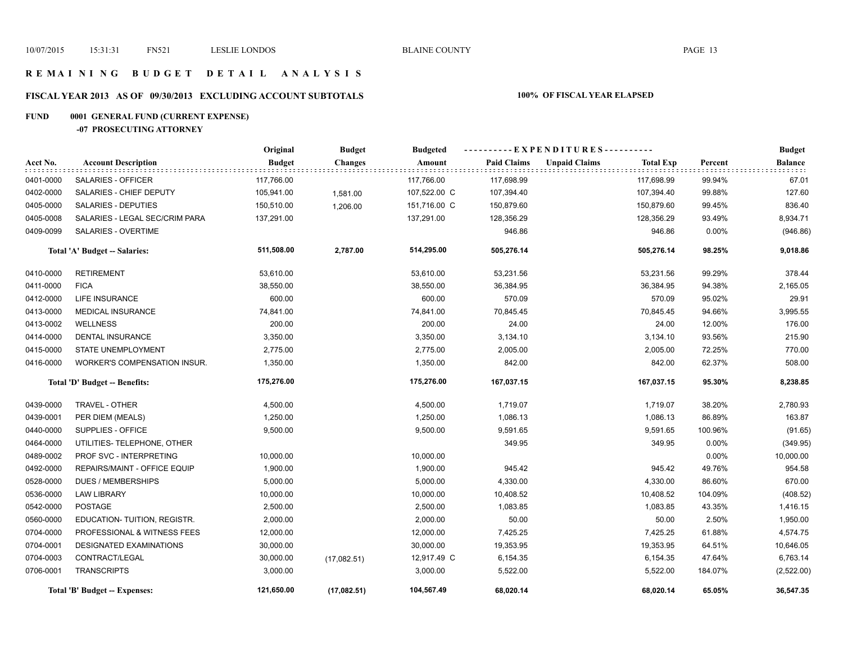## **R E M A I N I N G B U D G E T D E T A I L A N A L Y S I S**

# **FISCAL YEAR 2013 AS OF 09/30/2013 EXCLUDING ACCOUNT SUBTOTALS 100% OF FISCAL YEAR ELAPSED**

# **FUND 0001 GENERAL FUND (CURRENT EXPENSE)**

**-07 PROSECUTING ATTORNEY**

|           |                                | Original      | <b>Budget</b>  | <b>Budgeted</b> |                    | ----------EXPENDITURES---------- |                  |         | <b>Budget</b> |
|-----------|--------------------------------|---------------|----------------|-----------------|--------------------|----------------------------------|------------------|---------|---------------|
| Acct No.  | <b>Account Description</b>     | <b>Budget</b> | <b>Changes</b> | Amount          | <b>Paid Claims</b> | <b>Unpaid Claims</b>             | <b>Total Exp</b> | Percent | Balance       |
| 0401-0000 | SALARIES - OFFICER             | 117,766.00    |                | 117,766.00      | 117,698.99         |                                  | 117,698.99       | 99.94%  | 67.01         |
| 0402-0000 | SALARIES - CHIEF DEPUTY        | 105,941.00    | 1,581.00       | 107,522.00 C    | 107,394.40         |                                  | 107,394.40       | 99.88%  | 127.60        |
| 0405-0000 | SALARIES - DEPUTIES            | 150,510.00    | 1,206.00       | 151,716.00 C    | 150,879.60         |                                  | 150,879.60       | 99.45%  | 836.40        |
| 0405-0008 | SALARIES - LEGAL SEC/CRIM PARA | 137,291.00    |                | 137,291.00      | 128,356.29         |                                  | 128,356.29       | 93.49%  | 8,934.71      |
| 0409-0099 | SALARIES - OVERTIME            |               |                |                 | 946.86             |                                  | 946.86           | 0.00%   | (946.86)      |
|           | Total 'A' Budget -- Salaries:  | 511,508.00    | 2,787.00       | 514,295.00      | 505,276.14         |                                  | 505,276.14       | 98.25%  | 9,018.86      |
| 0410-0000 | <b>RETIREMENT</b>              | 53,610.00     |                | 53,610.00       | 53,231.56          |                                  | 53,231.56        | 99.29%  | 378.44        |
| 0411-0000 | <b>FICA</b>                    | 38,550.00     |                | 38,550.00       | 36,384.95          |                                  | 36,384.95        | 94.38%  | 2,165.05      |
| 0412-0000 | <b>LIFE INSURANCE</b>          | 600.00        |                | 600.00          | 570.09             |                                  | 570.09           | 95.02%  | 29.91         |
| 0413-0000 | <b>MEDICAL INSURANCE</b>       | 74,841.00     |                | 74,841.00       | 70,845.45          |                                  | 70,845.45        | 94.66%  | 3,995.55      |
| 0413-0002 | <b>WELLNESS</b>                | 200.00        |                | 200.00          | 24.00              |                                  | 24.00            | 12.00%  | 176.00        |
| 0414-0000 | <b>DENTAL INSURANCE</b>        | 3,350.00      |                | 3,350.00        | 3,134.10           |                                  | 3,134.10         | 93.56%  | 215.90        |
| 0415-0000 | <b>STATE UNEMPLOYMENT</b>      | 2,775.00      |                | 2,775.00        | 2,005.00           |                                  | 2,005.00         | 72.25%  | 770.00        |
| 0416-0000 | WORKER'S COMPENSATION INSUR.   | 1,350.00      |                | 1,350.00        | 842.00             |                                  | 842.00           | 62.37%  | 508.00        |
|           | Total 'D' Budget -- Benefits:  | 175,276.00    |                | 175,276.00      | 167,037.15         |                                  | 167,037.15       | 95.30%  | 8,238.85      |
| 0439-0000 | TRAVEL - OTHER                 | 4,500.00      |                | 4,500.00        | 1,719.07           |                                  | 1,719.07         | 38.20%  | 2,780.93      |
| 0439-0001 | PER DIEM (MEALS)               | 1,250.00      |                | 1,250.00        | 1,086.13           |                                  | 1,086.13         | 86.89%  | 163.87        |
| 0440-0000 | SUPPLIES - OFFICE              | 9,500.00      |                | 9,500.00        | 9,591.65           |                                  | 9,591.65         | 100.96% | (91.65)       |
| 0464-0000 | UTILITIES- TELEPHONE, OTHER    |               |                |                 | 349.95             |                                  | 349.95           | 0.00%   | (349.95)      |
| 0489-0002 | PROF SVC - INTERPRETING        | 10,000.00     |                | 10,000.00       |                    |                                  |                  | 0.00%   | 10,000.00     |
| 0492-0000 | REPAIRS/MAINT - OFFICE EQUIP   | 1,900.00      |                | 1,900.00        | 945.42             |                                  | 945.42           | 49.76%  | 954.58        |
| 0528-0000 | <b>DUES / MEMBERSHIPS</b>      | 5,000.00      |                | 5,000.00        | 4,330.00           |                                  | 4,330.00         | 86.60%  | 670.00        |
| 0536-0000 | <b>LAW LIBRARY</b>             | 10,000.00     |                | 10,000.00       | 10,408.52          |                                  | 10,408.52        | 104.09% | (408.52)      |
| 0542-0000 | <b>POSTAGE</b>                 | 2,500.00      |                | 2,500.00        | 1,083.85           |                                  | 1,083.85         | 43.35%  | 1,416.15      |
| 0560-0000 | EDUCATION- TUITION, REGISTR.   | 2,000.00      |                | 2,000.00        | 50.00              |                                  | 50.00            | 2.50%   | 1,950.00      |
| 0704-0000 | PROFESSIONAL & WITNESS FEES    | 12,000.00     |                | 12,000.00       | 7,425.25           |                                  | 7,425.25         | 61.88%  | 4,574.75      |
| 0704-0001 | <b>DESIGNATED EXAMINATIONS</b> | 30,000.00     |                | 30,000.00       | 19,353.95          |                                  | 19,353.95        | 64.51%  | 10,646.05     |
| 0704-0003 | CONTRACT/LEGAL                 | 30,000.00     | (17,082.51)    | 12,917.49 C     | 6,154.35           |                                  | 6,154.35         | 47.64%  | 6,763.14      |
| 0706-0001 | <b>TRANSCRIPTS</b>             | 3,000.00      |                | 3,000.00        | 5,522.00           |                                  | 5,522.00         | 184.07% | (2,522.00)    |
|           | Total 'B' Budget -- Expenses:  | 121,650.00    | (17,082.51)    | 104,567.49      | 68,020.14          |                                  | 68,020.14        | 65.05%  | 36,547.35     |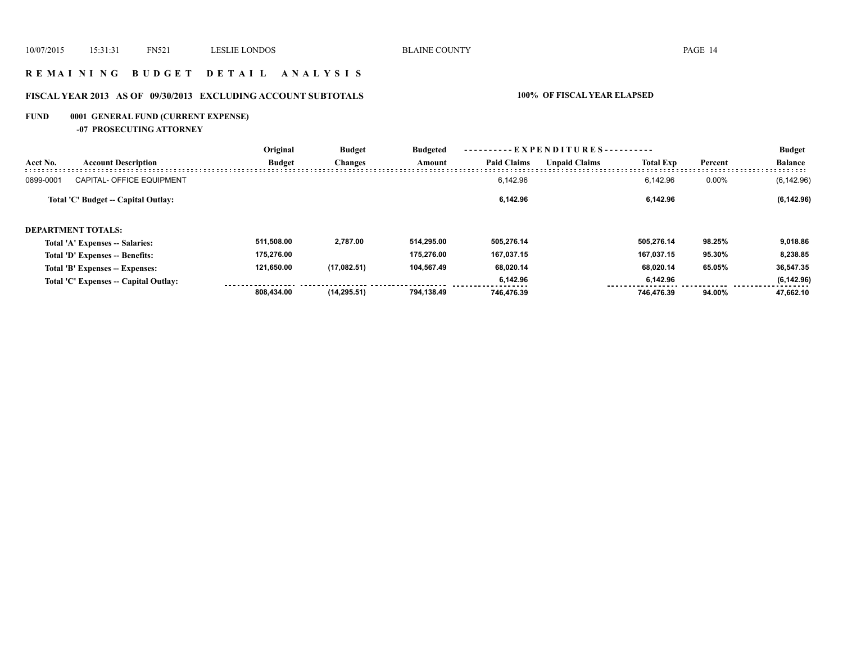## **R E M A I N I N G B U D G E T D E T A I L A N A L Y S I S**

# **FISCAL YEAR 2013 AS OF 09/30/2013 EXCLUDING ACCOUNT SUBTOTALS 100% OF FISCAL YEAR ELAPSED**

# **FUND 0001 GENERAL FUND (CURRENT EXPENSE)**

**-07 PROSECUTING ATTORNEY**

|                    |                                       | Original      | <b>Budget</b><br><b>Changes</b> | <b>Budgeted</b><br>Amount | $-EXPENDITURES$ --------- |                      |                  |         | <b>Budget</b>  |
|--------------------|---------------------------------------|---------------|---------------------------------|---------------------------|---------------------------|----------------------|------------------|---------|----------------|
| Acct No.           | <b>Account Description</b>            | <b>Budget</b> |                                 |                           | <b>Paid Claims</b>        | <b>Unpaid Claims</b> | <b>Total Exp</b> | Percent | <b>Balance</b> |
| 0899-0001          | <b>CAPITAL- OFFICE EQUIPMENT</b>      |               |                                 |                           | 6.142.96                  |                      | 6.142.96         | 0.00%   | (6, 142.96)    |
|                    | Total 'C' Budget -- Capital Outlay:   |               |                                 |                           | 6,142.96                  |                      | 6,142.96         |         | (6, 142.96)    |
| DEPARTMENT TOTALS: |                                       |               |                                 |                           |                           |                      |                  |         |                |
|                    | Total 'A' Expenses -- Salaries:       | 511,508.00    | 2,787.00                        | 514.295.00                | 505.276.14                |                      | 505.276.14       | 98.25%  | 9,018.86       |
|                    | Total 'D' Expenses -- Benefits:       | 175.276.00    |                                 | 175.276.00                | 167.037.15                |                      | 167.037.15       | 95.30%  | 8,238.85       |
|                    | Total 'B' Expenses -- Expenses:       | 121,650.00    | (17,082.51)                     | 104,567.49                | 68,020.14                 |                      | 68.020.14        | 65.05%  | 36,547.35      |
|                    | Total 'C' Expenses -- Capital Outlay: |               |                                 |                           | 6.142.96                  |                      | 6.142.96         |         | (6, 142.96)    |
|                    |                                       | 808.434.00    | (14, 295.51)                    | 794.138.49                | 746.476.39                |                      | 746.476.39       | 94.00%  | 47.662.10      |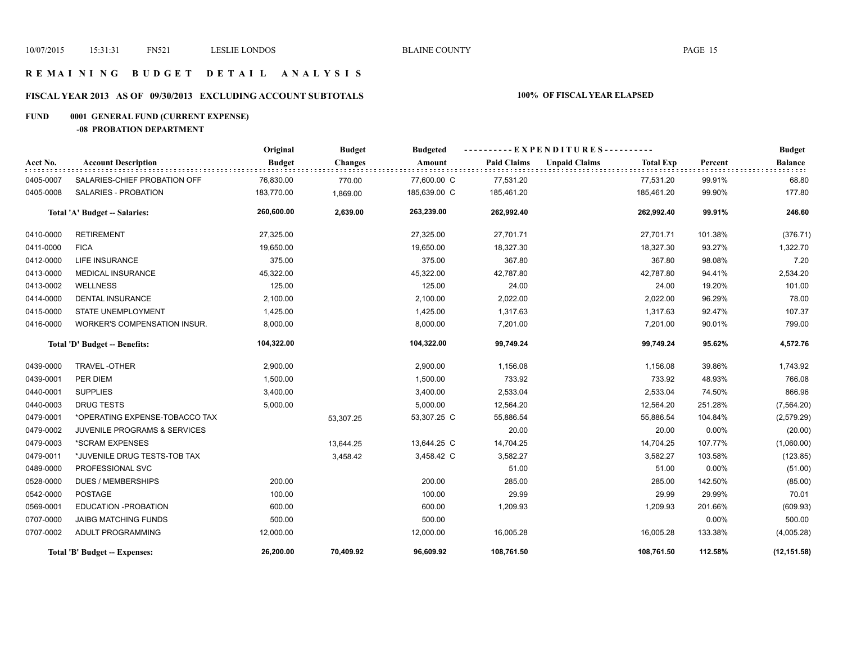## **R E M A I N I N G B U D G E T D E T A I L A N A L Y S I S**

# **FISCAL YEAR 2013 AS OF 09/30/2013 EXCLUDING ACCOUNT SUBTOTALS 100% OF FISCAL YEAR ELAPSED**

# **FUND 0001 GENERAL FUND (CURRENT EXPENSE)**

**-08 PROBATION DEPARTMENT**

|           |                                         | Original      | <b>Budget</b>  | <b>Budgeted</b> |                    | ----------EXPENDITURES---------- |                  |         | <b>Budget</b>  |
|-----------|-----------------------------------------|---------------|----------------|-----------------|--------------------|----------------------------------|------------------|---------|----------------|
| Acct No.  | <b>Account Description</b>              | <b>Budget</b> | <b>Changes</b> | Amount          | <b>Paid Claims</b> | <b>Unpaid Claims</b>             | <b>Total Exp</b> | Percent | <b>Balance</b> |
| 0405-0007 | SALARIES-CHIEF PROBATION OFF            | 76,830.00     | 770.00         | 77,600.00 C     | 77,531.20          |                                  | 77,531.20        | 99.91%  | 68.80          |
| 0405-0008 | SALARIES - PROBATION                    | 183,770.00    | 1,869.00       | 185,639.00 C    | 185,461.20         |                                  | 185,461.20       | 99.90%  | 177.80         |
|           | Total 'A' Budget -- Salaries:           | 260,600.00    | 2,639.00       | 263,239.00      | 262,992.40         |                                  | 262,992.40       | 99.91%  | 246.60         |
| 0410-0000 | <b>RETIREMENT</b>                       | 27,325.00     |                | 27,325.00       | 27,701.71          |                                  | 27,701.71        | 101.38% | (376.71)       |
| 0411-0000 | <b>FICA</b>                             | 19,650.00     |                | 19,650.00       | 18,327.30          |                                  | 18,327.30        | 93.27%  | 1,322.70       |
| 0412-0000 | LIFE INSURANCE                          | 375.00        |                | 375.00          | 367.80             |                                  | 367.80           | 98.08%  | 7.20           |
| 0413-0000 | <b>MEDICAL INSURANCE</b>                | 45,322.00     |                | 45,322.00       | 42,787.80          |                                  | 42,787.80        | 94.41%  | 2,534.20       |
| 0413-0002 | <b>WELLNESS</b>                         | 125.00        |                | 125.00          | 24.00              |                                  | 24.00            | 19.20%  | 101.00         |
| 0414-0000 | <b>DENTAL INSURANCE</b>                 | 2,100.00      |                | 2,100.00        | 2,022.00           |                                  | 2,022.00         | 96.29%  | 78.00          |
| 0415-0000 | <b>STATE UNEMPLOYMENT</b>               | 1,425.00      |                | 1,425.00        | 1,317.63           |                                  | 1,317.63         | 92.47%  | 107.37         |
| 0416-0000 | WORKER'S COMPENSATION INSUR.            | 8,000.00      |                | 8,000.00        | 7,201.00           |                                  | 7,201.00         | 90.01%  | 799.00         |
|           | Total 'D' Budget -- Benefits:           | 104,322.00    |                | 104,322.00      | 99,749.24          |                                  | 99,749.24        | 95.62%  | 4,572.76       |
| 0439-0000 | TRAVEL-OTHER                            | 2,900.00      |                | 2,900.00        | 1,156.08           |                                  | 1,156.08         | 39.86%  | 1,743.92       |
| 0439-0001 | PER DIEM                                | 1,500.00      |                | 1,500.00        | 733.92             |                                  | 733.92           | 48.93%  | 766.08         |
| 0440-0001 | <b>SUPPLIES</b>                         | 3,400.00      |                | 3,400.00        | 2,533.04           |                                  | 2,533.04         | 74.50%  | 866.96         |
| 0440-0003 | <b>DRUG TESTS</b>                       | 5,000.00      |                | 5,000.00        | 12,564.20          |                                  | 12,564.20        | 251.28% | (7, 564.20)    |
| 0479-0001 | *OPERATING EXPENSE-TOBACCO TAX          |               | 53,307.25      | 53,307.25 C     | 55,886.54          |                                  | 55,886.54        | 104.84% | (2,579.29)     |
| 0479-0002 | <b>JUVENILE PROGRAMS &amp; SERVICES</b> |               |                |                 | 20.00              |                                  | 20.00            | 0.00%   | (20.00)        |
| 0479-0003 | *SCRAM EXPENSES                         |               | 13,644.25      | 13,644.25 C     | 14,704.25          |                                  | 14,704.25        | 107.77% | (1,060.00)     |
| 0479-0011 | *JUVENILE DRUG TESTS-TOB TAX            |               | 3,458.42       | 3,458.42 C      | 3,582.27           |                                  | 3,582.27         | 103.58% | (123.85)       |
| 0489-0000 | PROFESSIONAL SVC                        |               |                |                 | 51.00              |                                  | 51.00            | 0.00%   | (51.00)        |
| 0528-0000 | <b>DUES / MEMBERSHIPS</b>               | 200.00        |                | 200.00          | 285.00             |                                  | 285.00           | 142.50% | (85.00)        |
| 0542-0000 | <b>POSTAGE</b>                          | 100.00        |                | 100.00          | 29.99              |                                  | 29.99            | 29.99%  | 70.01          |
| 0569-0001 | <b>EDUCATION -PROBATION</b>             | 600.00        |                | 600.00          | 1,209.93           |                                  | 1,209.93         | 201.66% | (609.93)       |
| 0707-0000 | <b>JAIBG MATCHING FUNDS</b>             | 500.00        |                | 500.00          |                    |                                  |                  | 0.00%   | 500.00         |
| 0707-0002 | ADULT PROGRAMMING                       | 12,000.00     |                | 12,000.00       | 16,005.28          |                                  | 16,005.28        | 133.38% | (4,005.28)     |
|           | Total 'B' Budget -- Expenses:           | 26,200.00     | 70,409.92      | 96,609.92       | 108,761.50         |                                  | 108,761.50       | 112.58% | (12, 151.58)   |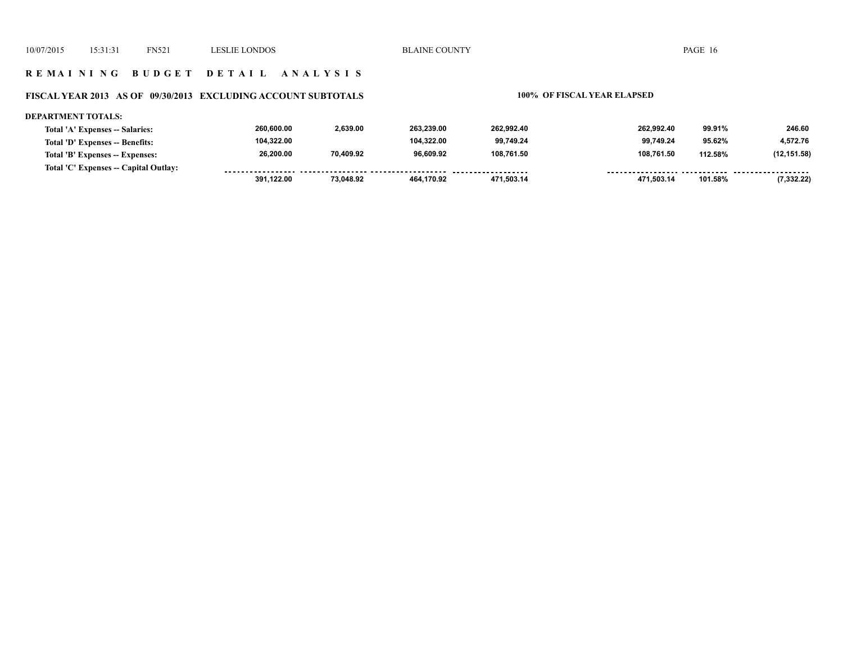## **R E M A I N I N G B U D G E T D E T A I L A N A L Y S I S**

### **FISCAL YEAR 2013 AS OF 09/30/2013 EXCLUDING ACCOUNT SUBTOTALS 100% OF FISCAL YEAR ELAPSED**

### **DEPARTMENT TOTALS: 260,600.00 2,639.00 263,239.00 262,992.40 262,992.40 99.91% 246.60 Total 'A' Expenses -- Salaries: 104,322.00 104,322.00 99,749.24 99,749.24 4,572.76 Total 'D' Expenses -- Benefits: 95.62% 26,200.00 70,409.92 96,609.92 108,761.50 108,761.50 (12,151.58) Total 'B' Expenses -- Expenses: 112.58% Total 'C' Expenses -- Capital Outlay:** ................. .......... ................... -----------------*-*......... . . . . . . . . . . . . . . . . . . . . . . . . . . . . .  $- - -$  **471,503.14 471,503.14 101.58% (7,332.22) 391,122.00 73,048.92 464,170.92**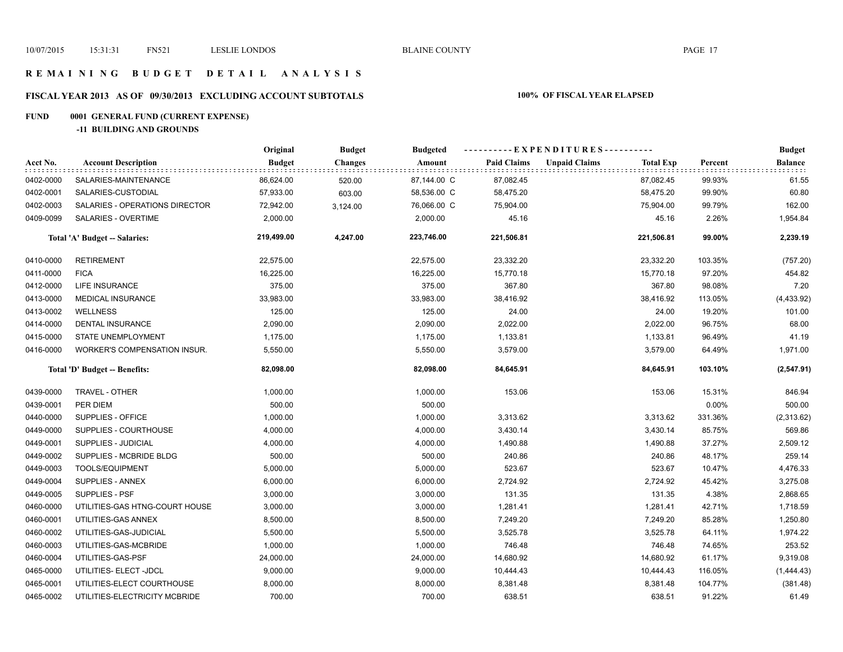## **R E M A I N I N G B U D G E T D E T A I L A N A L Y S I S**

# **FISCAL YEAR 2013 AS OF 09/30/2013 EXCLUDING ACCOUNT SUBTOTALS 100% OF FISCAL YEAR ELAPSED**

# **FUND 0001 GENERAL FUND (CURRENT EXPENSE)**

**-11 BUILDING AND GROUNDS**

|           |                                | Original      | <b>Budget</b>  | <b>Budgeted</b> |                    | ---------- EXPENDITURES----------        |                 | <b>Budget</b>  |
|-----------|--------------------------------|---------------|----------------|-----------------|--------------------|------------------------------------------|-----------------|----------------|
| Acct No.  | <b>Account Description</b>     | <b>Budget</b> | <b>Changes</b> | Amount          | <b>Paid Claims</b> | <b>Unpaid Claims</b><br><b>Total Exp</b> | Percent         | <b>Balance</b> |
| 0402-0000 | SALARIES-MAINTENANCE           | 86,624.00     | 520.00         | 87,144.00 C     | 87,082.45          | 87,082.45                                | 99.93%          | 61.55          |
| 0402-0001 | SALARIES-CUSTODIAL             | 57,933.00     | 603.00         | 58,536.00 C     | 58,475.20          | 58,475.20                                | 99.90%          | 60.80          |
| 0402-0003 | SALARIES - OPERATIONS DIRECTOR | 72,942.00     | 3,124.00       | 76,066.00 C     | 75,904.00          | 75,904.00                                | 99.79%          | 162.00         |
| 0409-0099 | SALARIES - OVERTIME            | 2,000.00      |                | 2,000.00        | 45.16              |                                          | 45.16<br>2.26%  | 1,954.84       |
|           | Total 'A' Budget -- Salaries:  | 219,499.00    | 4,247.00       | 223,746.00      | 221,506.81         | 221,506.81                               | 99.00%          | 2,239.19       |
| 0410-0000 | <b>RETIREMENT</b>              | 22,575.00     |                | 22,575.00       | 23,332.20          | 23,332.20                                | 103.35%         | (757.20)       |
| 0411-0000 | <b>FICA</b>                    | 16,225.00     |                | 16,225.00       | 15,770.18          | 15,770.18                                | 97.20%          | 454.82         |
| 0412-0000 | LIFE INSURANCE                 | 375.00        |                | 375.00          | 367.80             | 367.80                                   | 98.08%          | 7.20           |
| 0413-0000 | MEDICAL INSURANCE              | 33,983.00     |                | 33,983.00       | 38,416.92          | 38,416.92                                | 113.05%         | (4, 433.92)    |
| 0413-0002 | <b>WELLNESS</b>                | 125.00        |                | 125.00          | 24.00              |                                          | 19.20%<br>24.00 | 101.00         |
| 0414-0000 | DENTAL INSURANCE               | 2,090.00      |                | 2,090.00        | 2,022.00           | 2,022.00                                 | 96.75%          | 68.00          |
| 0415-0000 | STATE UNEMPLOYMENT             | 1,175.00      |                | 1,175.00        | 1,133.81           | 1,133.81                                 | 96.49%          | 41.19          |
| 0416-0000 | WORKER'S COMPENSATION INSUR.   | 5,550.00      |                | 5,550.00        | 3,579.00           | 3,579.00                                 | 64.49%          | 1,971.00       |
|           | Total 'D' Budget -- Benefits:  | 82,098.00     |                | 82,098.00       | 84,645.91          | 84,645.91                                | 103.10%         | (2, 547.91)    |
| 0439-0000 | TRAVEL - OTHER                 | 1,000.00      |                | 1,000.00        | 153.06             | 153.06                                   | 15.31%          | 846.94         |
| 0439-0001 | PER DIEM                       | 500.00        |                | 500.00          |                    |                                          | 0.00%           | 500.00         |
| 0440-0000 | SUPPLIES - OFFICE              | 1,000.00      |                | 1,000.00        | 3,313.62           | 3,313.62                                 | 331.36%         | (2,313.62)     |
| 0449-0000 | SUPPLIES - COURTHOUSE          | 4,000.00      |                | 4,000.00        | 3,430.14           | 3,430.14                                 | 85.75%          | 569.86         |
| 0449-0001 | <b>SUPPLIES - JUDICIAL</b>     | 4,000.00      |                | 4,000.00        | 1,490.88           | 1,490.88                                 | 37.27%          | 2,509.12       |
| 0449-0002 | SUPPLIES - MCBRIDE BLDG        | 500.00        |                | 500.00          | 240.86             | 240.86                                   | 48.17%          | 259.14         |
| 0449-0003 | TOOLS/EQUIPMENT                | 5,000.00      |                | 5,000.00        | 523.67             | 523.67                                   | 10.47%          | 4,476.33       |
| 0449-0004 | SUPPLIES - ANNEX               | 6,000.00      |                | 6,000.00        | 2,724.92           | 2,724.92                                 | 45.42%          | 3,275.08       |
| 0449-0005 | SUPPLIES - PSF                 | 3,000.00      |                | 3,000.00        | 131.35             | 131.35                                   | 4.38%           | 2,868.65       |
| 0460-0000 | UTILITIES-GAS HTNG-COURT HOUSE | 3,000.00      |                | 3,000.00        | 1,281.41           | 1,281.41                                 | 42.71%          | 1,718.59       |
| 0460-0001 | UTILITIES-GAS ANNEX            | 8,500.00      |                | 8,500.00        | 7,249.20           | 7,249.20                                 | 85.28%          | 1,250.80       |
| 0460-0002 | UTILITIES-GAS-JUDICIAL         | 5,500.00      |                | 5,500.00        | 3,525.78           | 3,525.78                                 | 64.11%          | 1,974.22       |
| 0460-0003 | UTILITIES-GAS-MCBRIDE          | 1,000.00      |                | 1,000.00        | 746.48             | 746.48                                   | 74.65%          | 253.52         |
| 0460-0004 | UTILITIES-GAS-PSF              | 24,000.00     |                | 24,000.00       | 14,680.92          | 14,680.92                                | 61.17%          | 9,319.08       |
| 0465-0000 | UTILITIES- ELECT -JDCL         | 9,000.00      |                | 9,000.00        | 10,444.43          | 10,444.43                                | 116.05%         | (1,444.43)     |
| 0465-0001 | UTILITIES-ELECT COURTHOUSE     | 8,000.00      |                | 8,000.00        | 8,381.48           | 8,381.48                                 | 104.77%         | (381.48)       |
| 0465-0002 | UTILITIES-ELECTRICITY MCBRIDE  | 700.00        |                | 700.00          | 638.51             | 638.51                                   | 91.22%          | 61.49          |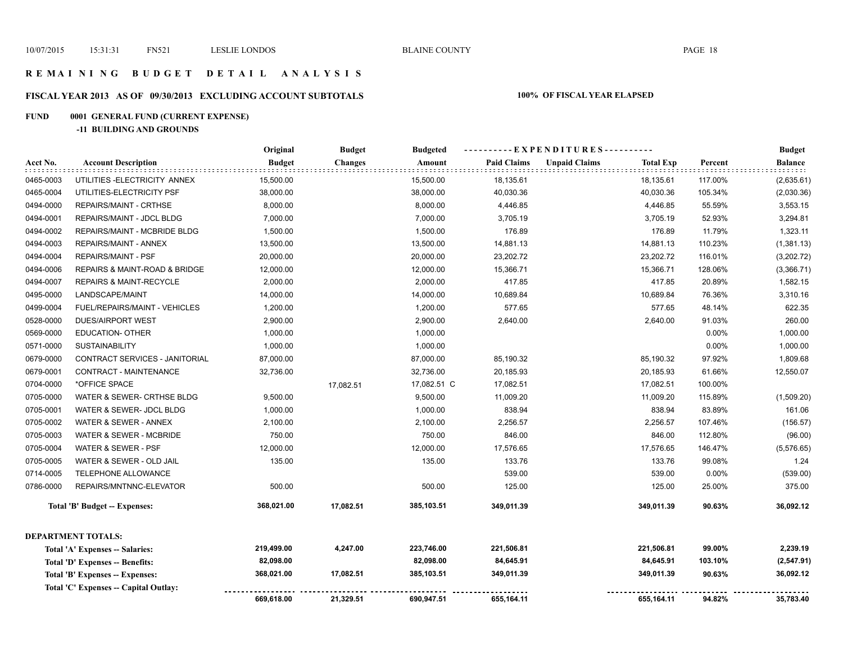## **R E M A I N I N G B U D G E T D E T A I L A N A L Y S I S**

# **FISCAL YEAR 2013 AS OF 09/30/2013 EXCLUDING ACCOUNT SUBTOTALS 100% OF FISCAL YEAR ELAPSED**

# **FUND 0001 GENERAL FUND (CURRENT EXPENSE)**

**-11 BUILDING AND GROUNDS**

|           |                                      | Original      | <b>Budget</b>  | <b>Budgeted</b> | ----EXPENDITURES---------- |                      |                  |         | <b>Budget</b>                             |
|-----------|--------------------------------------|---------------|----------------|-----------------|----------------------------|----------------------|------------------|---------|-------------------------------------------|
| Acct No.  | <b>Account Description</b>           | <b>Budget</b> | <b>Changes</b> | Amount          | <b>Paid Claims</b>         | <b>Unpaid Claims</b> | <b>Total Exp</b> | Percent | <b>Balance</b><br>$\pm$ $\pm$ $\pm$ $\pm$ |
| 0465-0003 | UTILITIES-ELECTRICITY ANNEX          | 15,500.00     |                | 15,500.00       | 18,135.61                  |                      | 18,135.61        | 117.00% | (2,635.61)                                |
| 0465-0004 | UTILITIES-ELECTRICITY PSF            | 38,000.00     |                | 38,000.00       | 40,030.36                  |                      | 40,030.36        | 105.34% | (2,030.36)                                |
| 0494-0000 | REPAIRS/MAINT - CRTHSE               | 8,000.00      |                | 8,000.00        | 4,446.85                   |                      | 4,446.85         | 55.59%  | 3,553.15                                  |
| 0494-0001 | REPAIRS/MAINT - JDCL BLDG            | 7,000.00      |                | 7,000.00        | 3,705.19                   |                      | 3,705.19         | 52.93%  | 3,294.81                                  |
| 0494-0002 | REPAIRS/MAINT - MCBRIDE BLDG         | 1,500.00      |                | 1,500.00        | 176.89                     |                      | 176.89           | 11.79%  | 1,323.11                                  |
| 0494-0003 | REPAIRS/MAINT - ANNEX                | 13,500.00     |                | 13,500.00       | 14,881.13                  |                      | 14,881.13        | 110.23% | (1,381.13)                                |
| 0494-0004 | <b>REPAIRS/MAINT - PSF</b>           | 20,000.00     |                | 20,000.00       | 23,202.72                  |                      | 23,202.72        | 116.01% | (3,202.72)                                |
| 0494-0006 | REPAIRS & MAINT-ROAD & BRIDGE        | 12,000.00     |                | 12,000.00       | 15,366.71                  |                      | 15,366.71        | 128.06% | (3,366.71)                                |
| 0494-0007 | REPAIRS & MAINT-RECYCLE              | 2,000.00      |                | 2,000.00        | 417.85                     |                      | 417.85           | 20.89%  | 1,582.15                                  |
| 0495-0000 | LANDSCAPE/MAINT                      | 14,000.00     |                | 14,000.00       | 10,689.84                  |                      | 10,689.84        | 76.36%  | 3,310.16                                  |
| 0499-0004 | FUEL/REPAIRS/MAINT - VEHICLES        | 1,200.00      |                | 1,200.00        | 577.65                     |                      | 577.65           | 48.14%  | 622.35                                    |
| 0528-0000 | <b>DUES/AIRPORT WEST</b>             | 2,900.00      |                | 2,900.00        | 2,640.00                   |                      | 2,640.00         | 91.03%  | 260.00                                    |
| 0569-0000 | EDUCATION- OTHER                     | 1,000.00      |                | 1,000.00        |                            |                      |                  | 0.00%   | 1,000.00                                  |
| 0571-0000 | <b>SUSTAINABILITY</b>                | 1,000.00      |                | 1,000.00        |                            |                      |                  | 0.00%   | 1,000.00                                  |
| 0679-0000 | CONTRACT SERVICES - JANITORIAL       | 87,000.00     |                | 87,000.00       | 85,190.32                  |                      | 85,190.32        | 97.92%  | 1,809.68                                  |
| 0679-0001 | CONTRACT - MAINTENANCE               | 32,736.00     |                | 32,736.00       | 20,185.93                  |                      | 20,185.93        | 61.66%  | 12,550.07                                 |
| 0704-0000 | *OFFICE SPACE                        |               | 17,082.51      | 17,082.51 C     | 17,082.51                  |                      | 17,082.51        | 100.00% |                                           |
| 0705-0000 | WATER & SEWER- CRTHSE BLDG           | 9,500.00      |                | 9,500.00        | 11,009.20                  |                      | 11,009.20        | 115.89% | (1,509.20)                                |
| 0705-0001 | WATER & SEWER- JDCL BLDG             | 1,000.00      |                | 1,000.00        | 838.94                     |                      | 838.94           | 83.89%  | 161.06                                    |
| 0705-0002 | WATER & SEWER - ANNEX                | 2,100.00      |                | 2,100.00        | 2,256.57                   |                      | 2,256.57         | 107.46% | (156.57)                                  |
| 0705-0003 | WATER & SEWER - MCBRIDE              | 750.00        |                | 750.00          | 846.00                     |                      | 846.00           | 112.80% | (96.00)                                   |
| 0705-0004 | WATER & SEWER - PSF                  | 12,000.00     |                | 12,000.00       | 17,576.65                  |                      | 17,576.65        | 146.47% | (5,576.65)                                |
| 0705-0005 | WATER & SEWER - OLD JAIL             | 135.00        |                | 135.00          | 133.76                     |                      | 133.76           | 99.08%  | 1.24                                      |
| 0714-0005 | TELEPHONE ALLOWANCE                  |               |                |                 | 539.00                     |                      | 539.00           | 0.00%   | (539.00)                                  |
| 0786-0000 | REPAIRS/MNTNNC-ELEVATOR              | 500.00        |                | 500.00          | 125.00                     |                      | 125.00           | 25.00%  | 375.00                                    |
|           | Total 'B' Budget -- Expenses:        | 368,021.00    | 17,082.51      | 385,103.51      | 349,011.39                 |                      | 349,011.39       | 90.63%  | 36,092.12                                 |
|           | <b>DEPARTMENT TOTALS:</b>            |               |                |                 |                            |                      |                  |         |                                           |
|           | Total 'A' Expenses -- Salaries:      | 219,499.00    | 4,247.00       | 223,746.00      | 221,506.81                 |                      | 221,506.81       | 99.00%  | 2,239.19                                  |
|           | Total 'D' Expenses -- Benefits:      | 82,098.00     |                | 82,098.00       | 84,645.91                  |                      | 84,645.91        | 103.10% | (2,547.91)                                |
|           | Total 'B' Expenses -- Expenses:      | 368,021.00    | 17,082.51      | 385,103.51      | 349,011.39                 |                      | 349,011.39       | 90.63%  | 36,092.12                                 |
|           | Total 'C' Expenses - Capital Outlay: |               |                |                 |                            |                      |                  |         |                                           |
|           |                                      | 669,618.00    | 21,329.51      | 690,947.51      | 655,164.11                 |                      | 655,164.11       | 94.82%  | 35,783.40                                 |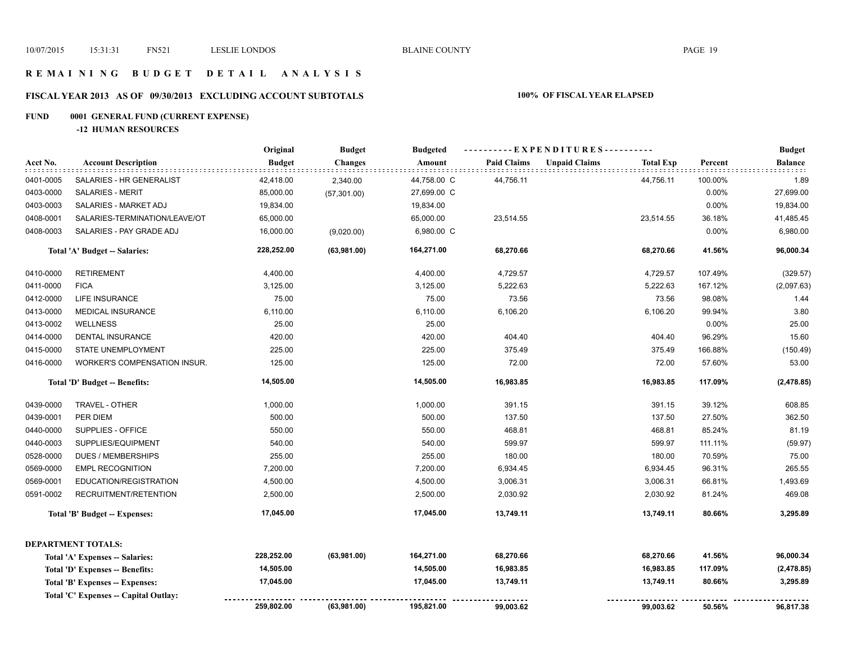## **R E M A I N I N G B U D G E T D E T A I L A N A L Y S I S**

# **FISCAL YEAR 2013 AS OF 09/30/2013 EXCLUDING ACCOUNT SUBTOTALS 100% OF FISCAL YEAR ELAPSED**

# **FUND 0001 GENERAL FUND (CURRENT EXPENSE)**

**-12 HUMAN RESOURCES**

|           |                                        | Original      | <b>Budget</b>  | <b>Budgeted</b> | ----------EXPENDITURES---------- |                      |                  |         | <b>Budget</b>            |
|-----------|----------------------------------------|---------------|----------------|-----------------|----------------------------------|----------------------|------------------|---------|--------------------------|
| Acct No.  | <b>Account Description</b>             | <b>Budget</b> | <b>Changes</b> | Amount          | <b>Paid Claims</b>               | <b>Unpaid Claims</b> | <b>Total Exp</b> | Percent | <b>Balance</b><br>iddid. |
| 0401-0005 | SALARIES - HR GENERALIST               | 42,418.00     | 2,340.00       | 44,758.00 C     | 44,756.11                        |                      | 44,756.11        | 100.00% | 1.89                     |
| 0403-0000 | SALARIES - MERIT                       | 85,000.00     | (57, 301.00)   | 27,699.00 C     |                                  |                      |                  | 0.00%   | 27,699.00                |
| 0403-0003 | SALARIES - MARKET ADJ                  | 19,834.00     |                | 19,834.00       |                                  |                      |                  | 0.00%   | 19,834.00                |
| 0408-0001 | SALARIES-TERMINATION/LEAVE/OT          | 65,000.00     |                | 65,000.00       | 23,514.55                        |                      | 23,514.55        | 36.18%  | 41,485.45                |
| 0408-0003 | SALARIES - PAY GRADE ADJ               | 16,000.00     | (9,020.00)     | 6,980.00 C      |                                  |                      |                  | 0.00%   | 6,980.00                 |
|           | Total 'A' Budget -- Salaries:          | 228,252.00    | (63,981.00)    | 164,271.00      | 68,270.66                        |                      | 68,270.66        | 41.56%  | 96,000.34                |
| 0410-0000 | <b>RETIREMENT</b>                      | 4,400.00      |                | 4,400.00        | 4,729.57                         |                      | 4,729.57         | 107.49% | (329.57)                 |
| 0411-0000 | <b>FICA</b>                            | 3,125.00      |                | 3,125.00        | 5,222.63                         |                      | 5,222.63         | 167.12% | (2,097.63)               |
| 0412-0000 | <b>LIFE INSURANCE</b>                  | 75.00         |                | 75.00           | 73.56                            |                      | 73.56            | 98.08%  | 1.44                     |
| 0413-0000 | <b>MEDICAL INSURANCE</b>               | 6,110.00      |                | 6,110.00        | 6,106.20                         |                      | 6,106.20         | 99.94%  | 3.80                     |
| 0413-0002 | <b>WELLNESS</b>                        | 25.00         |                | 25.00           |                                  |                      |                  | 0.00%   | 25.00                    |
| 0414-0000 | <b>DENTAL INSURANCE</b>                | 420.00        |                | 420.00          | 404.40                           |                      | 404.40           | 96.29%  | 15.60                    |
| 0415-0000 | STATE UNEMPLOYMENT                     | 225.00        |                | 225.00          | 375.49                           |                      | 375.49           | 166.88% | (150.49)                 |
| 0416-0000 | <b>WORKER'S COMPENSATION INSUR.</b>    | 125.00        |                | 125.00          | 72.00                            |                      | 72.00            | 57.60%  | 53.00                    |
|           | Total 'D' Budget -- Benefits:          | 14,505.00     |                | 14,505.00       | 16,983.85                        |                      | 16,983.85        | 117.09% | (2,478.85)               |
| 0439-0000 | TRAVEL - OTHER                         | 1,000.00      |                | 1,000.00        | 391.15                           |                      | 391.15           | 39.12%  | 608.85                   |
| 0439-0001 | PER DIEM                               | 500.00        |                | 500.00          | 137.50                           |                      | 137.50           | 27.50%  | 362.50                   |
| 0440-0000 | SUPPLIES - OFFICE                      | 550.00        |                | 550.00          | 468.81                           |                      | 468.81           | 85.24%  | 81.19                    |
| 0440-0003 | SUPPLIES/EQUIPMENT                     | 540.00        |                | 540.00          | 599.97                           |                      | 599.97           | 111.11% | (59.97)                  |
| 0528-0000 | <b>DUES / MEMBERSHIPS</b>              | 255.00        |                | 255.00          | 180.00                           |                      | 180.00           | 70.59%  | 75.00                    |
| 0569-0000 | <b>EMPL RECOGNITION</b>                | 7,200.00      |                | 7,200.00        | 6,934.45                         |                      | 6,934.45         | 96.31%  | 265.55                   |
| 0569-0001 | EDUCATION/REGISTRATION                 | 4,500.00      |                | 4,500.00        | 3,006.31                         |                      | 3,006.31         | 66.81%  | 1,493.69                 |
| 0591-0002 | RECRUITMENT/RETENTION                  | 2,500.00      |                | 2,500.00        | 2,030.92                         |                      | 2,030.92         | 81.24%  | 469.08                   |
|           | Total 'B' Budget -- Expenses:          | 17,045.00     |                | 17,045.00       | 13,749.11                        |                      | 13,749.11        | 80.66%  | 3,295.89                 |
|           | <b>DEPARTMENT TOTALS:</b>              |               |                |                 |                                  |                      |                  |         |                          |
|           | Total 'A' Expenses -- Salaries:        | 228,252.00    | (63,981.00)    | 164,271.00      | 68,270.66                        |                      | 68,270.66        | 41.56%  | 96,000.34                |
|           | <b>Total 'D' Expenses -- Benefits:</b> | 14,505.00     |                | 14,505.00       | 16,983.85                        |                      | 16,983.85        | 117.09% | (2,478.85)               |
|           | Total 'B' Expenses -- Expenses:        | 17,045.00     |                | 17,045.00       | 13,749.11                        |                      | 13,749.11        | 80.66%  | 3,295.89                 |
|           | Total 'C' Expenses -- Capital Outlay:  |               |                |                 |                                  |                      |                  |         |                          |
|           |                                        | 259,802.00    | (63,981.00)    | 195,821.00      | 99,003.62                        |                      | 99,003.62        | 50.56%  | 96,817.38                |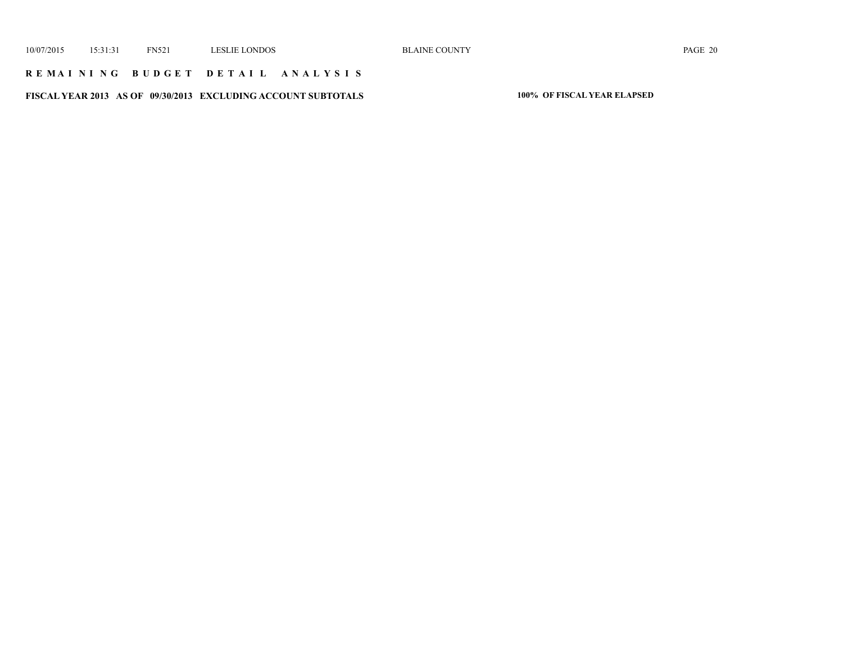## **R E M A I N I N G B U D G E T D E T A I L A N A L Y S I S**

**FISCAL YEAR 2013 AS OF 09/30/2013 EXCLUDING ACCOUNT SUBTOTALS 100% OF FISCAL YEAR ELAPSED**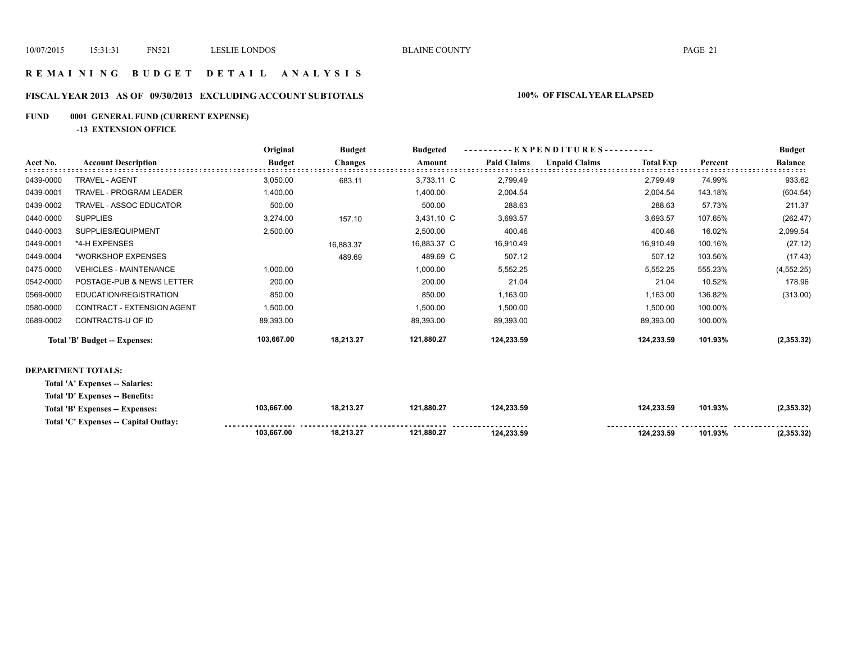## **R E M A I N I N G B U D G E T D E T A I L A N A L Y S I S**

# **FISCAL YEAR 2013 AS OF 09/30/2013 EXCLUDING ACCOUNT SUBTOTALS 100% OF FISCAL YEAR ELAPSED**

# **FUND 0001 GENERAL FUND (CURRENT EXPENSE)**

**-13 EXTENSION OFFICE**

|           |                                 | Original      | <b>Budget</b>  | <b>Budgeted</b> | - EXPENDITURES---------- |                      |                  |         | <b>Budget</b>  |
|-----------|---------------------------------|---------------|----------------|-----------------|--------------------------|----------------------|------------------|---------|----------------|
| Acct No.  | <b>Account Description</b>      | <b>Budget</b> | <b>Changes</b> | Amount          | <b>Paid Claims</b>       | <b>Unpaid Claims</b> | <b>Total Exp</b> | Percent | <b>Balance</b> |
| 0439-0000 | TRAVEL - AGENT                  | 3,050.00      | 683.11         | 3,733.11 C      | 2,799.49                 |                      | 2,799.49         | 74.99%  | 933.62         |
| 0439-0001 | TRAVEL - PROGRAM LEADER         | 1,400.00      |                | 1,400.00        | 2,004.54                 |                      | 2,004.54         | 143.18% | (604.54)       |
| 0439-0002 | TRAVEL - ASSOC EDUCATOR         | 500.00        |                | 500.00          | 288.63                   |                      | 288.63           | 57.73%  | 211.37         |
| 0440-0000 | <b>SUPPLIES</b>                 | 3,274.00      | 157.10         | 3,431.10 C      | 3,693.57                 |                      | 3,693.57         | 107.65% | (262.47)       |
| 0440-0003 | SUPPLIES/EQUIPMENT              | 2,500.00      |                | 2,500.00        | 400.46                   |                      | 400.46           | 16.02%  | 2,099.54       |
| 0449-0001 | *4-H EXPENSES                   |               | 16,883.37      | 16,883.37 C     | 16,910.49                |                      | 16,910.49        | 100.16% | (27.12)        |
| 0449-0004 | *WORKSHOP EXPENSES              |               | 489.69         | 489.69 C        | 507.12                   |                      | 507.12           | 103.56% | (17.43)        |
| 0475-0000 | <b>VEHICLES - MAINTENANCE</b>   | 1,000.00      |                | 1,000.00        | 5,552.25                 |                      | 5,552.25         | 555.23% | (4, 552.25)    |
| 0542-0000 | POSTAGE-PUB & NEWS LETTER       | 200.00        |                | 200.00          | 21.04                    |                      | 21.04            | 10.52%  | 178.96         |
| 0569-0000 | EDUCATION/REGISTRATION          | 850.00        |                | 850.00          | 1,163.00                 |                      | 1,163.00         | 136.82% | (313.00)       |
| 0580-0000 | CONTRACT - EXTENSION AGENT      | 1,500.00      |                | 1,500.00        | 1,500.00                 |                      | 1,500.00         | 100.00% |                |
| 0689-0002 | CONTRACTS-U OF ID               | 89,393.00     |                | 89,393.00       | 89,393.00                |                      | 89,393.00        | 100.00% |                |
|           | Total 'B' Budget -- Expenses:   | 103,667.00    | 18,213.27      | 121,880.27      | 124,233.59               |                      | 124,233.59       | 101.93% | (2, 353.32)    |
|           | <b>DEPARTMENT TOTALS:</b>       |               |                |                 |                          |                      |                  |         |                |
|           | Total 'A' Expenses -- Salaries: |               |                |                 |                          |                      |                  |         |                |
|           | Total 'D' Expenses -- Benefits: |               |                |                 |                          |                      |                  |         |                |

| Total 'B' Expenses -- Expenses:       | 103.667.00 | 18 213 27 | 21.880.27 | 124.233.59          | 124,233.59 | 101.93% | 2,353.32) |
|---------------------------------------|------------|-----------|-----------|---------------------|------------|---------|-----------|
| Total 'C' Expenses -- Capital Outlay: |            |           |           | ------------------- |            |         |           |
|                                       | 103.667.00 | 10.212.2  |           |                     | 124.233.59 | 101.93% | 2,353.32  |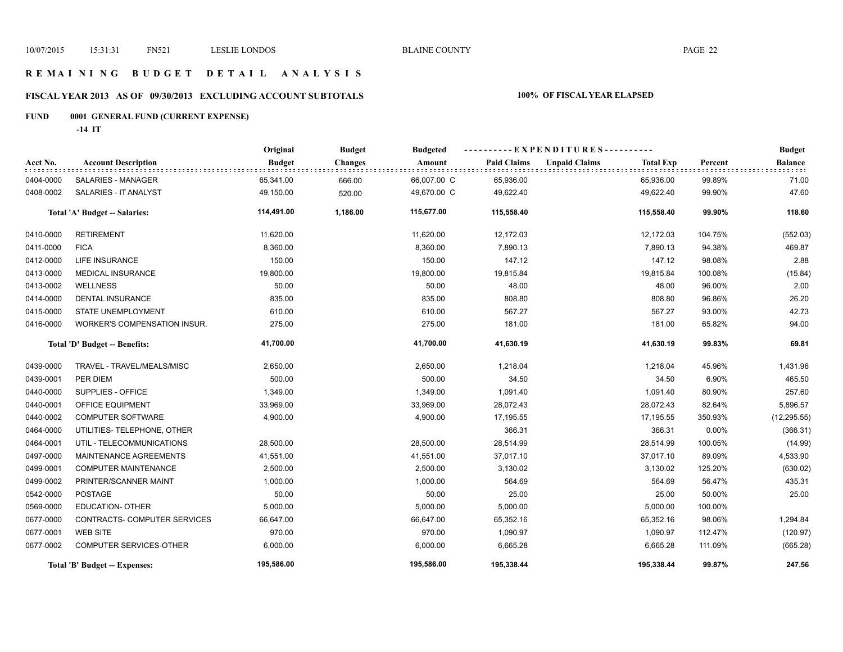## **R E M A I N I N G B U D G E T D E T A I L A N A L Y S I S**

# **FISCAL YEAR 2013 AS OF 09/30/2013 EXCLUDING ACCOUNT SUBTOTALS 100% OF FISCAL YEAR ELAPSED**

# **FUND 0001 GENERAL FUND (CURRENT EXPENSE)**

**-14 IT**

|           |                               | Original      | <b>Budget</b>  | <b>Budgeted</b> | ----------EXPENDITURES---------- |                      |                  |          | <b>Budget</b>  |
|-----------|-------------------------------|---------------|----------------|-----------------|----------------------------------|----------------------|------------------|----------|----------------|
| Acct No.  | <b>Account Description</b>    | <b>Budget</b> | <b>Changes</b> | Amount          | <b>Paid Claims</b>               | <b>Unpaid Claims</b> | <b>Total Exp</b> | Percent  | <b>Balance</b> |
| 0404-0000 | <b>SALARIES - MANAGER</b>     | 65,341.00     | 666.00         | 66,007.00 C     | 65,936.00                        |                      | 65,936.00        | 99.89%   | 71.00          |
| 0408-0002 | SALARIES - IT ANALYST         | 49,150.00     | 520.00         | 49,670.00 C     | 49,622.40                        |                      | 49,622.40        | 99.90%   | 47.60          |
|           | Total 'A' Budget -- Salaries: | 114,491.00    | 1,186.00       | 115,677.00      | 115,558.40                       |                      | 115,558.40       | 99.90%   | 118.60         |
| 0410-0000 | <b>RETIREMENT</b>             | 11,620.00     |                | 11,620.00       | 12,172.03                        |                      | 12,172.03        | 104.75%  | (552.03)       |
| 0411-0000 | <b>FICA</b>                   | 8,360.00      |                | 8,360.00        | 7,890.13                         |                      | 7,890.13         | 94.38%   | 469.87         |
| 0412-0000 | <b>LIFE INSURANCE</b>         | 150.00        |                | 150.00          | 147.12                           |                      | 147.12           | 98.08%   | 2.88           |
| 0413-0000 | <b>MEDICAL INSURANCE</b>      | 19,800.00     |                | 19,800.00       | 19,815.84                        |                      | 19,815.84        | 100.08%  | (15.84)        |
| 0413-0002 | <b>WELLNESS</b>               | 50.00         |                | 50.00           | 48.00                            |                      | 48.00            | 96.00%   | 2.00           |
| 0414-0000 | DENTAL INSURANCE              | 835.00        |                | 835.00          | 808.80                           |                      | 808.80           | 96.86%   | 26.20          |
| 0415-0000 | <b>STATE UNEMPLOYMENT</b>     | 610.00        |                | 610.00          | 567.27                           |                      | 567.27           | 93.00%   | 42.73          |
| 0416-0000 | WORKER'S COMPENSATION INSUR.  | 275.00        |                | 275.00          | 181.00                           |                      | 181.00           | 65.82%   | 94.00          |
|           | Total 'D' Budget -- Benefits: | 41,700.00     |                | 41,700.00       | 41,630.19                        |                      | 41,630.19        | 99.83%   | 69.81          |
| 0439-0000 | TRAVEL - TRAVEL/MEALS/MISC    | 2,650.00      |                | 2,650.00        | 1,218.04                         |                      | 1,218.04         | 45.96%   | 1,431.96       |
| 0439-0001 | PER DIEM                      | 500.00        |                | 500.00          | 34.50                            |                      | 34.50            | 6.90%    | 465.50         |
| 0440-0000 | SUPPLIES - OFFICE             | 1,349.00      |                | 1,349.00        | 1,091.40                         |                      | 1,091.40         | 80.90%   | 257.60         |
| 0440-0001 | OFFICE EQUIPMENT              | 33,969.00     |                | 33,969.00       | 28,072.43                        |                      | 28,072.43        | 82.64%   | 5,896.57       |
| 0440-0002 | <b>COMPUTER SOFTWARE</b>      | 4,900.00      |                | 4,900.00        | 17,195.55                        |                      | 17,195.55        | 350.93%  | (12, 295.55)   |
| 0464-0000 | UTILITIES- TELEPHONE, OTHER   |               |                |                 | 366.31                           |                      | 366.31           | $0.00\%$ | (366.31)       |
| 0464-0001 | UTIL - TELECOMMUNICATIONS     | 28,500.00     |                | 28,500.00       | 28,514.99                        |                      | 28,514.99        | 100.05%  | (14.99)        |
| 0497-0000 | MAINTENANCE AGREEMENTS        | 41,551.00     |                | 41,551.00       | 37,017.10                        |                      | 37,017.10        | 89.09%   | 4,533.90       |
| 0499-0001 | <b>COMPUTER MAINTENANCE</b>   | 2,500.00      |                | 2,500.00        | 3,130.02                         |                      | 3,130.02         | 125.20%  | (630.02)       |
| 0499-0002 | PRINTER/SCANNER MAINT         | 1,000.00      |                | 1,000.00        | 564.69                           |                      | 564.69           | 56.47%   | 435.31         |
| 0542-0000 | <b>POSTAGE</b>                | 50.00         |                | 50.00           | 25.00                            |                      | 25.00            | 50.00%   | 25.00          |
| 0569-0000 | <b>EDUCATION- OTHER</b>       | 5,000.00      |                | 5,000.00        | 5,000.00                         |                      | 5,000.00         | 100.00%  |                |
| 0677-0000 | CONTRACTS- COMPUTER SERVICES  | 66,647.00     |                | 66,647.00       | 65,352.16                        |                      | 65,352.16        | 98.06%   | 1,294.84       |
| 0677-0001 | <b>WEB SITE</b>               | 970.00        |                | 970.00          | 1,090.97                         |                      | 1,090.97         | 112.47%  | (120.97)       |
| 0677-0002 | COMPUTER SERVICES-OTHER       | 6,000.00      |                | 6,000.00        | 6,665.28                         |                      | 6,665.28         | 111.09%  | (665.28)       |
|           | Total 'B' Budget -- Expenses: | 195,586.00    |                | 195,586.00      | 195,338.44                       |                      | 195,338.44       | 99.87%   | 247.56         |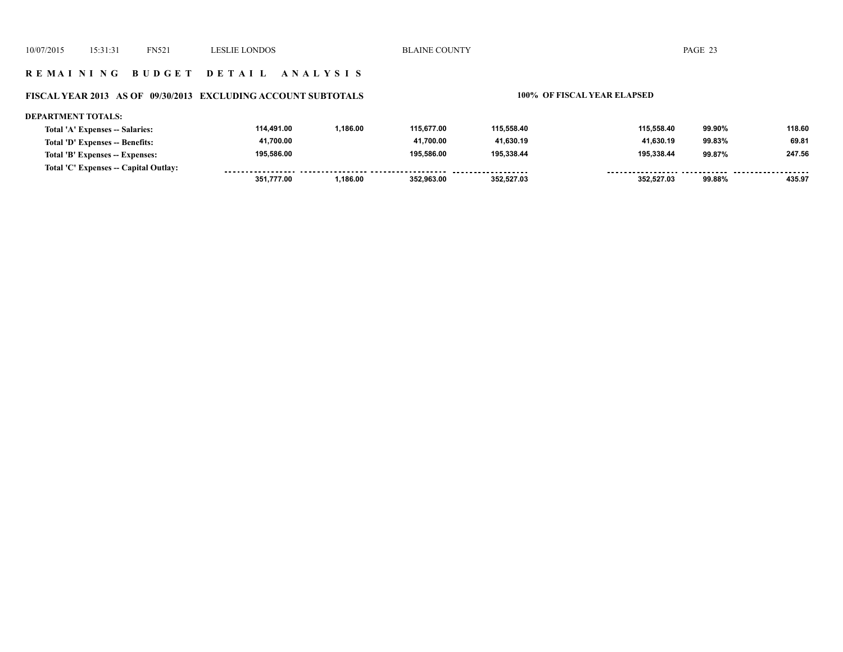## **R E M A I N I N G B U D G E T D E T A I L A N A L Y S I S**

# **FISCAL YEAR 2013 AS OF 09/30/2013 EXCLUDING ACCOUNT SUBTOTALS 100% OF FISCAL YEAR ELAPSED**

| DEPARTMENT TOTALS:                    |            |          |            |            |            |        |        |
|---------------------------------------|------------|----------|------------|------------|------------|--------|--------|
| Total 'A' Expenses -- Salaries:       | 114.491.00 | 1.186.00 | 115.677.00 | 115.558.40 | 115.558.40 | 99.90% | 118.60 |
| Total 'D' Expenses -- Benefits:       | 41,700.00  |          | 41.700.00  | 41,630.19  | 41.630.19  | 99.83% | 69.81  |
| Total 'B' Expenses -- Expenses:       | 195.586.00 |          | 195.586.00 | 195.338.44 | 195.338.44 | 99.87% | 247.56 |
| Total 'C' Expenses -- Capital Outlay: |            |          |            |            |            |        |        |
|                                       | 351.777.00 | .186.00  | 352.963.00 | 352.527.03 | 352.527.03 | 99.88% | 435.97 |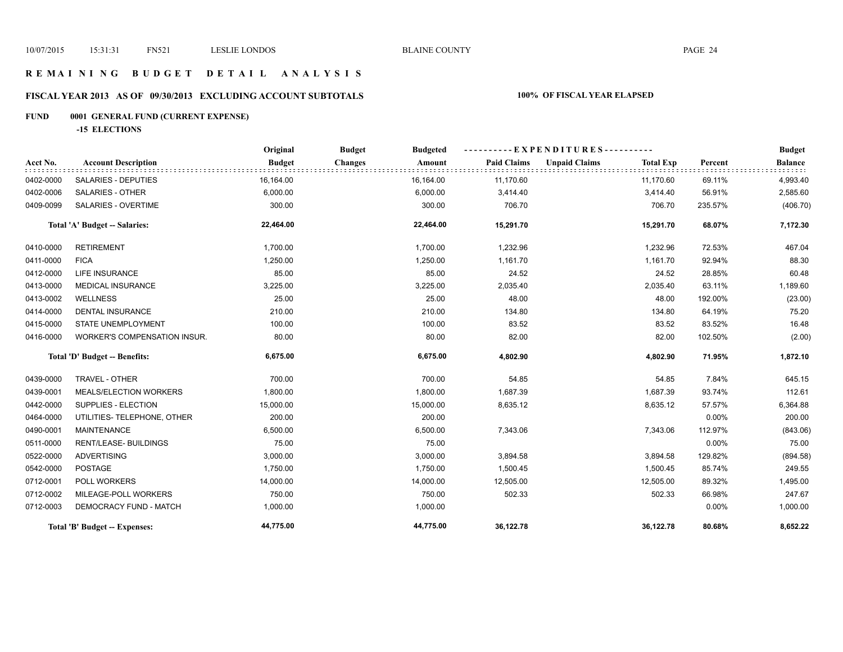## **R E M A I N I N G B U D G E T D E T A I L A N A L Y S I S**

# **FISCAL YEAR 2013 AS OF 09/30/2013 EXCLUDING ACCOUNT SUBTOTALS 100% OF FISCAL YEAR ELAPSED**

# **FUND 0001 GENERAL FUND (CURRENT EXPENSE)**

**-15 ELECTIONS**

|           |                                     | Original      | <b>Budget</b>  | <b>Budgeted</b> | EXPENDITURES---------- |                      |                  |          | <b>Budget</b>  |
|-----------|-------------------------------------|---------------|----------------|-----------------|------------------------|----------------------|------------------|----------|----------------|
| Acct No.  | <b>Account Description</b>          | <b>Budget</b> | <b>Changes</b> | Amount          | <b>Paid Claims</b>     | <b>Unpaid Claims</b> | <b>Total Exp</b> | Percent  | <b>Balance</b> |
| 0402-0000 | SALARIES - DEPUTIES                 | 16,164.00     |                | 16,164.00       | 11,170.60              |                      | 11,170.60        | 69.11%   | 4,993.40       |
| 0402-0006 | <b>SALARIES - OTHER</b>             | 6,000.00      |                | 6,000.00        | 3,414.40               |                      | 3,414.40         | 56.91%   | 2,585.60       |
| 0409-0099 | <b>SALARIES - OVERTIME</b>          | 300.00        |                | 300.00          | 706.70                 |                      | 706.70           | 235.57%  | (406.70)       |
|           | Total 'A' Budget -- Salaries:       | 22,464.00     |                | 22,464.00       | 15,291.70              |                      | 15,291.70        | 68.07%   | 7,172.30       |
| 0410-0000 | <b>RETIREMENT</b>                   | 1,700.00      |                | 1,700.00        | 1,232.96               |                      | 1,232.96         | 72.53%   | 467.04         |
| 0411-0000 | <b>FICA</b>                         | 1,250.00      |                | 1,250.00        | 1,161.70               |                      | 1,161.70         | 92.94%   | 88.30          |
| 0412-0000 | <b>LIFE INSURANCE</b>               | 85.00         |                | 85.00           | 24.52                  |                      | 24.52            | 28.85%   | 60.48          |
| 0413-0000 | <b>MEDICAL INSURANCE</b>            | 3,225.00      |                | 3,225.00        | 2,035.40               |                      | 2,035.40         | 63.11%   | 1,189.60       |
| 0413-0002 | <b>WELLNESS</b>                     | 25.00         |                | 25.00           | 48.00                  |                      | 48.00            | 192.00%  | (23.00)        |
| 0414-0000 | <b>DENTAL INSURANCE</b>             | 210.00        |                | 210.00          | 134.80                 |                      | 134.80           | 64.19%   | 75.20          |
| 0415-0000 | <b>STATE UNEMPLOYMENT</b>           | 100.00        |                | 100.00          | 83.52                  |                      | 83.52            | 83.52%   | 16.48          |
| 0416-0000 | <b>WORKER'S COMPENSATION INSUR.</b> | 80.00         |                | 80.00           | 82.00                  |                      | 82.00            | 102.50%  | (2.00)         |
|           | Total 'D' Budget -- Benefits:       | 6,675.00      |                | 6,675.00        | 4,802.90               |                      | 4,802.90         | 71.95%   | 1,872.10       |
| 0439-0000 | TRAVEL - OTHER                      | 700.00        |                | 700.00          | 54.85                  |                      | 54.85            | 7.84%    | 645.15         |
| 0439-0001 | MEALS/ELECTION WORKERS              | 1,800.00      |                | 1,800.00        | 1,687.39               |                      | 1,687.39         | 93.74%   | 112.61         |
| 0442-0000 | SUPPLIES - ELECTION                 | 15,000.00     |                | 15,000.00       | 8,635.12               |                      | 8,635.12         | 57.57%   | 6,364.88       |
| 0464-0000 | UTILITIES- TELEPHONE, OTHER         | 200.00        |                | 200.00          |                        |                      |                  | $0.00\%$ | 200.00         |
| 0490-0001 | <b>MAINTENANCE</b>                  | 6,500.00      |                | 6,500.00        | 7,343.06               |                      | 7,343.06         | 112.97%  | (843.06)       |
| 0511-0000 | RENT/LEASE- BUILDINGS               | 75.00         |                | 75.00           |                        |                      |                  | $0.00\%$ | 75.00          |
| 0522-0000 | <b>ADVERTISING</b>                  | 3,000.00      |                | 3,000.00        | 3,894.58               |                      | 3,894.58         | 129.82%  | (894.58)       |
| 0542-0000 | <b>POSTAGE</b>                      | 1,750.00      |                | 1,750.00        | 1,500.45               |                      | 1,500.45         | 85.74%   | 249.55         |
| 0712-0001 | POLL WORKERS                        | 14,000.00     |                | 14,000.00       | 12,505.00              |                      | 12,505.00        | 89.32%   | 1,495.00       |
| 0712-0002 | MILEAGE-POLL WORKERS                | 750.00        |                | 750.00          | 502.33                 |                      | 502.33           | 66.98%   | 247.67         |
| 0712-0003 | DEMOCRACY FUND - MATCH              | 1,000.00      |                | 1,000.00        |                        |                      |                  | $0.00\%$ | 1,000.00       |
|           | Total 'B' Budget -- Expenses:       | 44,775.00     |                | 44,775.00       | 36,122.78              |                      | 36,122.78        | 80.68%   | 8,652.22       |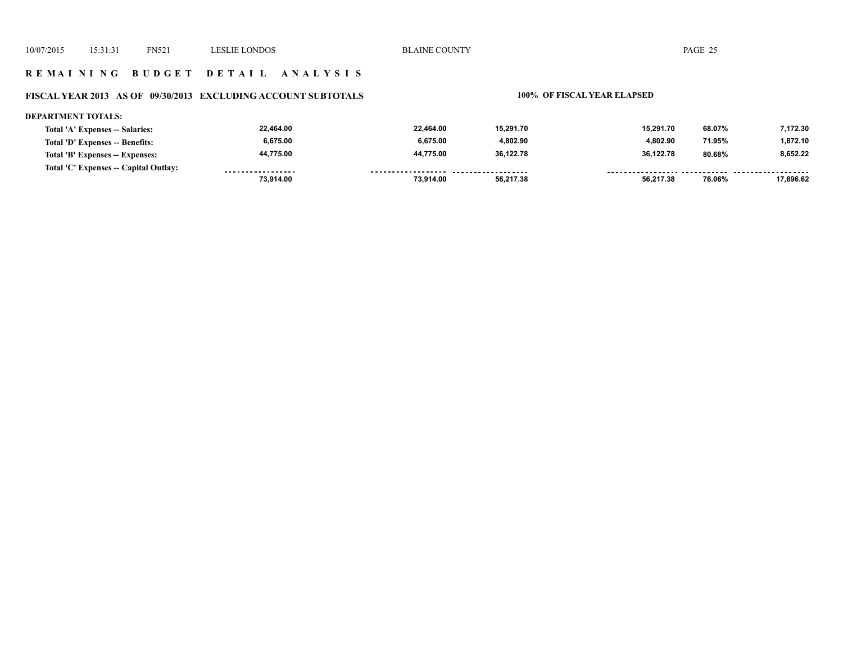## **R E M A I N I N G B U D G E T D E T A I L A N A L Y S I S**

# **FISCAL YEAR 2013 AS OF 09/30/2013 EXCLUDING ACCOUNT SUBTOTALS 100% OF FISCAL YEAR ELAPSED**

### **DEPARTMENT TOTALS:**

| Total 'A' Expenses -- Salaries:       | 22,464.00         | 22.464.00          | 15.291.70           | 15.291.70 | 68.07% | 7.172.30  |
|---------------------------------------|-------------------|--------------------|---------------------|-----------|--------|-----------|
| Total 'D' Expenses -- Benefits:       | 6,675.00          | 6.675.00           | 4.802.90            | 4.802.90  | 71.95% | 1.872.10  |
| Total 'B' Expenses -- Expenses:       | 44,775.00         | 44.775.00          | 36.122.78           | 36,122.78 | 80.68% | 8.652.22  |
| Total 'C' Expenses -- Capital Outlay: | ----------------- | ------------------ | ------------------- |           |        |           |
|                                       | 73,914.00         | 73.914.00          | 56.217.38           | 56.217.38 | 76.06% | 17.696.62 |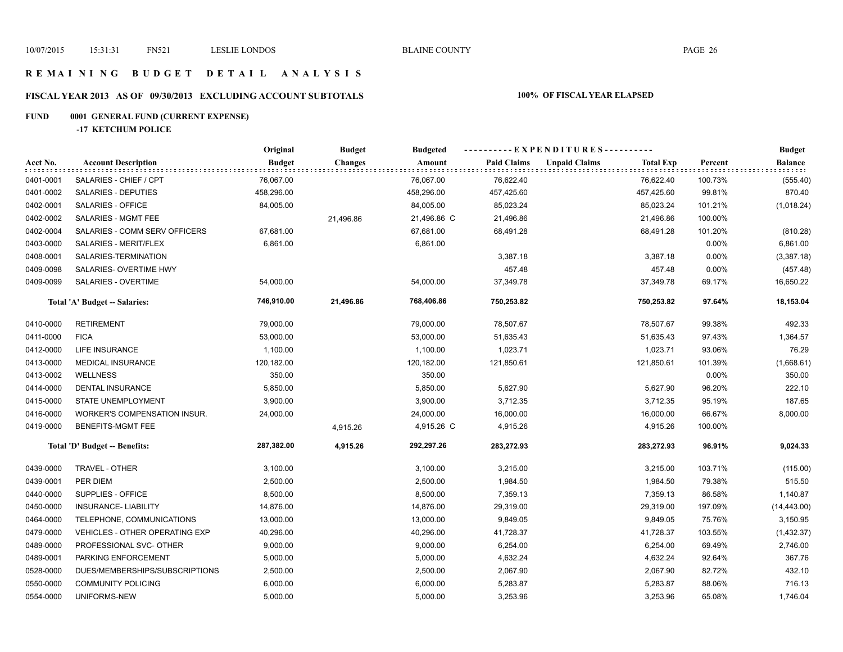## **R E M A I N I N G B U D G E T D E T A I L A N A L Y S I S**

# **FISCAL YEAR 2013 AS OF 09/30/2013 EXCLUDING ACCOUNT SUBTOTALS 100% OF FISCAL YEAR ELAPSED**

# **FUND 0001 GENERAL FUND (CURRENT EXPENSE)**

**-17 KETCHUM POLICE**

|           |                                       | Original      | <b>Budget</b>  | <b>Budgeted</b> | ----------EXPENDITURES---------- |                      |                  |         | <b>Budget</b>  |
|-----------|---------------------------------------|---------------|----------------|-----------------|----------------------------------|----------------------|------------------|---------|----------------|
| Acct No.  | <b>Account Description</b>            | <b>Budget</b> | <b>Changes</b> | Amount          | <b>Paid Claims</b>               | <b>Unpaid Claims</b> | <b>Total Exp</b> | Percent | <b>Balance</b> |
| 0401-0001 | SALARIES - CHIEF / CPT                | 76,067.00     |                | 76,067.00       | 76,622.40                        |                      | 76,622.40        | 100.73% | (555.40)       |
| 0401-0002 | SALARIES - DEPUTIES                   | 458,296.00    |                | 458,296.00      | 457,425.60                       |                      | 457,425.60       | 99.81%  | 870.40         |
| 0402-0001 | SALARIES - OFFICE                     | 84,005.00     |                | 84,005.00       | 85,023.24                        |                      | 85,023.24        | 101.21% | (1,018.24)     |
| 0402-0002 | SALARIES - MGMT FEE                   |               | 21,496.86      | 21,496.86 C     | 21,496.86                        |                      | 21,496.86        | 100.00% |                |
| 0402-0004 | SALARIES - COMM SERV OFFICERS         | 67,681.00     |                | 67,681.00       | 68,491.28                        |                      | 68,491.28        | 101.20% | (810.28)       |
| 0403-0000 | SALARIES - MERIT/FLEX                 | 6,861.00      |                | 6,861.00        |                                  |                      |                  | 0.00%   | 6,861.00       |
| 0408-0001 | SALARIES-TERMINATION                  |               |                |                 | 3,387.18                         |                      | 3,387.18         | 0.00%   | (3,387.18)     |
| 0409-0098 | SALARIES- OVERTIME HWY                |               |                |                 | 457.48                           |                      | 457.48           | 0.00%   | (457.48)       |
| 0409-0099 | SALARIES - OVERTIME                   | 54,000.00     |                | 54,000.00       | 37,349.78                        |                      | 37,349.78        | 69.17%  | 16,650.22      |
|           | Total 'A' Budget -- Salaries:         | 746,910.00    | 21,496.86      | 768,406.86      | 750,253.82                       |                      | 750,253.82       | 97.64%  | 18,153.04      |
| 0410-0000 | <b>RETIREMENT</b>                     | 79,000.00     |                | 79,000.00       | 78,507.67                        |                      | 78,507.67        | 99.38%  | 492.33         |
| 0411-0000 | <b>FICA</b>                           | 53,000.00     |                | 53,000.00       | 51,635.43                        |                      | 51,635.43        | 97.43%  | 1,364.57       |
| 0412-0000 | <b>LIFE INSURANCE</b>                 | 1,100.00      |                | 1,100.00        | 1,023.71                         |                      | 1,023.71         | 93.06%  | 76.29          |
| 0413-0000 | <b>MEDICAL INSURANCE</b>              | 120,182.00    |                | 120,182.00      | 121,850.61                       |                      | 121,850.61       | 101.39% | (1,668.61)     |
| 0413-0002 | <b>WELLNESS</b>                       | 350.00        |                | 350.00          |                                  |                      |                  | 0.00%   | 350.00         |
| 0414-0000 | DENTAL INSURANCE                      | 5,850.00      |                | 5,850.00        | 5,627.90                         |                      | 5,627.90         | 96.20%  | 222.10         |
| 0415-0000 | STATE UNEMPLOYMENT                    | 3,900.00      |                | 3,900.00        | 3,712.35                         |                      | 3,712.35         | 95.19%  | 187.65         |
| 0416-0000 | WORKER'S COMPENSATION INSUR.          | 24,000.00     |                | 24,000.00       | 16,000.00                        |                      | 16,000.00        | 66.67%  | 8,000.00       |
| 0419-0000 | BENEFITS-MGMT FEE                     |               | 4,915.26       | 4,915.26 C      | 4,915.26                         |                      | 4,915.26         | 100.00% |                |
|           | Total 'D' Budget -- Benefits:         | 287,382.00    | 4,915.26       | 292,297.26      | 283,272.93                       |                      | 283,272.93       | 96.91%  | 9,024.33       |
| 0439-0000 | TRAVEL - OTHER                        | 3,100.00      |                | 3,100.00        | 3,215.00                         |                      | 3,215.00         | 103.71% | (115.00)       |
| 0439-0001 | PER DIEM                              | 2,500.00      |                | 2,500.00        | 1,984.50                         |                      | 1,984.50         | 79.38%  | 515.50         |
| 0440-0000 | SUPPLIES - OFFICE                     | 8,500.00      |                | 8,500.00        | 7,359.13                         |                      | 7,359.13         | 86.58%  | 1,140.87       |
| 0450-0000 | <b>INSURANCE- LIABILITY</b>           | 14,876.00     |                | 14,876.00       | 29,319.00                        |                      | 29,319.00        | 197.09% | (14, 443.00)   |
| 0464-0000 | TELEPHONE, COMMUNICATIONS             | 13,000.00     |                | 13,000.00       | 9,849.05                         |                      | 9,849.05         | 75.76%  | 3,150.95       |
| 0479-0000 | <b>VEHICLES - OTHER OPERATING EXP</b> | 40,296.00     |                | 40,296.00       | 41,728.37                        |                      | 41,728.37        | 103.55% | (1,432.37)     |
| 0489-0000 | PROFESSIONAL SVC- OTHER               | 9,000.00      |                | 9,000.00        | 6,254.00                         |                      | 6,254.00         | 69.49%  | 2,746.00       |
| 0489-0001 | PARKING ENFORCEMENT                   | 5,000.00      |                | 5,000.00        | 4,632.24                         |                      | 4,632.24         | 92.64%  | 367.76         |
| 0528-0000 | DUES/MEMBERSHIPS/SUBSCRIPTIONS        | 2,500.00      |                | 2,500.00        | 2,067.90                         |                      | 2,067.90         | 82.72%  | 432.10         |
| 0550-0000 | <b>COMMUNITY POLICING</b>             | 6,000.00      |                | 6,000.00        | 5,283.87                         |                      | 5,283.87         | 88.06%  | 716.13         |
| 0554-0000 | UNIFORMS-NEW                          | 5,000.00      |                | 5,000.00        | 3,253.96                         |                      | 3,253.96         | 65.08%  | 1,746.04       |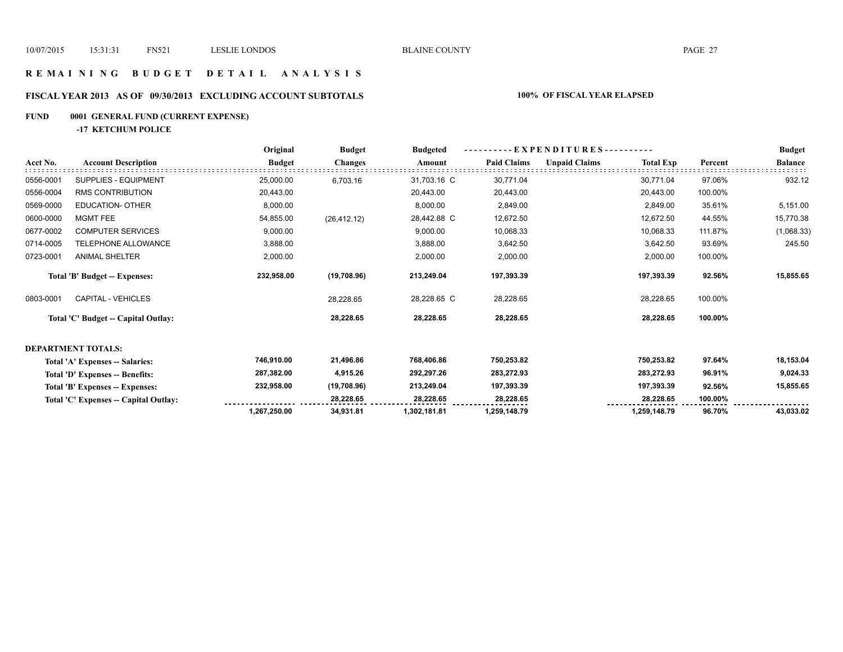## **R E M A I N I N G B U D G E T D E T A I L A N A L Y S I S**

# **FISCAL YEAR 2013 AS OF 09/30/2013 EXCLUDING ACCOUNT SUBTOTALS 100% OF FISCAL YEAR ELAPSED**

# **FUND 0001 GENERAL FUND (CURRENT EXPENSE)**

**-17 KETCHUM POLICE**

|           |                                       | Original      | <b>Budget</b>  | <b>Budgeted</b> | - EXPENDITURES - - - - - - - - - - |                      |                  |         | <b>Budget</b>  |
|-----------|---------------------------------------|---------------|----------------|-----------------|------------------------------------|----------------------|------------------|---------|----------------|
| Acct No.  | <b>Account Description</b>            | <b>Budget</b> | <b>Changes</b> | Amount          | <b>Paid Claims</b>                 | <b>Unpaid Claims</b> | <b>Total Exp</b> | Percent | <b>Balance</b> |
| 0556-0001 | <b>SUPPLIES - EQUIPMENT</b>           | 25,000.00     | 6,703.16       | 31,703.16 C     | 30,771.04                          |                      | 30,771.04        | 97.06%  | 932.12         |
| 0556-0004 | <b>RMS CONTRIBUTION</b>               | 20,443.00     |                | 20,443.00       | 20,443.00                          |                      | 20,443.00        | 100.00% |                |
| 0569-0000 | <b>EDUCATION- OTHER</b>               | 8,000.00      |                | 8,000.00        | 2,849.00                           |                      | 2,849.00         | 35.61%  | 5,151.00       |
| 0600-0000 | <b>MGMT FEE</b>                       | 54,855.00     | (26, 412.12)   | 28,442.88 C     | 12,672.50                          |                      | 12,672.50        | 44.55%  | 15,770.38      |
| 0677-0002 | <b>COMPUTER SERVICES</b>              | 9,000.00      |                | 9,000.00        | 10,068.33                          |                      | 10,068.33        | 111.87% | (1,068.33)     |
| 0714-0005 | TELEPHONE ALLOWANCE                   | 3,888.00      |                | 3,888.00        | 3,642.50                           |                      | 3,642.50         | 93.69%  | 245.50         |
| 0723-0001 | <b>ANIMAL SHELTER</b>                 | 2,000.00      |                | 2,000.00        | 2,000.00                           |                      | 2,000.00         | 100.00% |                |
|           | Total 'B' Budget -- Expenses:         | 232,958.00    | (19,708.96)    | 213,249.04      | 197,393.39                         |                      | 197,393.39       | 92.56%  | 15,855.65      |
| 0803-0001 | <b>CAPITAL - VEHICLES</b>             |               | 28,228.65      | 28,228.65 C     | 28,228.65                          |                      | 28,228.65        | 100.00% |                |
|           | Total 'C' Budget -- Capital Outlay:   |               | 28,228.65      | 28,228.65       | 28,228.65                          |                      | 28,228.65        | 100.00% |                |
|           | <b>DEPARTMENT TOTALS:</b>             |               |                |                 |                                    |                      |                  |         |                |
|           | Total 'A' Expenses -- Salaries:       | 746,910.00    | 21,496.86      | 768,406.86      | 750,253.82                         |                      | 750,253.82       | 97.64%  | 18,153.04      |
|           | Total 'D' Expenses -- Benefits:       | 287,382.00    | 4,915.26       | 292,297.26      | 283,272.93                         |                      | 283,272.93       | 96.91%  | 9,024.33       |
|           | Total 'B' Expenses -- Expenses:       | 232,958.00    | (19,708.96)    | 213,249.04      | 197,393.39                         |                      | 197,393.39       | 92.56%  | 15,855.65      |
|           | Total 'C' Expenses -- Capital Outlay: |               | 28,228.65      | 28,228.65       | 28,228.65                          |                      | 28,228.65        | 100.00% |                |
|           |                                       | 1,267,250.00  | 34,931.81      | 1,302,181.81    | 1,259,148.79                       |                      | 1,259,148.79     | 96.70%  | 43,033.02      |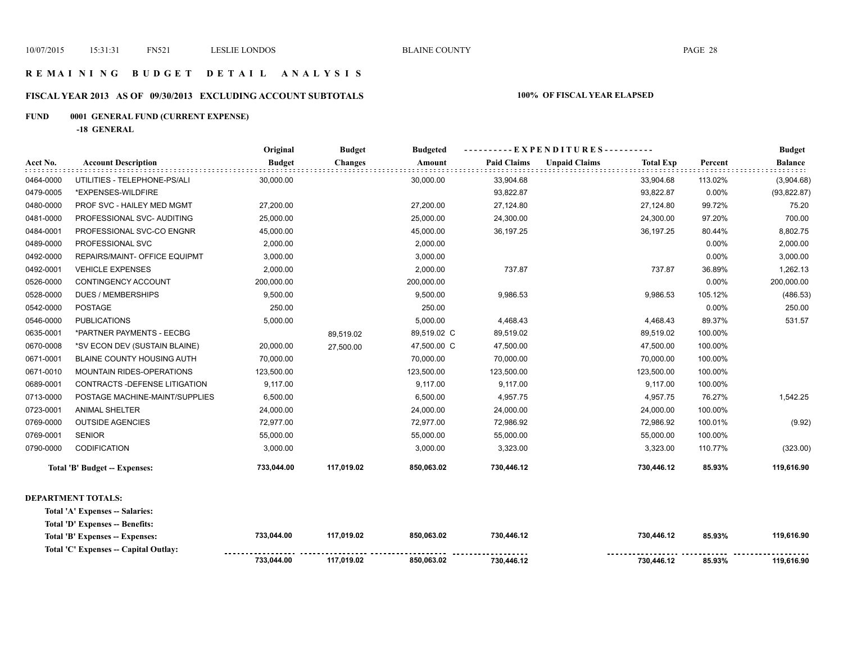## **R E M A I N I N G B U D G E T D E T A I L A N A L Y S I S**

# **FISCAL YEAR 2013 AS OF 09/30/2013 EXCLUDING ACCOUNT SUBTOTALS 100% OF FISCAL YEAR ELAPSED**

# **FUND 0001 GENERAL FUND (CURRENT EXPENSE)**

**-18 GENERAL**

|           |                                       | Original      | <b>Budget</b>  | <b>Budgeted</b> | $-EXPENDITURES$ --------- |                      |                  |         | <b>Budget</b>  |
|-----------|---------------------------------------|---------------|----------------|-----------------|---------------------------|----------------------|------------------|---------|----------------|
| Acct No.  | <b>Account Description</b>            | <b>Budget</b> | <b>Changes</b> | Amount          | <b>Paid Claims</b>        | <b>Unpaid Claims</b> | <b>Total Exp</b> | Percent | <b>Balance</b> |
| 0464-0000 | UTILITIES - TELEPHONE-PS/ALI          | 30,000.00     |                | 30,000.00       | 33,904.68                 |                      | 33,904.68        | 113.02% | (3,904.68)     |
| 0479-0005 | *EXPENSES-WILDFIRE                    |               |                |                 | 93,822.87                 |                      | 93,822.87        | 0.00%   | (93, 822.87)   |
| 0480-0000 | PROF SVC - HAILEY MED MGMT            | 27,200.00     |                | 27,200.00       | 27,124.80                 |                      | 27,124.80        | 99.72%  | 75.20          |
| 0481-0000 | PROFESSIONAL SVC- AUDITING            | 25,000.00     |                | 25,000.00       | 24,300.00                 |                      | 24,300.00        | 97.20%  | 700.00         |
| 0484-0001 | PROFESSIONAL SVC-CO ENGNR             | 45,000.00     |                | 45,000.00       | 36,197.25                 |                      | 36,197.25        | 80.44%  | 8,802.75       |
| 0489-0000 | PROFESSIONAL SVC                      | 2,000.00      |                | 2,000.00        |                           |                      |                  | 0.00%   | 2,000.00       |
| 0492-0000 | REPAIRS/MAINT- OFFICE EQUIPMT         | 3,000.00      |                | 3,000.00        |                           |                      |                  | 0.00%   | 3,000.00       |
| 0492-0001 | <b>VEHICLE EXPENSES</b>               | 2,000.00      |                | 2,000.00        | 737.87                    |                      | 737.87           | 36.89%  | 1,262.13       |
| 0526-0000 | CONTINGENCY ACCOUNT                   | 200,000.00    |                | 200,000.00      |                           |                      |                  | 0.00%   | 200,000.00     |
| 0528-0000 | <b>DUES / MEMBERSHIPS</b>             | 9,500.00      |                | 9,500.00        | 9,986.53                  |                      | 9,986.53         | 105.12% | (486.53)       |
| 0542-0000 | <b>POSTAGE</b>                        | 250.00        |                | 250.00          |                           |                      |                  | 0.00%   | 250.00         |
| 0546-0000 | <b>PUBLICATIONS</b>                   | 5,000.00      |                | 5,000.00        | 4,468.43                  |                      | 4,468.43         | 89.37%  | 531.57         |
| 0635-0001 | *PARTNER PAYMENTS - EECBG             |               | 89,519.02      | 89,519.02 C     | 89,519.02                 |                      | 89,519.02        | 100.00% |                |
| 0670-0008 | *SV ECON DEV (SUSTAIN BLAINE)         | 20,000.00     | 27,500.00      | 47,500.00 C     | 47,500.00                 |                      | 47,500.00        | 100.00% |                |
| 0671-0001 | BLAINE COUNTY HOUSING AUTH            | 70,000.00     |                | 70,000.00       | 70,000.00                 |                      | 70,000.00        | 100.00% |                |
| 0671-0010 | MOUNTAIN RIDES-OPERATIONS             | 123,500.00    |                | 123,500.00      | 123,500.00                |                      | 123,500.00       | 100.00% |                |
| 0689-0001 | CONTRACTS - DEFENSE LITIGATION        | 9,117.00      |                | 9,117.00        | 9,117.00                  |                      | 9,117.00         | 100.00% |                |
| 0713-0000 | POSTAGE MACHINE-MAINT/SUPPLIES        | 6,500.00      |                | 6,500.00        | 4,957.75                  |                      | 4,957.75         | 76.27%  | 1,542.25       |
| 0723-0001 | <b>ANIMAL SHELTER</b>                 | 24,000.00     |                | 24,000.00       | 24,000.00                 |                      | 24,000.00        | 100.00% |                |
| 0769-0000 | <b>OUTSIDE AGENCIES</b>               | 72,977.00     |                | 72,977.00       | 72,986.92                 |                      | 72,986.92        | 100.01% | (9.92)         |
| 0769-0001 | <b>SENIOR</b>                         | 55,000.00     |                | 55,000.00       | 55,000.00                 |                      | 55,000.00        | 100.00% |                |
| 0790-0000 | CODIFICATION                          | 3,000.00      |                | 3,000.00        | 3,323.00                  |                      | 3,323.00         | 110.77% | (323.00)       |
|           | Total 'B' Budget -- Expenses:         | 733,044.00    | 117,019.02     | 850,063.02      | 730,446.12                |                      | 730,446.12       | 85.93%  | 119,616.90     |
|           | <b>DEPARTMENT TOTALS:</b>             |               |                |                 |                           |                      |                  |         |                |
|           | Total 'A' Expenses -- Salaries:       |               |                |                 |                           |                      |                  |         |                |
|           | Total 'D' Expenses -- Benefits:       |               |                |                 |                           |                      |                  |         |                |
|           | Total 'B' Expenses -- Expenses:       | 733,044.00    | 117,019.02     | 850,063.02      | 730,446.12                |                      | 730,446.12       | 85.93%  | 119,616.90     |
|           | Total 'C' Expenses -- Capital Outlay: |               |                |                 |                           |                      |                  |         |                |
|           |                                       | 733,044.00    | 117,019.02     | 850,063.02      | 730,446.12                |                      | 730,446.12       | 85.93%  | 119,616.90     |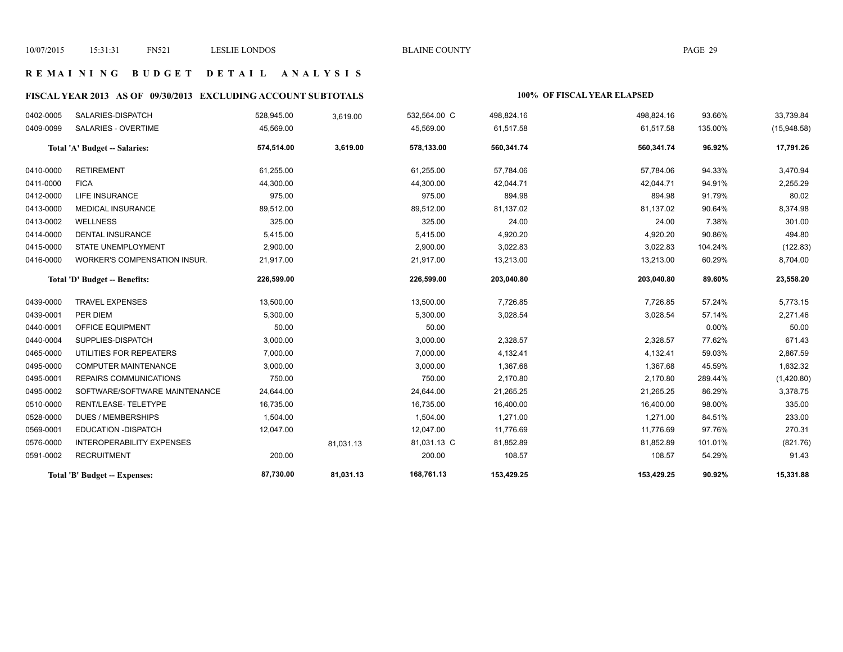## **R E M A I N I N G B U D G E T D E T A I L A N A L Y S I S**

# **FISCAL YEAR 2013 AS OF 09/30/2013 EXCLUDING ACCOUNT SUBTOTALS 100% OF FISCAL YEAR ELAPSED**

| 0402-0005 | SALARIES-DISPATCH                | 528,945.00 | 3,619.00  | 532,564.00 C | 498,824.16 | 498,824.16 | 93.66%   | 33,739.84   |
|-----------|----------------------------------|------------|-----------|--------------|------------|------------|----------|-------------|
| 0409-0099 | SALARIES - OVERTIME              | 45,569.00  |           | 45,569.00    | 61,517.58  | 61,517.58  | 135.00%  | (15,948.58) |
|           | Total 'A' Budget -- Salaries:    | 574,514.00 | 3,619.00  | 578,133.00   | 560,341.74 | 560,341.74 | 96.92%   | 17,791.26   |
| 0410-0000 | <b>RETIREMENT</b>                | 61,255.00  |           | 61,255.00    | 57,784.06  | 57,784.06  | 94.33%   | 3,470.94    |
| 0411-0000 | <b>FICA</b>                      | 44,300.00  |           | 44,300.00    | 42,044.71  | 42,044.71  | 94.91%   | 2,255.29    |
| 0412-0000 | <b>LIFE INSURANCE</b>            | 975.00     |           | 975.00       | 894.98     | 894.98     | 91.79%   | 80.02       |
| 0413-0000 | <b>MEDICAL INSURANCE</b>         | 89,512.00  |           | 89,512.00    | 81,137.02  | 81,137.02  | 90.64%   | 8,374.98    |
| 0413-0002 | WELLNESS                         | 325.00     |           | 325.00       | 24.00      | 24.00      | 7.38%    | 301.00      |
| 0414-0000 | <b>DENTAL INSURANCE</b>          | 5,415.00   |           | 5,415.00     | 4,920.20   | 4,920.20   | 90.86%   | 494.80      |
| 0415-0000 | STATE UNEMPLOYMENT               | 2,900.00   |           | 2,900.00     | 3,022.83   | 3,022.83   | 104.24%  | (122.83)    |
| 0416-0000 | WORKER'S COMPENSATION INSUR.     | 21,917.00  |           | 21,917.00    | 13,213.00  | 13,213.00  | 60.29%   | 8,704.00    |
|           | Total 'D' Budget -- Benefits:    | 226,599.00 |           | 226,599.00   | 203,040.80 | 203,040.80 | 89.60%   | 23,558.20   |
| 0439-0000 | <b>TRAVEL EXPENSES</b>           | 13,500.00  |           | 13,500.00    | 7,726.85   | 7,726.85   | 57.24%   | 5,773.15    |
| 0439-0001 | PER DIEM                         | 5,300.00   |           | 5,300.00     | 3,028.54   | 3,028.54   | 57.14%   | 2,271.46    |
| 0440-0001 | OFFICE EQUIPMENT                 | 50.00      |           | 50.00        |            |            | $0.00\%$ | 50.00       |
| 0440-0004 | SUPPLIES-DISPATCH                | 3,000.00   |           | 3,000.00     | 2,328.57   | 2,328.57   | 77.62%   | 671.43      |
| 0465-0000 | UTILITIES FOR REPEATERS          | 7,000.00   |           | 7,000.00     | 4,132.41   | 4,132.41   | 59.03%   | 2,867.59    |
| 0495-0000 | <b>COMPUTER MAINTENANCE</b>      | 3,000.00   |           | 3,000.00     | 1,367.68   | 1,367.68   | 45.59%   | 1,632.32    |
| 0495-0001 | REPAIRS COMMUNICATIONS           | 750.00     |           | 750.00       | 2,170.80   | 2,170.80   | 289.44%  | (1,420.80)  |
| 0495-0002 | SOFTWARE/SOFTWARE MAINTENANCE    | 24,644.00  |           | 24,644.00    | 21,265.25  | 21,265.25  | 86.29%   | 3,378.75    |
| 0510-0000 | RENT/LEASE-TELETYPE              | 16,735.00  |           | 16,735.00    | 16,400.00  | 16,400.00  | 98.00%   | 335.00      |
| 0528-0000 | <b>DUES / MEMBERSHIPS</b>        | 1,504.00   |           | 1,504.00     | 1,271.00   | 1,271.00   | 84.51%   | 233.00      |
| 0569-0001 | <b>EDUCATION -DISPATCH</b>       | 12,047.00  |           | 12,047.00    | 11,776.69  | 11,776.69  | 97.76%   | 270.31      |
| 0576-0000 | <b>INTEROPERABILITY EXPENSES</b> |            | 81,031.13 | 81,031.13 C  | 81,852.89  | 81,852.89  | 101.01%  | (821.76)    |
| 0591-0002 | <b>RECRUITMENT</b>               | 200.00     |           | 200.00       | 108.57     | 108.57     | 54.29%   | 91.43       |
|           | Total 'B' Budget -- Expenses:    | 87,730.00  | 81,031.13 | 168,761.13   | 153,429.25 | 153,429.25 | 90.92%   | 15,331.88   |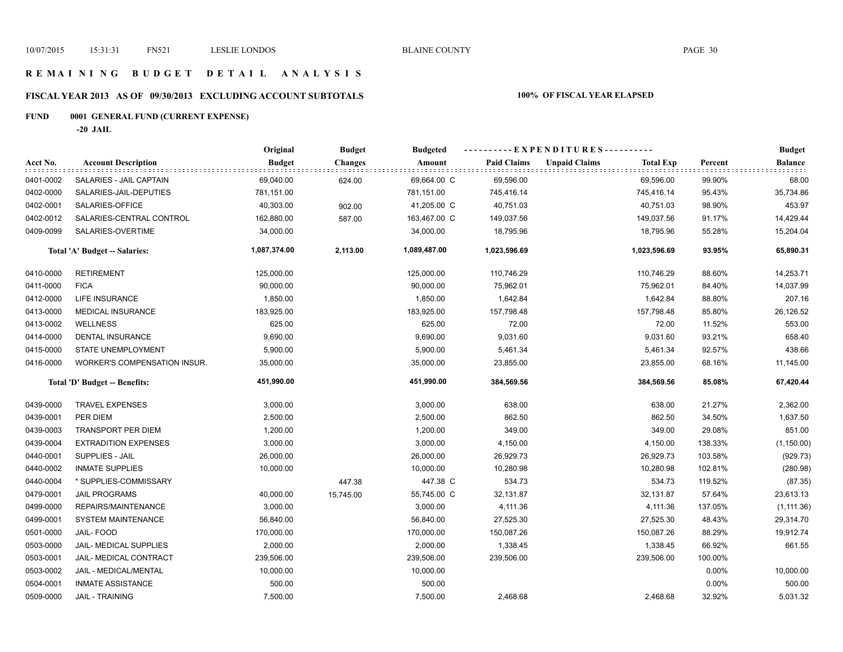## **R E M A I N I N G B U D G E T D E T A I L A N A L Y S I S**

# **FISCAL YEAR 2013 AS OF 09/30/2013 EXCLUDING ACCOUNT SUBTOTALS 100% OF FISCAL YEAR ELAPSED**

# **FUND 0001 GENERAL FUND (CURRENT EXPENSE)**

**-20 JAIL**

|           |                                     | Original      | <b>Budget</b>  | <b>Budgeted</b> | ----------EXPENDITURES---------- |                                          |         | <b>Budget</b>  |
|-----------|-------------------------------------|---------------|----------------|-----------------|----------------------------------|------------------------------------------|---------|----------------|
| Acct No.  | <b>Account Description</b>          | <b>Budget</b> | <b>Changes</b> | Amount          | <b>Paid Claims</b>               | <b>Unpaid Claims</b><br><b>Total Exp</b> | Percent | <b>Balance</b> |
| 0401-0002 | SALARIES - JAIL CAPTAIN             | 69,040.00     | 624.00         | 69,664.00 C     | 69,596.00                        | 69,596.00                                | 99.90%  | 68.00          |
| 0402-0000 | SALARIES-JAIL-DEPUTIES              | 781,151.00    |                | 781,151.00      | 745,416.14                       | 745,416.14                               | 95.43%  | 35,734.86      |
| 0402-0001 | SALARIES-OFFICE                     | 40,303.00     | 902.00         | 41,205.00 C     | 40,751.03                        | 40,751.03                                | 98.90%  | 453.97         |
| 0402-0012 | SALARIES-CENTRAL CONTROL            | 162,880.00    | 587.00         | 163,467.00 C    | 149,037.56                       | 149,037.56                               | 91.17%  | 14,429.44      |
| 0409-0099 | SALARIES-OVERTIME                   | 34,000.00     |                | 34,000.00       | 18,795.96                        | 18,795.96                                | 55.28%  | 15,204.04      |
|           | Total 'A' Budget -- Salaries:       | 1,087,374.00  | 2,113.00       | 1,089,487.00    | 1,023,596.69                     | 1,023,596.69                             | 93.95%  | 65,890.31      |
| 0410-0000 | <b>RETIREMENT</b>                   | 125,000.00    |                | 125,000.00      | 110,746.29                       | 110,746.29                               | 88.60%  | 14,253.71      |
| 0411-0000 | <b>FICA</b>                         | 90,000.00     |                | 90,000.00       | 75,962.01                        | 75,962.01                                | 84.40%  | 14,037.99      |
| 0412-0000 | LIFE INSURANCE                      | 1,850.00      |                | 1,850.00        | 1,642.84                         | 1,642.84                                 | 88.80%  | 207.16         |
| 0413-0000 | <b>MEDICAL INSURANCE</b>            | 183,925.00    |                | 183,925.00      | 157,798.48                       | 157,798.48                               | 85.80%  | 26,126.52      |
| 0413-0002 | <b>WELLNESS</b>                     | 625.00        |                | 625.00          | 72.00                            | 72.00                                    | 11.52%  | 553.00         |
| 0414-0000 | <b>DENTAL INSURANCE</b>             | 9,690.00      |                | 9,690.00        | 9,031.60                         | 9,031.60                                 | 93.21%  | 658.40         |
| 0415-0000 | STATE UNEMPLOYMENT                  | 5,900.00      |                | 5,900.00        | 5,461.34                         | 5,461.34                                 | 92.57%  | 438.66         |
| 0416-0000 | <b>WORKER'S COMPENSATION INSUR.</b> | 35,000.00     |                | 35,000.00       | 23,855.00                        | 23,855.00                                | 68.16%  | 11,145.00      |
|           | Total 'D' Budget -- Benefits:       | 451,990.00    |                | 451,990.00      | 384,569.56                       | 384,569.56                               | 85.08%  | 67,420.44      |
| 0439-0000 | <b>TRAVEL EXPENSES</b>              | 3,000.00      |                | 3,000.00        | 638.00                           | 638.00                                   | 21.27%  | 2,362.00       |
| 0439-0001 | PER DIEM                            | 2,500.00      |                | 2,500.00        | 862.50                           | 862.50                                   | 34.50%  | 1,637.50       |
| 0439-0003 | <b>TRANSPORT PER DIEM</b>           | 1,200.00      |                | 1,200.00        | 349.00                           | 349.00                                   | 29.08%  | 851.00         |
| 0439-0004 | <b>EXTRADITION EXPENSES</b>         | 3,000.00      |                | 3,000.00        | 4,150.00                         | 4,150.00                                 | 138.33% | (1, 150.00)    |
| 0440-0001 | SUPPLIES - JAIL                     | 26,000.00     |                | 26,000.00       | 26,929.73                        | 26,929.73                                | 103.58% | (929.73)       |
| 0440-0002 | <b>INMATE SUPPLIES</b>              | 10,000.00     |                | 10,000.00       | 10,280.98                        | 10,280.98                                | 102.81% | (280.98)       |
| 0440-0004 | * SUPPLIES-COMMISSARY               |               | 447.38         | 447.38 C        | 534.73                           | 534.73                                   | 119.52% | (87.35)        |
| 0479-0001 | <b>JAIL PROGRAMS</b>                | 40,000.00     | 15,745.00      | 55,745.00 C     | 32,131.87                        | 32,131.87                                | 57.64%  | 23,613.13      |
| 0499-0000 | REPAIRS/MAINTENANCE                 | 3,000.00      |                | 3,000.00        | 4,111.36                         | 4,111.36                                 | 137.05% | (1, 111.36)    |
| 0499-0001 | SYSTEM MAINTENANCE                  | 56,840.00     |                | 56,840.00       | 27,525.30                        | 27,525.30                                | 48.43%  | 29,314.70      |
| 0501-0000 | <b>JAIL-FOOD</b>                    | 170,000.00    |                | 170,000.00      | 150,087.26                       | 150,087.26                               | 88.29%  | 19,912.74      |
| 0503-0000 | JAIL- MEDICAL SUPPLIES              | 2,000.00      |                | 2,000.00        | 1,338.45                         | 1,338.45                                 | 66.92%  | 661.55         |
| 0503-0001 | <b>JAIL- MEDICAL CONTRACT</b>       | 239,506.00    |                | 239,506.00      | 239,506.00                       | 239,506.00                               | 100.00% |                |
| 0503-0002 | JAIL - MEDICAL/MENTAL               | 10,000.00     |                | 10,000.00       |                                  |                                          | 0.00%   | 10,000.00      |
| 0504-0001 | <b>INMATE ASSISTANCE</b>            | 500.00        |                | 500.00          |                                  |                                          | 0.00%   | 500.00         |
| 0509-0000 | <b>JAIL - TRAINING</b>              | 7,500.00      |                | 7,500.00        | 2,468.68                         | 2,468.68                                 | 32.92%  | 5,031.32       |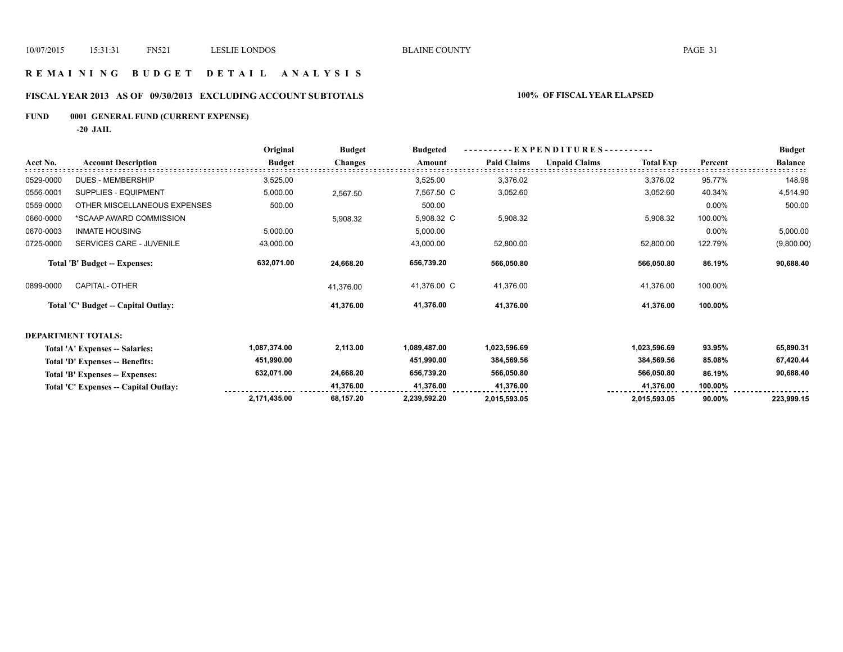# **R E M A I N I N G B U D G E T D E T A I L A N A L Y S I S**

# **FISCAL YEAR 2013 AS OF 09/30/2013 EXCLUDING ACCOUNT SUBTOTALS 100% OF FISCAL YEAR ELAPSED**

# **FUND 0001 GENERAL FUND (CURRENT EXPENSE)**

**-20 JAIL**

|           |                                       | Original      | <b>Budget</b>  | -EXPENDITURES---<br><b>Budgeted</b> |                    |                      |                  |         | <b>Budget</b>  |
|-----------|---------------------------------------|---------------|----------------|-------------------------------------|--------------------|----------------------|------------------|---------|----------------|
| Acct No.  | <b>Account Description</b>            | <b>Budget</b> | <b>Changes</b> | Amount                              | <b>Paid Claims</b> | <b>Unpaid Claims</b> | <b>Total Exp</b> | Percent | <b>Balance</b> |
| 0529-0000 | <b>DUES - MEMBERSHIP</b>              | 3,525.00      |                | 3,525.00                            | 3,376.02           |                      | 3,376.02         | 95.77%  | 148.98         |
| 0556-0001 | <b>SUPPLIES - EQUIPMENT</b>           | 5,000.00      | 2,567.50       | 7,567.50 C                          | 3,052.60           |                      | 3,052.60         | 40.34%  | 4,514.90       |
| 0559-0000 | OTHER MISCELLANEOUS EXPENSES          | 500.00        |                | 500.00                              |                    |                      |                  | 0.00%   | 500.00         |
| 0660-0000 | *SCAAP AWARD COMMISSION               |               | 5,908.32       | 5,908.32 C                          | 5,908.32           |                      | 5,908.32         | 100.00% |                |
| 0670-0003 | <b>INMATE HOUSING</b>                 | 5,000.00      |                | 5,000.00                            |                    |                      |                  | 0.00%   | 5,000.00       |
| 0725-0000 | SERVICES CARE - JUVENILE              | 43,000.00     |                | 43,000.00                           | 52,800.00          |                      | 52,800.00        | 122.79% | (9,800.00)     |
|           | <b>Total 'B' Budget -- Expenses:</b>  | 632,071.00    | 24,668.20      | 656,739.20                          | 566,050.80         |                      | 566,050.80       | 86.19%  | 90,688.40      |
| 0899-0000 | CAPITAL- OTHER                        |               | 41,376.00      | 41,376.00 C                         | 41,376.00          |                      | 41,376.00        | 100.00% |                |
|           | Total 'C' Budget -- Capital Outlay:   |               | 41,376.00      | 41,376.00                           | 41,376.00          |                      | 41,376.00        | 100.00% |                |
|           | <b>DEPARTMENT TOTALS:</b>             |               |                |                                     |                    |                      |                  |         |                |
|           | Total 'A' Expenses -- Salaries:       | 1,087,374.00  | 2,113.00       | 1,089,487.00                        | 1,023,596.69       |                      | 1,023,596.69     | 93.95%  | 65,890.31      |
|           | Total 'D' Expenses -- Benefits:       | 451,990.00    |                | 451,990.00                          | 384,569.56         |                      | 384,569.56       | 85.08%  | 67,420.44      |
|           | Total 'B' Expenses -- Expenses:       | 632,071.00    | 24,668.20      | 656,739.20                          | 566,050.80         |                      | 566,050.80       | 86.19%  | 90,688.40      |
|           | Total 'C' Expenses -- Capital Outlay: |               | 41,376.00      | 41,376.00                           | 41,376.00          |                      | 41,376.00        | 100.00% |                |
|           |                                       | 2,171,435.00  | 68,157.20      | 2,239,592.20                        | 2,015,593.05       |                      | 2,015,593.05     | 90.00%  | 223,999.15     |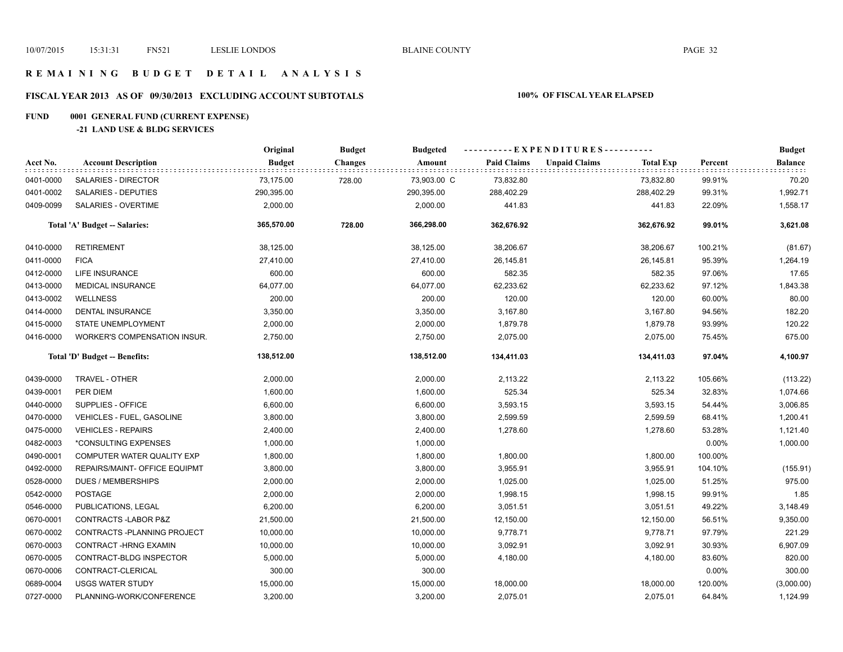## **R E M A I N I N G B U D G E T D E T A I L A N A L Y S I S**

# **FISCAL YEAR 2013 AS OF 09/30/2013 EXCLUDING ACCOUNT SUBTOTALS 100% OF FISCAL YEAR ELAPSED**

# **FUND 0001 GENERAL FUND (CURRENT EXPENSE)**

## **-21 LAND USE & BLDG SERVICES**

|           |                                      | Original      | <b>Budget</b>  | <b>Budgeted</b> | ----------EXPENDITURES---------- |                      |                  |         | <b>Budget</b>  |
|-----------|--------------------------------------|---------------|----------------|-----------------|----------------------------------|----------------------|------------------|---------|----------------|
| Acct No.  | <b>Account Description</b>           | <b>Budget</b> | <b>Changes</b> | Amount          | <b>Paid Claims</b>               | <b>Unpaid Claims</b> | <b>Total Exp</b> | Percent | <b>Balance</b> |
| 0401-0000 | SALARIES - DIRECTOR                  | 73,175.00     | 728.00         | 73,903.00 C     | 73,832.80                        |                      | 73,832.80        | 99.91%  | 70.20          |
| 0401-0002 | SALARIES - DEPUTIES                  | 290,395.00    |                | 290,395.00      | 288,402.29                       |                      | 288,402.29       | 99.31%  | 1,992.71       |
| 0409-0099 | <b>SALARIES - OVERTIME</b>           | 2,000.00      |                | 2,000.00        | 441.83                           |                      | 441.83           | 22.09%  | 1,558.17       |
|           | Total 'A' Budget -- Salaries:        | 365,570.00    | 728.00         | 366,298.00      | 362,676.92                       |                      | 362,676.92       | 99.01%  | 3,621.08       |
| 0410-0000 | <b>RETIREMENT</b>                    | 38,125.00     |                | 38,125.00       | 38,206.67                        |                      | 38,206.67        | 100.21% | (81.67)        |
| 0411-0000 | <b>FICA</b>                          | 27,410.00     |                | 27,410.00       | 26,145.81                        |                      | 26,145.81        | 95.39%  | 1,264.19       |
| 0412-0000 | LIFE INSURANCE                       | 600.00        |                | 600.00          | 582.35                           |                      | 582.35           | 97.06%  | 17.65          |
| 0413-0000 | <b>MEDICAL INSURANCE</b>             | 64,077.00     |                | 64,077.00       | 62,233.62                        |                      | 62,233.62        | 97.12%  | 1,843.38       |
| 0413-0002 | <b>WELLNESS</b>                      | 200.00        |                | 200.00          | 120.00                           |                      | 120.00           | 60.00%  | 80.00          |
| 0414-0000 | DENTAL INSURANCE                     | 3,350.00      |                | 3,350.00        | 3,167.80                         |                      | 3,167.80         | 94.56%  | 182.20         |
| 0415-0000 | STATE UNEMPLOYMENT                   | 2,000.00      |                | 2,000.00        | 1,879.78                         |                      | 1,879.78         | 93.99%  | 120.22         |
| 0416-0000 | WORKER'S COMPENSATION INSUR.         | 2,750.00      |                | 2,750.00        | 2,075.00                         |                      | 2,075.00         | 75.45%  | 675.00         |
|           | Total 'D' Budget -- Benefits:        | 138,512.00    |                | 138,512.00      | 134,411.03                       |                      | 134,411.03       | 97.04%  | 4,100.97       |
| 0439-0000 | TRAVEL - OTHER                       | 2,000.00      |                | 2,000.00        | 2,113.22                         |                      | 2,113.22         | 105.66% | (113.22)       |
| 0439-0001 | PER DIEM                             | 1,600.00      |                | 1,600.00        | 525.34                           |                      | 525.34           | 32.83%  | 1,074.66       |
| 0440-0000 | SUPPLIES - OFFICE                    | 6,600.00      |                | 6,600.00        | 3,593.15                         |                      | 3,593.15         | 54.44%  | 3,006.85       |
| 0470-0000 | <b>VEHICLES - FUEL, GASOLINE</b>     | 3,800.00      |                | 3,800.00        | 2,599.59                         |                      | 2,599.59         | 68.41%  | 1,200.41       |
| 0475-0000 | <b>VEHICLES - REPAIRS</b>            | 2,400.00      |                | 2,400.00        | 1,278.60                         |                      | 1,278.60         | 53.28%  | 1,121.40       |
| 0482-0003 | *CONSULTING EXPENSES                 | 1,000.00      |                | 1,000.00        |                                  |                      |                  | 0.00%   | 1,000.00       |
| 0490-0001 | COMPUTER WATER QUALITY EXP           | 1,800.00      |                | 1,800.00        | 1,800.00                         |                      | 1,800.00         | 100.00% |                |
| 0492-0000 | <b>REPAIRS/MAINT- OFFICE EQUIPMT</b> | 3,800.00      |                | 3,800.00        | 3,955.91                         |                      | 3,955.91         | 104.10% | (155.91)       |
| 0528-0000 | DUES / MEMBERSHIPS                   | 2,000.00      |                | 2,000.00        | 1,025.00                         |                      | 1,025.00         | 51.25%  | 975.00         |
| 0542-0000 | <b>POSTAGE</b>                       | 2,000.00      |                | 2,000.00        | 1,998.15                         |                      | 1,998.15         | 99.91%  | 1.85           |
| 0546-0000 | PUBLICATIONS, LEGAL                  | 6,200.00      |                | 6,200.00        | 3,051.51                         |                      | 3,051.51         | 49.22%  | 3,148.49       |
| 0670-0001 | CONTRACTS-LABOR P&Z                  | 21,500.00     |                | 21,500.00       | 12,150.00                        |                      | 12,150.00        | 56.51%  | 9,350.00       |
| 0670-0002 | CONTRACTS - PLANNING PROJECT         | 10,000.00     |                | 10,000.00       | 9,778.71                         |                      | 9,778.71         | 97.79%  | 221.29         |
| 0670-0003 | CONTRACT-HRNG EXAMIN                 | 10,000.00     |                | 10,000.00       | 3,092.91                         |                      | 3,092.91         | 30.93%  | 6,907.09       |
| 0670-0005 | CONTRACT-BLDG INSPECTOR              | 5,000.00      |                | 5,000.00        | 4,180.00                         |                      | 4,180.00         | 83.60%  | 820.00         |
| 0670-0006 | CONTRACT-CLERICAL                    | 300.00        |                | 300.00          |                                  |                      |                  | 0.00%   | 300.00         |
| 0689-0004 | <b>USGS WATER STUDY</b>              | 15,000.00     |                | 15,000.00       | 18,000.00                        |                      | 18,000.00        | 120.00% | (3,000.00)     |
| 0727-0000 | PLANNING-WORK/CONFERENCE             | 3,200.00      |                | 3,200.00        | 2.075.01                         |                      | 2.075.01         | 64.84%  | 1,124.99       |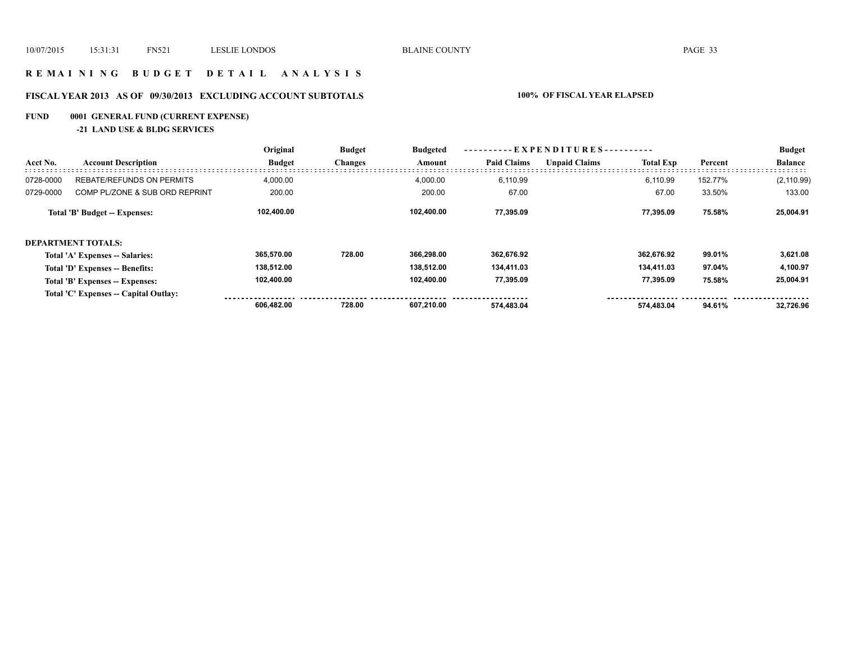## **R E M A I N I N G B U D G E T D E T A I L A N A L Y S I S**

# **FISCAL YEAR 2013 AS OF 09/30/2013 EXCLUDING ACCOUNT SUBTOTALS 100% OF FISCAL YEAR ELAPSED**

# **FUND 0001 GENERAL FUND (CURRENT EXPENSE)**

## **-21 LAND USE & BLDG SERVICES**

|           |                                       | Original      | <b>Budget</b><br><b>Changes</b> | <b>Budgeted</b><br>Amount | EXPENDITURES--     |                      |                  |         | <b>Budget</b>  |
|-----------|---------------------------------------|---------------|---------------------------------|---------------------------|--------------------|----------------------|------------------|---------|----------------|
| Acct No.  | <b>Account Description</b>            | <b>Budget</b> |                                 |                           | <b>Paid Claims</b> | <b>Unpaid Claims</b> | <b>Total Exp</b> | Percent | <b>Balance</b> |
| 0728-0000 | <b>REBATE/REFUNDS ON PERMITS</b>      | 4,000.00      |                                 | 4,000.00                  | 6.110.99           |                      | 6.110.99         | 152.77% | (2, 110.99)    |
| 0729-0000 | COMP PL/ZONE & SUB ORD REPRINT        | 200.00        |                                 | 200.00                    | 67.00              |                      | 67.00            | 33.50%  | 133.00         |
|           | Total 'B' Budget -- Expenses:         | 102,400.00    |                                 | 102.400.00                | 77.395.09          |                      | 77.395.09        | 75.58%  | 25,004.91      |
|           | <b>DEPARTMENT TOTALS:</b>             |               |                                 |                           |                    |                      |                  |         |                |
|           | Total 'A' Expenses -- Salaries:       | 365.570.00    | 728.00                          | 366.298.00                | 362,676.92         |                      | 362.676.92       | 99.01%  | 3,621.08       |
|           | Total 'D' Expenses -- Benefits:       | 138,512.00    |                                 | 138.512.00                | 134,411.03         |                      | 134,411.03       | 97.04%  | 4,100.97       |
|           | Total 'B' Expenses -- Expenses:       | 102,400.00    |                                 | 102.400.00                | 77,395.09          |                      | 77,395.09        | 75.58%  | 25,004.91      |
|           | Total 'C' Expenses -- Capital Outlay: |               |                                 |                           |                    |                      |                  |         |                |
|           |                                       | 606,482.00    | 728.00                          | 607.210.00                | 574.483.04         |                      | 574.483.04       | 94.61%  | 32.726.96      |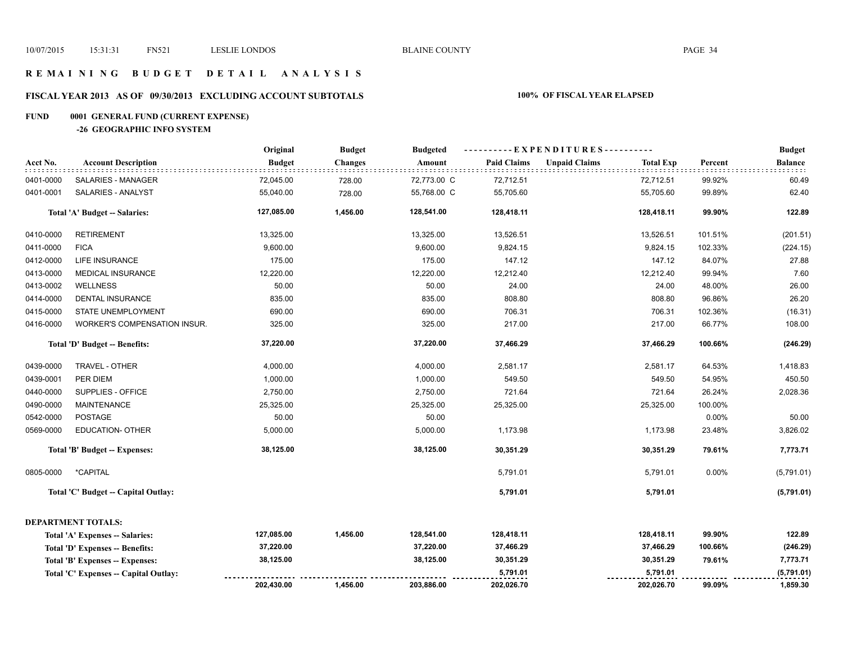## **R E M A I N I N G B U D G E T D E T A I L A N A L Y S I S**

# **FISCAL YEAR 2013 AS OF 09/30/2013 EXCLUDING ACCOUNT SUBTOTALS 100% OF FISCAL YEAR ELAPSED**

# **FUND 0001 GENERAL FUND (CURRENT EXPENSE)**

**-26 GEOGRAPHIC INFO SYSTEM**

|           |                                      | Original      | <b>Budget</b>  | <b>Budgeted</b> | ----------EXPENDITURES---------- |                                          |         | <b>Budget</b>  |
|-----------|--------------------------------------|---------------|----------------|-----------------|----------------------------------|------------------------------------------|---------|----------------|
| Acct No.  | <b>Account Description</b>           | <b>Budget</b> | <b>Changes</b> | Amount          | <b>Paid Claims</b>               | <b>Unpaid Claims</b><br><b>Total Exp</b> | Percent | <b>Balance</b> |
| 0401-0000 | SALARIES - MANAGER                   | 72,045.00     | 728.00         | 72,773.00 C     | 72,712.51                        | 72,712.51                                | 99.92%  | 60.49          |
| 0401-0001 | SALARIES - ANALYST                   | 55,040.00     | 728.00         | 55,768.00 C     | 55,705.60                        | 55,705.60                                | 99.89%  | 62.40          |
|           | Total 'A' Budget -- Salaries:        | 127,085.00    | 1,456.00       | 128,541.00      | 128,418.11                       | 128,418.11                               | 99.90%  | 122.89         |
| 0410-0000 | <b>RETIREMENT</b>                    | 13,325.00     |                | 13,325.00       | 13,526.51                        | 13,526.51                                | 101.51% | (201.51)       |
| 0411-0000 | <b>FICA</b>                          | 9,600.00      |                | 9,600.00        | 9,824.15                         | 9,824.15                                 | 102.33% | (224.15)       |
| 0412-0000 | LIFE INSURANCE                       | 175.00        |                | 175.00          | 147.12                           | 147.12                                   | 84.07%  | 27.88          |
| 0413-0000 | <b>MEDICAL INSURANCE</b>             | 12,220.00     |                | 12,220.00       | 12,212.40                        | 12,212.40                                | 99.94%  | 7.60           |
| 0413-0002 | <b>WELLNESS</b>                      | 50.00         |                | 50.00           | 24.00                            | 24.00                                    | 48.00%  | 26.00          |
| 0414-0000 | DENTAL INSURANCE                     | 835.00        |                | 835.00          | 808.80                           | 808.80                                   | 96.86%  | 26.20          |
| 0415-0000 | STATE UNEMPLOYMENT                   | 690.00        |                | 690.00          | 706.31                           | 706.31                                   | 102.36% | (16.31)        |
| 0416-0000 | WORKER'S COMPENSATION INSUR.         | 325.00        |                | 325.00          | 217.00                           | 217.00                                   | 66.77%  | 108.00         |
|           | Total 'D' Budget -- Benefits:        | 37,220.00     |                | 37,220.00       | 37,466.29                        | 37,466.29                                | 100.66% | (246.29)       |
| 0439-0000 | TRAVEL - OTHER                       | 4,000.00      |                | 4,000.00        | 2,581.17                         | 2,581.17                                 | 64.53%  | 1,418.83       |
| 0439-0001 | PER DIEM                             | 1,000.00      |                | 1,000.00        | 549.50                           | 549.50                                   | 54.95%  | 450.50         |
| 0440-0000 | SUPPLIES - OFFICE                    | 2,750.00      |                | 2,750.00        | 721.64                           | 721.64                                   | 26.24%  | 2,028.36       |
| 0490-0000 | <b>MAINTENANCE</b>                   | 25,325.00     |                | 25,325.00       | 25,325.00                        | 25,325.00                                | 100.00% |                |
| 0542-0000 | <b>POSTAGE</b>                       | 50.00         |                | 50.00           |                                  |                                          | 0.00%   | 50.00          |
| 0569-0000 | <b>EDUCATION- OTHER</b>              | 5,000.00      |                | 5,000.00        | 1,173.98                         | 1,173.98                                 | 23.48%  | 3,826.02       |
|           | Total 'B' Budget -- Expenses:        | 38,125.00     |                | 38,125.00       | 30,351.29                        | 30,351.29                                | 79.61%  | 7,773.71       |
| 0805-0000 | *CAPITAL                             |               |                |                 | 5,791.01                         | 5,791.01                                 | 0.00%   | (5,791.01)     |
|           | Total 'C' Budget -- Capital Outlay:  |               |                |                 | 5,791.01                         | 5,791.01                                 |         | (5,791.01)     |
|           | <b>DEPARTMENT TOTALS:</b>            |               |                |                 |                                  |                                          |         |                |
|           | Total 'A' Expenses -- Salaries:      | 127,085.00    | 1,456.00       | 128,541.00      | 128,418.11                       | 128,418.11                               | 99.90%  | 122.89         |
|           | Total 'D' Expenses -- Benefits:      | 37,220.00     |                | 37,220.00       | 37,466.29                        | 37,466.29                                | 100.66% | (246.29)       |
|           | Total 'B' Expenses -- Expenses:      | 38,125.00     |                | 38,125.00       | 30,351.29                        | 30,351.29                                | 79.61%  | 7,773.71       |
|           | Total 'C' Expenses - Capital Outlay: |               |                |                 | 5,791.01                         | 5,791.01                                 |         | (5,791.01)     |
|           |                                      | 202,430.00    | 1,456.00       | 203,886.00      | 202,026.70                       | 202,026.70                               | 99.09%  | 1,859.30       |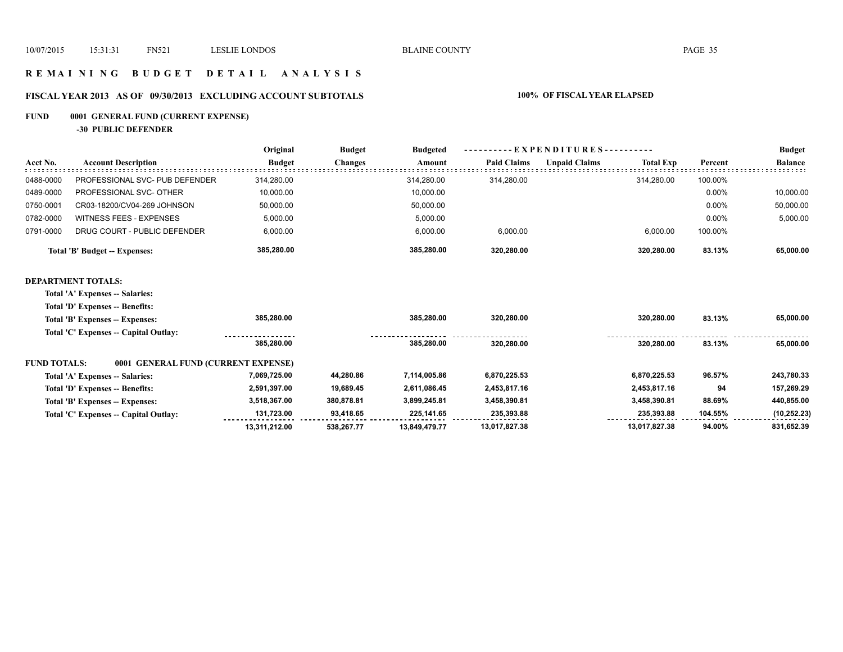## **R E M A I N I N G B U D G E T D E T A I L A N A L Y S I S**

# **FISCAL YEAR 2013 AS OF 09/30/2013 EXCLUDING ACCOUNT SUBTOTALS 100% OF FISCAL YEAR ELAPSED**

# **FUND 0001 GENERAL FUND (CURRENT EXPENSE)**

**-30 PUBLIC DEFENDER**

|                     |                                       | Original      | <b>Budget</b>  | <b>Budgeted</b> | EXPENDITURES--     |                      |                  |         | <b>Budget</b>  |
|---------------------|---------------------------------------|---------------|----------------|-----------------|--------------------|----------------------|------------------|---------|----------------|
| Acct No.            | <b>Account Description</b>            | <b>Budget</b> | <b>Changes</b> | Amount          | <b>Paid Claims</b> | <b>Unpaid Claims</b> | <b>Total Exp</b> | Percent | <b>Balance</b> |
| 0488-0000           | PROFESSIONAL SVC- PUB DEFENDER        | 314,280.00    |                | 314,280.00      | 314,280.00         |                      | 314,280.00       | 100.00% |                |
| 0489-0000           | PROFESSIONAL SVC- OTHER               | 10,000.00     |                | 10,000.00       |                    |                      |                  | 0.00%   | 10,000.00      |
| 0750-0001           | CR03-18200/CV04-269 JOHNSON           | 50,000.00     |                | 50,000.00       |                    |                      |                  | 0.00%   | 50,000.00      |
| 0782-0000           | <b>WITNESS FEES - EXPENSES</b>        | 5,000.00      |                | 5,000.00        |                    |                      |                  | 0.00%   | 5,000.00       |
| 0791-0000           | DRUG COURT - PUBLIC DEFENDER          | 6,000.00      |                | 6,000.00        | 6,000.00           |                      | 6,000.00         | 100.00% |                |
|                     | <b>Total 'B' Budget -- Expenses:</b>  | 385,280.00    |                | 385,280.00      | 320,280.00         |                      | 320,280.00       | 83.13%  | 65,000.00      |
|                     | <b>DEPARTMENT TOTALS:</b>             |               |                |                 |                    |                      |                  |         |                |
|                     | Total 'A' Expenses -- Salaries:       |               |                |                 |                    |                      |                  |         |                |
|                     | Total 'D' Expenses -- Benefits:       |               |                |                 |                    |                      |                  |         |                |
|                     | Total 'B' Expenses -- Expenses:       | 385,280.00    |                | 385,280.00      | 320,280.00         |                      | 320,280.00       | 83.13%  | 65,000.00      |
|                     | Total 'C' Expenses -- Capital Outlay: |               |                |                 |                    |                      |                  |         |                |
|                     |                                       | 385,280.00    |                | 385,280.00      | 320,280.00         |                      | 320,280.00       | 83.13%  | 65,000.00      |
| <b>FUND TOTALS:</b> | 0001 GENERAL FUND (CURRENT EXPENSE)   |               |                |                 |                    |                      |                  |         |                |
|                     | Total 'A' Expenses -- Salaries:       | 7,069,725.00  | 44,280.86      | 7,114,005.86    | 6,870,225.53       |                      | 6,870,225.53     | 96.57%  | 243,780.33     |
|                     | Total 'D' Expenses -- Benefits:       | 2,591,397.00  | 19,689.45      | 2,611,086.45    | 2,453,817.16       |                      | 2,453,817.16     | 94      | 157,269.29     |
|                     | Total 'B' Expenses -- Expenses:       | 3,518,367.00  | 380,878.81     | 3,899,245.81    | 3,458,390.81       |                      | 3,458,390.81     | 88.69%  | 440,855.00     |
|                     | Total 'C' Expenses -- Capital Outlay: | 131,723.00    | 93,418.65      | 225,141.65      | 235,393.88         |                      | 235,393.88       | 104.55% | (10, 252.23)   |
|                     |                                       | 13,311,212.00 | 538.267.77     | 13,849,479.77   | 13,017,827.38      |                      | 13,017,827.38    | 94.00%  | 831,652.39     |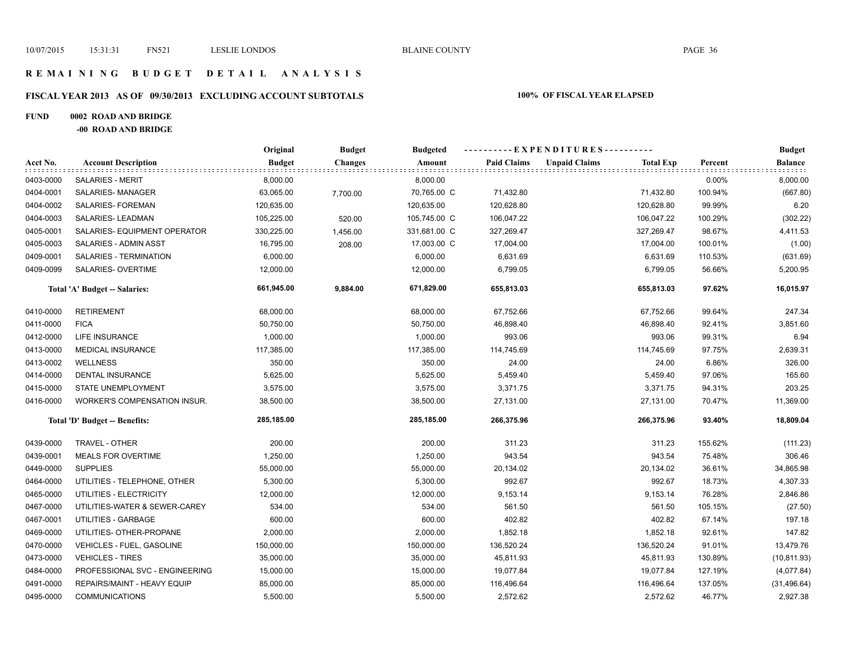## **R E M A I N I N G B U D G E T D E T A I L A N A L Y S I S**

# **FISCAL YEAR 2013 AS OF 09/30/2013 EXCLUDING ACCOUNT SUBTOTALS 100% OF FISCAL YEAR ELAPSED**

## **FUND 0002 ROAD AND BRIDGE**

**-00 ROAD AND BRIDGE**

|           |                                     | Original      | <b>Budget</b>  | <b>Budgeted</b><br>Amount | ----------EXPENDITURES---------- |                      |                  |         | <b>Budget</b>  |
|-----------|-------------------------------------|---------------|----------------|---------------------------|----------------------------------|----------------------|------------------|---------|----------------|
| Acct No.  | <b>Account Description</b>          | <b>Budget</b> | <b>Changes</b> |                           | <b>Paid Claims</b>               | <b>Unpaid Claims</b> | <b>Total Exp</b> | Percent | <b>Balance</b> |
| 0403-0000 | <b>SALARIES - MERIT</b>             | 8,000.00      |                | 8,000.00                  |                                  |                      |                  | 0.00%   | 8,000.00       |
| 0404-0001 | SALARIES-MANAGER                    | 63,065.00     | 7,700.00       | 70,765.00 C               | 71,432.80                        |                      | 71,432.80        | 100.94% | (667.80)       |
| 0404-0002 | SALARIES- FOREMAN                   | 120,635.00    |                | 120,635.00                | 120,628.80                       |                      | 120,628.80       | 99.99%  | 6.20           |
| 0404-0003 | SALARIES- LEADMAN                   | 105,225.00    | 520.00         | 105,745.00 C              | 106,047.22                       |                      | 106,047.22       | 100.29% | (302.22)       |
| 0405-0001 | SALARIES- EQUIPMENT OPERATOR        | 330,225.00    | 1,456.00       | 331,681.00 C              | 327,269.47                       |                      | 327,269.47       | 98.67%  | 4,411.53       |
| 0405-0003 | SALARIES - ADMIN ASST               | 16,795.00     | 208.00         | 17,003.00 C               | 17,004.00                        |                      | 17,004.00        | 100.01% | (1.00)         |
| 0409-0001 | SALARIES - TERMINATION              | 6,000.00      |                | 6,000.00                  | 6,631.69                         |                      | 6,631.69         | 110.53% | (631.69)       |
| 0409-0099 | SALARIES- OVERTIME                  | 12,000.00     |                | 12,000.00                 | 6,799.05                         |                      | 6,799.05         | 56.66%  | 5,200.95       |
|           | Total 'A' Budget -- Salaries:       | 661,945.00    | 9,884.00       | 671,829.00                | 655,813.03                       |                      | 655,813.03       | 97.62%  | 16,015.97      |
| 0410-0000 | <b>RETIREMENT</b>                   | 68,000.00     |                | 68,000.00                 | 67,752.66                        |                      | 67,752.66        | 99.64%  | 247.34         |
| 0411-0000 | <b>FICA</b>                         | 50,750.00     |                | 50,750.00                 | 46,898.40                        |                      | 46,898.40        | 92.41%  | 3,851.60       |
| 0412-0000 | <b>LIFE INSURANCE</b>               | 1,000.00      |                | 1,000.00                  | 993.06                           |                      | 993.06           | 99.31%  | 6.94           |
| 0413-0000 | <b>MEDICAL INSURANCE</b>            | 117,385.00    |                | 117,385.00                | 114,745.69                       |                      | 114,745.69       | 97.75%  | 2,639.31       |
| 0413-0002 | <b>WELLNESS</b>                     | 350.00        |                | 350.00                    | 24.00                            |                      | 24.00            | 6.86%   | 326.00         |
| 0414-0000 | <b>DENTAL INSURANCE</b>             | 5,625.00      |                | 5,625.00                  | 5,459.40                         |                      | 5,459.40         | 97.06%  | 165.60         |
| 0415-0000 | STATE UNEMPLOYMENT                  | 3,575.00      |                | 3,575.00                  | 3,371.75                         |                      | 3,371.75         | 94.31%  | 203.25         |
| 0416-0000 | <b>WORKER'S COMPENSATION INSUR.</b> | 38,500.00     |                | 38,500.00                 | 27,131.00                        |                      | 27,131.00        | 70.47%  | 11,369.00      |
|           | Total 'D' Budget -- Benefits:       | 285,185.00    |                | 285,185.00                | 266,375.96                       |                      | 266,375.96       | 93.40%  | 18,809.04      |
| 0439-0000 | TRAVEL - OTHER                      | 200.00        |                | 200.00                    | 311.23                           |                      | 311.23           | 155.62% | (111.23)       |
| 0439-0001 | <b>MEALS FOR OVERTIME</b>           | 1,250.00      |                | 1,250.00                  | 943.54                           |                      | 943.54           | 75.48%  | 306.46         |
| 0449-0000 | <b>SUPPLIES</b>                     | 55,000.00     |                | 55,000.00                 | 20,134.02                        |                      | 20,134.02        | 36.61%  | 34,865.98      |
| 0464-0000 | UTILITIES - TELEPHONE, OTHER        | 5,300.00      |                | 5,300.00                  | 992.67                           |                      | 992.67           | 18.73%  | 4,307.33       |
| 0465-0000 | UTILITIES - ELECTRICITY             | 12,000.00     |                | 12,000.00                 | 9,153.14                         |                      | 9,153.14         | 76.28%  | 2,846.86       |
| 0467-0000 | UTILITIES-WATER & SEWER-CAREY       | 534.00        |                | 534.00                    | 561.50                           |                      | 561.50           | 105.15% | (27.50)        |
| 0467-0001 | UTILITIES - GARBAGE                 | 600.00        |                | 600.00                    | 402.82                           |                      | 402.82           | 67.14%  | 197.18         |
| 0469-0000 | UTILITIES- OTHER-PROPANE            | 2,000.00      |                | 2,000.00                  | 1,852.18                         |                      | 1,852.18         | 92.61%  | 147.82         |
| 0470-0000 | VEHICLES - FUEL, GASOLINE           | 150,000.00    |                | 150,000.00                | 136,520.24                       |                      | 136,520.24       | 91.01%  | 13,479.76      |
| 0473-0000 | <b>VEHICLES - TIRES</b>             | 35,000.00     |                | 35,000.00                 | 45,811.93                        |                      | 45,811.93        | 130.89% | (10, 811.93)   |
| 0484-0000 | PROFESSIONAL SVC - ENGINEERING      | 15,000.00     |                | 15,000.00                 | 19,077.84                        |                      | 19,077.84        | 127.19% | (4,077.84)     |
| 0491-0000 | REPAIRS/MAINT - HEAVY EQUIP         | 85,000.00     |                | 85,000.00                 | 116,496.64                       |                      | 116,496.64       | 137.05% | (31, 496.64)   |
| 0495-0000 | <b>COMMUNICATIONS</b>               | 5,500.00      |                | 5,500.00                  | 2,572.62                         |                      | 2,572.62         | 46.77%  | 2,927.38       |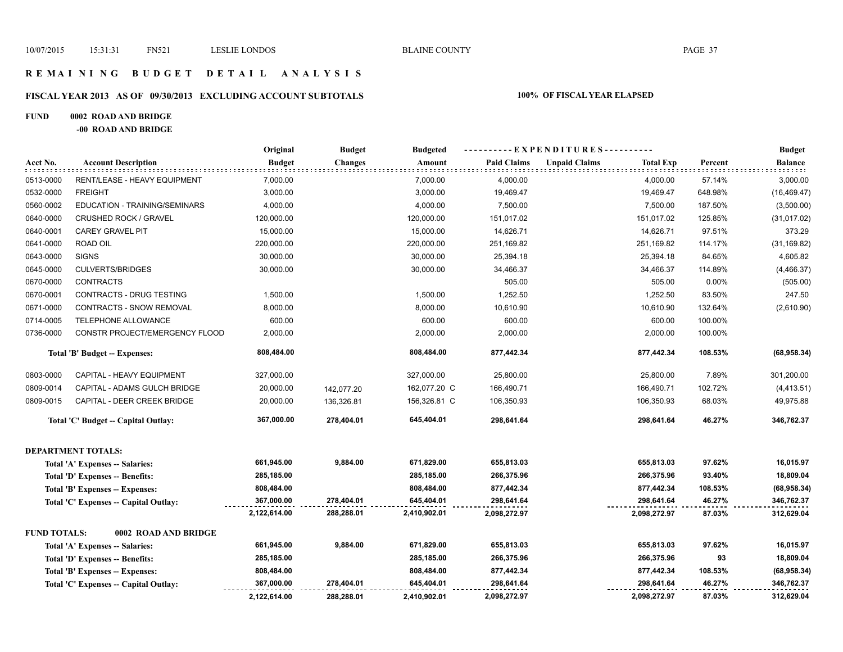## **R E M A I N I N G B U D G E T D E T A I L A N A L Y S I S**

# **FISCAL YEAR 2013 AS OF 09/30/2013 EXCLUDING ACCOUNT SUBTOTALS 100% OF FISCAL YEAR ELAPSED**

### **FUND 0002 ROAD AND BRIDGE**

**-00 ROAD AND BRIDGE**

|                     |                                       | Original      | <b>Budget</b>  | <b>Budgeted</b> | ---------- EXPENDITURES---------- |                      |                  | <b>Budget</b> |              |
|---------------------|---------------------------------------|---------------|----------------|-----------------|-----------------------------------|----------------------|------------------|---------------|--------------|
| Acct No.            | <b>Account Description</b>            | <b>Budget</b> | <b>Changes</b> | Amount          | <b>Paid Claims</b>                | <b>Unpaid Claims</b> | <b>Total Exp</b> | Percent       | Balance      |
| 0513-0000           | RENT/LEASE - HEAVY EQUIPMENT          | 7,000.00      |                | 7,000.00        | 4,000.00                          |                      | 4,000.00         | 57.14%        | 3,000.00     |
| 0532-0000           | <b>FREIGHT</b>                        | 3,000.00      |                | 3,000.00        | 19,469.47                         |                      | 19,469.47        | 648.98%       | (16, 469.47) |
| 0560-0002           | EDUCATION - TRAINING/SEMINARS         | 4,000.00      |                | 4,000.00        | 7,500.00                          |                      | 7,500.00         | 187.50%       | (3,500.00)   |
| 0640-0000           | CRUSHED ROCK / GRAVEL                 | 120,000.00    |                | 120,000.00      | 151,017.02                        |                      | 151,017.02       | 125.85%       | (31, 017.02) |
| 0640-0001           | <b>CAREY GRAVEL PIT</b>               | 15,000.00     |                | 15,000.00       | 14,626.71                         |                      | 14,626.71        | 97.51%        | 373.29       |
| 0641-0000           | ROAD OIL                              | 220,000.00    |                | 220,000.00      | 251,169.82                        |                      | 251,169.82       | 114.17%       | (31, 169.82) |
| 0643-0000           | <b>SIGNS</b>                          | 30,000.00     |                | 30,000.00       | 25,394.18                         |                      | 25,394.18        | 84.65%        | 4,605.82     |
| 0645-0000           | <b>CULVERTS/BRIDGES</b>               | 30,000.00     |                | 30,000.00       | 34,466.37                         |                      | 34,466.37        | 114.89%       | (4, 466.37)  |
| 0670-0000           | <b>CONTRACTS</b>                      |               |                |                 | 505.00                            |                      | 505.00           | 0.00%         | (505.00)     |
| 0670-0001           | CONTRACTS - DRUG TESTING              | 1,500.00      |                | 1,500.00        | 1,252.50                          |                      | 1,252.50         | 83.50%        | 247.50       |
| 0671-0000           | CONTRACTS - SNOW REMOVAL              | 8,000.00      |                | 8,000.00        | 10,610.90                         |                      | 10,610.90        | 132.64%       | (2,610.90)   |
| 0714-0005           | TELEPHONE ALLOWANCE                   | 600.00        |                | 600.00          | 600.00                            |                      | 600.00           | 100.00%       |              |
| 0736-0000           | CONSTR PROJECT/EMERGENCY FLOOD        | 2,000.00      |                | 2,000.00        | 2,000.00                          |                      | 2,000.00         | 100.00%       |              |
|                     | Total 'B' Budget -- Expenses:         | 808,484.00    |                | 808,484.00      | 877,442.34                        |                      | 877,442.34       | 108.53%       | (68,958.34)  |
| 0803-0000           | CAPITAL - HEAVY EQUIPMENT             | 327,000.00    |                | 327,000.00      | 25,800.00                         |                      | 25,800.00        | 7.89%         | 301,200.00   |
| 0809-0014           | CAPITAL - ADAMS GULCH BRIDGE          | 20,000.00     | 142,077.20     | 162,077.20 C    | 166,490.71                        |                      | 166,490.71       | 102.72%       | (4, 413.51)  |
| 0809-0015           | CAPITAL - DEER CREEK BRIDGE           | 20,000.00     | 136,326.81     | 156,326.81 C    | 106,350.93                        |                      | 106,350.93       | 68.03%        | 49,975.88    |
|                     | Total 'C' Budget -- Capital Outlay:   | 367,000.00    | 278,404.01     | 645,404.01      | 298,641.64                        |                      | 298,641.64       | 46.27%        | 346,762.37   |
|                     | <b>DEPARTMENT TOTALS:</b>             |               |                |                 |                                   |                      |                  |               |              |
|                     | Total 'A' Expenses -- Salaries:       | 661,945.00    | 9,884.00       | 671,829.00      | 655,813.03                        |                      | 655,813.03       | 97.62%        | 16,015.97    |
|                     | Total 'D' Expenses -- Benefits:       | 285,185.00    |                | 285,185.00      | 266,375.96                        |                      | 266,375.96       | 93.40%        | 18,809.04    |
|                     | Total 'B' Expenses -- Expenses:       | 808,484.00    |                | 808,484.00      | 877,442.34                        |                      | 877,442.34       | 108.53%       | (68,958.34)  |
|                     | Total 'C' Expenses -- Capital Outlay: | 367,000.00    | 278,404.01     | 645,404.01      | 298,641.64                        |                      | 298,641.64       | 46.27%        | 346,762.37   |
|                     |                                       | 2,122,614.00  | 288,288.01     | 2,410,902.01    | 2,098,272.97                      |                      | 2,098,272.97     | 87.03%        | 312,629.04   |
| <b>FUND TOTALS:</b> | 0002 ROAD AND BRIDGE                  |               |                |                 |                                   |                      |                  |               |              |
|                     | Total 'A' Expenses -- Salaries:       | 661,945.00    | 9,884.00       | 671,829.00      | 655,813.03                        |                      | 655,813.03       | 97.62%        | 16,015.97    |
|                     | Total 'D' Expenses -- Benefits:       | 285,185.00    |                | 285,185.00      | 266,375.96                        |                      | 266,375.96       | 93            | 18,809.04    |
|                     | Total 'B' Expenses -- Expenses:       | 808,484.00    |                | 808,484.00      | 877,442.34                        |                      | 877,442.34       | 108.53%       | (68,958.34)  |
|                     | Total 'C' Expenses -- Capital Outlay: | 367,000.00    | 278.404.01     | 645,404.01      | 298,641.64                        |                      | 298,641.64       | 46.27%        | 346,762.37   |
|                     |                                       | 2,122,614.00  | 288,288.01     | 2,410,902.01    | 2,098,272.97                      |                      | 2,098,272.97     | 87.03%        | 312,629.04   |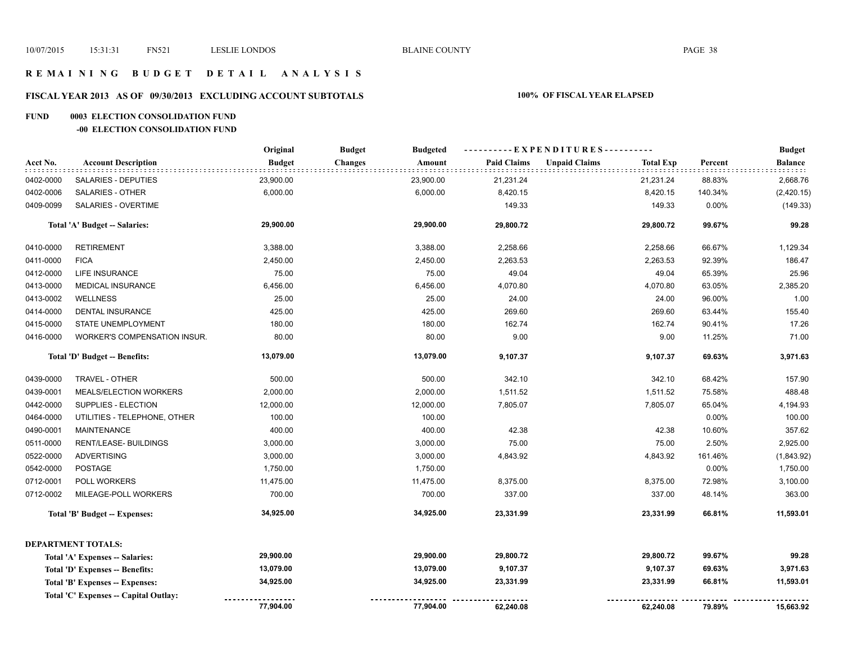# **R E M A I N I N G B U D G E T D E T A I L A N A L Y S I S**

# **FISCAL YEAR 2013 AS OF 09/30/2013 EXCLUDING ACCOUNT SUBTOTALS 100% OF FISCAL YEAR ELAPSED**

## **FUND 0003 ELECTION CONSOLIDATION FUND**

### **-00 ELECTION CONSOLIDATION FUND**

|           |                                      | Original      | <b>Budget</b><br><b>Budgeted</b> |                    | ----------EXPENDITURES----------         |         | <b>Budget</b>  |
|-----------|--------------------------------------|---------------|----------------------------------|--------------------|------------------------------------------|---------|----------------|
| Acct No.  | <b>Account Description</b>           | <b>Budget</b> | <b>Changes</b><br>Amount         | <b>Paid Claims</b> | <b>Unpaid Claims</b><br><b>Total Exp</b> | Percent | <b>Balance</b> |
| 0402-0000 | SALARIES - DEPUTIES                  | 23,900.00     | 23,900.00                        | 21,231.24          | 21,231.24                                | 88.83%  | 2,668.76       |
| 0402-0006 | SALARIES - OTHER                     | 6,000.00      | 6,000.00                         | 8,420.15           | 8,420.15                                 | 140.34% | (2,420.15)     |
| 0409-0099 | SALARIES - OVERTIME                  |               |                                  | 149.33             | 149.33                                   | 0.00%   | (149.33)       |
|           | Total 'A' Budget -- Salaries:        | 29,900.00     | 29,900.00                        | 29,800.72          | 29,800.72                                | 99.67%  | 99.28          |
| 0410-0000 | <b>RETIREMENT</b>                    | 3,388.00      | 3,388.00                         | 2,258.66           | 2,258.66                                 | 66.67%  | 1,129.34       |
| 0411-0000 | <b>FICA</b>                          | 2,450.00      | 2,450.00                         | 2,263.53           | 2,263.53                                 | 92.39%  | 186.47         |
| 0412-0000 | LIFE INSURANCE                       | 75.00         | 75.00                            | 49.04              | 49.04                                    | 65.39%  | 25.96          |
| 0413-0000 | MEDICAL INSURANCE                    | 6,456.00      | 6,456.00                         | 4,070.80           | 4,070.80                                 | 63.05%  | 2,385.20       |
| 0413-0002 | <b>WELLNESS</b>                      | 25.00         | 25.00                            | 24.00              | 24.00                                    | 96.00%  | 1.00           |
| 0414-0000 | <b>DENTAL INSURANCE</b>              | 425.00        | 425.00                           | 269.60             | 269.60                                   | 63.44%  | 155.40         |
| 0415-0000 | STATE UNEMPLOYMENT                   | 180.00        | 180.00                           | 162.74             | 162.74                                   | 90.41%  | 17.26          |
| 0416-0000 | WORKER'S COMPENSATION INSUR.         | 80.00         | 80.00                            | 9.00               | 9.00                                     | 11.25%  | 71.00          |
|           | Total 'D' Budget -- Benefits:        | 13,079.00     | 13,079.00                        | 9,107.37           | 9,107.37                                 | 69.63%  | 3,971.63       |
| 0439-0000 | TRAVEL - OTHER                       | 500.00        | 500.00                           | 342.10             | 342.10                                   | 68.42%  | 157.90         |
| 0439-0001 | MEALS/ELECTION WORKERS               | 2,000.00      | 2,000.00                         | 1,511.52           | 1,511.52                                 | 75.58%  | 488.48         |
| 0442-0000 | SUPPLIES - ELECTION                  | 12,000.00     | 12,000.00                        | 7,805.07           | 7,805.07                                 | 65.04%  | 4,194.93       |
| 0464-0000 | UTILITIES - TELEPHONE, OTHER         | 100.00        | 100.00                           |                    |                                          | 0.00%   | 100.00         |
| 0490-0001 | <b>MAINTENANCE</b>                   | 400.00        | 400.00                           | 42.38              | 42.38                                    | 10.60%  | 357.62         |
| 0511-0000 | RENT/LEASE- BUILDINGS                | 3,000.00      | 3,000.00                         | 75.00              | 75.00                                    | 2.50%   | 2,925.00       |
| 0522-0000 | <b>ADVERTISING</b>                   | 3,000.00      | 3,000.00                         | 4,843.92           | 4,843.92                                 | 161.46% | (1,843.92)     |
| 0542-0000 | <b>POSTAGE</b>                       | 1,750.00      | 1,750.00                         |                    |                                          | 0.00%   | 1,750.00       |
| 0712-0001 | POLL WORKERS                         | 11,475.00     | 11,475.00                        | 8,375.00           | 8,375.00                                 | 72.98%  | 3,100.00       |
| 0712-0002 | MILEAGE-POLL WORKERS                 | 700.00        | 700.00                           | 337.00             | 337.00                                   | 48.14%  | 363.00         |
|           | Total 'B' Budget -- Expenses:        | 34,925.00     | 34,925.00                        | 23,331.99          | 23,331.99                                | 66.81%  | 11,593.01      |
|           | <b>DEPARTMENT TOTALS:</b>            |               |                                  |                    |                                          |         |                |
|           | Total 'A' Expenses -- Salaries:      | 29,900.00     | 29,900.00                        | 29,800.72          | 29,800.72                                | 99.67%  | 99.28          |
|           | Total 'D' Expenses -- Benefits:      | 13,079.00     | 13,079.00                        | 9,107.37           | 9,107.37                                 | 69.63%  | 3,971.63       |
|           | Total 'B' Expenses -- Expenses:      | 34,925.00     | 34,925.00                        | 23,331.99          | 23,331.99                                | 66.81%  | 11,593.01      |
|           | Total 'C' Expenses - Capital Outlay: |               |                                  |                    |                                          |         |                |
|           |                                      | 77,904.00     | 77,904.00                        | 62,240.08          | 62,240.08                                | 79.89%  | 15,663.92      |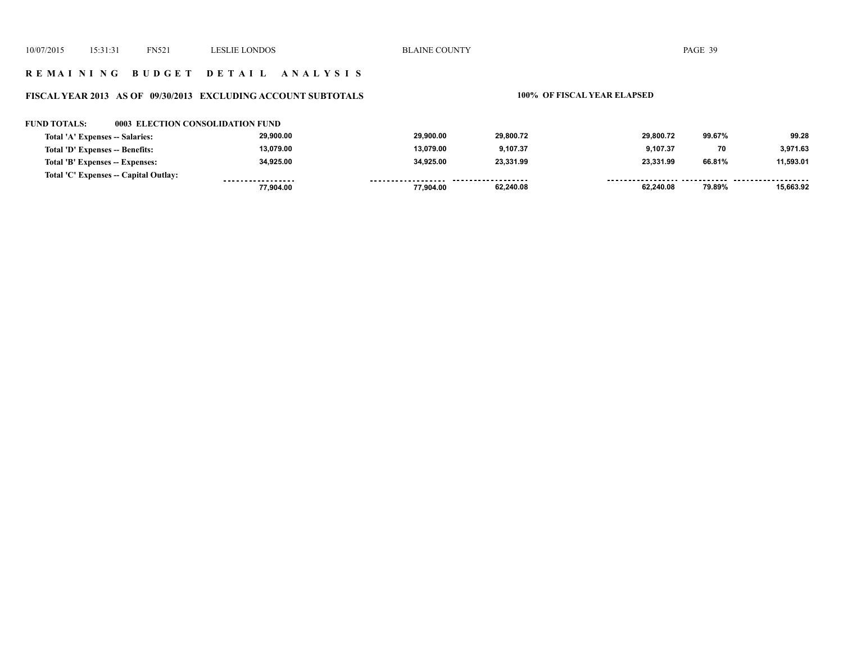## **R E M A I N I N G B U D G E T D E T A I L A N A L Y S I S**

## **FISCAL YEAR 2013 AS OF 09/30/2013 EXCLUDING ACCOUNT SUBTOTALS 100% OF FISCAL YEAR ELAPSED**

### **FUND TOTALS: 0003 ELECTION CONSOLIDATION FUND**

| Total 'A' Expenses -- Salaries:       | 29.900.00         | 29.900.00    | 29.800.72          | 29,800.72 | 99.67% | 99.28     |
|---------------------------------------|-------------------|--------------|--------------------|-----------|--------|-----------|
| Total 'D' Expenses -- Benefits:       | 13.079.00         | 13.079.00    | 9,107.37           | 9.107.37  | 70     | 3,971.63  |
| Total 'B' Expenses -- Expenses:       | 34.925.00         | 34.925.00    | 23.331.99          | 23.331.99 | 66.81% | 11.593.01 |
| Total 'C' Expenses -- Capital Outlay: | ----------------- | ------------ | ------------------ |           |        |           |
|                                       | 77.904.00         | 77.904.00    | 62,240.08          | 62,240.08 | 79.89% | 15,663.92 |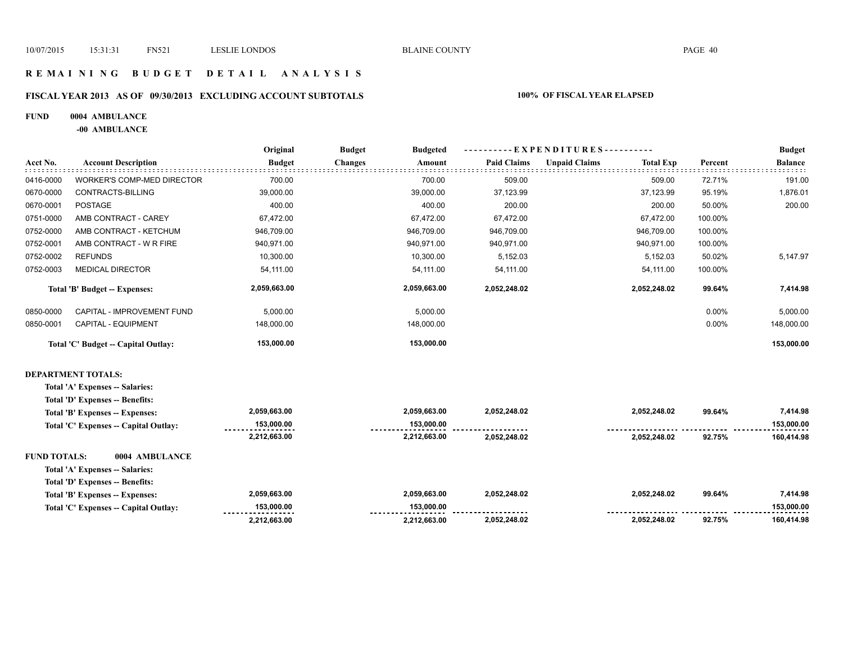## **R E M A I N I N G B U D G E T D E T A I L A N A L Y S I S**

# **FISCAL YEAR 2013 AS OF 09/30/2013 EXCLUDING ACCOUNT SUBTOTALS 100% OF FISCAL YEAR ELAPSED**

### **FUND 0004 AMBULANCE**

**-00 AMBULANCE**

|                                     |                                 | Original      | <b>Budget</b><br><b>Budgeted</b> |                    | ----------EXPENDITURES----------         |         |                |
|-------------------------------------|---------------------------------|---------------|----------------------------------|--------------------|------------------------------------------|---------|----------------|
| Acct No.                            | <b>Account Description</b>      | <b>Budget</b> | <b>Changes</b><br>Amount         | <b>Paid Claims</b> | <b>Unpaid Claims</b><br><b>Total Exp</b> | Percent | <b>Balance</b> |
| 0416-0000                           | WORKER'S COMP-MED DIRECTOR      | 700.00        | 700.00                           | 509.00             | 509.00                                   | 72.71%  | 191.00         |
| 0670-0000                           | CONTRACTS-BILLING               | 39,000.00     | 39,000.00                        | 37,123.99          | 37,123.99                                | 95.19%  | 1,876.01       |
| 0670-0001                           | <b>POSTAGE</b>                  | 400.00        | 400.00                           | 200.00             | 200.00                                   | 50.00%  | 200.00         |
| 0751-0000                           | AMB CONTRACT - CAREY            | 67,472.00     | 67,472.00                        | 67,472.00          | 67,472.00                                | 100.00% |                |
| 0752-0000                           | AMB CONTRACT - KETCHUM          | 946,709.00    | 946,709.00                       | 946,709.00         | 946,709.00                               | 100.00% |                |
| 0752-0001                           | AMB CONTRACT - W R FIRE         | 940,971.00    | 940,971.00                       | 940,971.00         | 940,971.00                               | 100.00% |                |
| 0752-0002                           | <b>REFUNDS</b>                  | 10,300.00     | 10,300.00                        | 5,152.03           | 5,152.03                                 | 50.02%  | 5,147.97       |
| 0752-0003                           | <b>MEDICAL DIRECTOR</b>         | 54,111.00     | 54,111.00                        | 54,111.00          | 54,111.00                                | 100.00% |                |
|                                     | Total 'B' Budget -- Expenses:   | 2,059,663.00  | 2,059,663.00                     | 2,052,248.02       | 2,052,248.02                             | 99.64%  | 7,414.98       |
| 0850-0000                           | CAPITAL - IMPROVEMENT FUND      | 5,000.00      | 5,000.00                         |                    |                                          | 0.00%   | 5,000.00       |
| 0850-0001                           | CAPITAL - EQUIPMENT             | 148,000.00    | 148,000.00                       |                    |                                          | 0.00%   | 148,000.00     |
| Total 'C' Budget -- Capital Outlay: |                                 | 153,000.00    | 153,000.00                       |                    |                                          |         | 153,000.00     |
|                                     | <b>DEPARTMENT TOTALS:</b>       |               |                                  |                    |                                          |         |                |
|                                     | Total 'A' Expenses -- Salaries: |               |                                  |                    |                                          |         |                |

| Total 'D' Expenses -- Benefits:       |              |              |              |              |        |            |
|---------------------------------------|--------------|--------------|--------------|--------------|--------|------------|
| Total 'B' Expenses -- Expenses:       | 2,059,663.00 | 2.059.663.00 | 2,052,248.02 | 2.052.248.02 | 99.64% | 7.414.98   |
| Total 'C' Expenses -- Capital Outlay: | 153.000.00   | 153.000.00   |              |              |        | 153,000.00 |
|                                       | 2,212,663.00 | 2,212,663.00 | 2.052.248.02 | 2.052.248.02 | 92.75% | 160,414.98 |
| 0004 AMBULANCE<br><b>FUND TOTALS:</b> |              |              |              |              |        |            |
| Total 'A' Expenses -- Salaries:       |              |              |              |              |        |            |
| Total 'D' Expenses -- Benefits:       |              |              |              |              |        |            |
| Total 'B' Expenses -- Expenses:       | 2.059.663.00 | 2.059.663.00 | 2.052.248.02 | 2.052.248.02 | 99.64% | 7.414.98   |
| Total 'C' Expenses -- Capital Outlay: | 153.000.00   | 153.000.00   |              |              |        | 153,000,00 |
|                                       | 2.212.663.00 | 2.212.663.00 | 2,052,248.02 | 2.052.248.02 | 92.75% | 160,414.98 |
|                                       |              |              |              |              |        |            |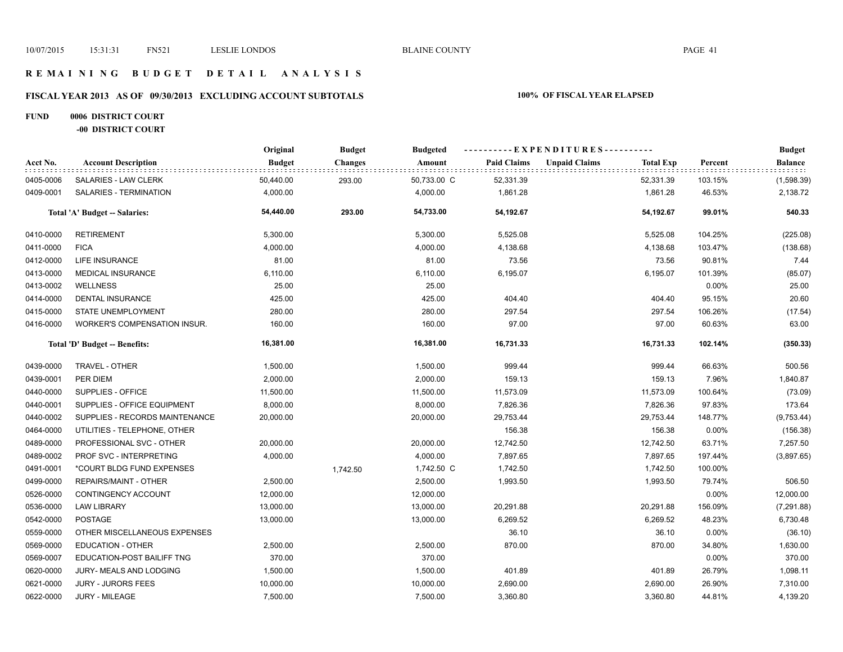## **R E M A I N I N G B U D G E T D E T A I L A N A L Y S I S**

# **FISCAL YEAR 2013 AS OF 09/30/2013 EXCLUDING ACCOUNT SUBTOTALS 100% OF FISCAL YEAR ELAPSED**

## **FUND 0006 DISTRICT COURT -00 DISTRICT COURT**

|           |                                     | Original      | <b>Budget</b>  | <b>Budgeted</b> | ----------EXPENDITURES---------- |                      |                  |         | <b>Budget</b>  |
|-----------|-------------------------------------|---------------|----------------|-----------------|----------------------------------|----------------------|------------------|---------|----------------|
| Acct No.  | <b>Account Description</b>          | <b>Budget</b> | <b>Changes</b> | Amount          | <b>Paid Claims</b>               | <b>Unpaid Claims</b> | <b>Total Exp</b> | Percent | <b>Balance</b> |
| 0405-0006 | SALARIES - LAW CLERK                | 50,440.00     | 293.00         | 50,733.00 C     | 52,331.39                        |                      | 52,331.39        | 103.15% | (1,598.39)     |
| 0409-0001 | SALARIES - TERMINATION              | 4,000.00      |                | 4,000.00        | 1,861.28                         |                      | 1,861.28         | 46.53%  | 2,138.72       |
|           | Total 'A' Budget -- Salaries:       | 54,440.00     | 293.00         | 54,733.00       | 54,192.67                        |                      | 54,192.67        | 99.01%  | 540.33         |
| 0410-0000 | <b>RETIREMENT</b>                   | 5,300.00      |                | 5,300.00        | 5,525.08                         |                      | 5,525.08         | 104.25% | (225.08)       |
| 0411-0000 | <b>FICA</b>                         | 4,000.00      |                | 4,000.00        | 4,138.68                         |                      | 4,138.68         | 103.47% | (138.68)       |
| 0412-0000 | <b>LIFE INSURANCE</b>               | 81.00         |                | 81.00           | 73.56                            |                      | 73.56            | 90.81%  | 7.44           |
| 0413-0000 | <b>MEDICAL INSURANCE</b>            | 6,110.00      |                | 6,110.00        | 6,195.07                         |                      | 6,195.07         | 101.39% | (85.07)        |
| 0413-0002 | <b>WELLNESS</b>                     | 25.00         |                | 25.00           |                                  |                      |                  | 0.00%   | 25.00          |
| 0414-0000 | <b>DENTAL INSURANCE</b>             | 425.00        |                | 425.00          | 404.40                           |                      | 404.40           | 95.15%  | 20.60          |
| 0415-0000 | <b>STATE UNEMPLOYMENT</b>           | 280.00        |                | 280.00          | 297.54                           |                      | 297.54           | 106.26% | (17.54)        |
| 0416-0000 | <b>WORKER'S COMPENSATION INSUR.</b> | 160.00        |                | 160.00          | 97.00                            |                      | 97.00            | 60.63%  | 63.00          |
|           | Total 'D' Budget -- Benefits:       | 16,381.00     |                | 16,381.00       | 16,731.33                        |                      | 16,731.33        | 102.14% | (350.33)       |
| 0439-0000 | TRAVEL - OTHER                      | 1,500.00      |                | 1,500.00        | 999.44                           |                      | 999.44           | 66.63%  | 500.56         |
| 0439-0001 | PER DIEM                            | 2,000.00      |                | 2,000.00        | 159.13                           |                      | 159.13           | 7.96%   | 1,840.87       |
| 0440-0000 | SUPPLIES - OFFICE                   | 11,500.00     |                | 11,500.00       | 11,573.09                        |                      | 11,573.09        | 100.64% | (73.09)        |
| 0440-0001 | SUPPLIES - OFFICE EQUIPMENT         | 8,000.00      |                | 8,000.00        | 7,826.36                         |                      | 7,826.36         | 97.83%  | 173.64         |
| 0440-0002 | SUPPLIES - RECORDS MAINTENANCE      | 20,000.00     |                | 20,000.00       | 29,753.44                        |                      | 29,753.44        | 148.77% | (9,753.44)     |
| 0464-0000 | UTILITIES - TELEPHONE, OTHER        |               |                |                 | 156.38                           |                      | 156.38           | 0.00%   | (156.38)       |
| 0489-0000 | PROFESSIONAL SVC - OTHER            | 20,000.00     |                | 20,000.00       | 12,742.50                        |                      | 12,742.50        | 63.71%  | 7,257.50       |
| 0489-0002 | PROF SVC - INTERPRETING             | 4,000.00      |                | 4,000.00        | 7,897.65                         |                      | 7,897.65         | 197.44% | (3,897.65)     |
| 0491-0001 | *COURT BLDG FUND EXPENSES           |               | 1,742.50       | 1,742.50 C      | 1,742.50                         |                      | 1,742.50         | 100.00% |                |
| 0499-0000 | <b>REPAIRS/MAINT - OTHER</b>        | 2,500.00      |                | 2,500.00        | 1,993.50                         |                      | 1,993.50         | 79.74%  | 506.50         |
| 0526-0000 | CONTINGENCY ACCOUNT                 | 12,000.00     |                | 12,000.00       |                                  |                      |                  | 0.00%   | 12,000.00      |
| 0536-0000 | <b>LAW LIBRARY</b>                  | 13,000.00     |                | 13,000.00       | 20,291.88                        |                      | 20,291.88        | 156.09% | (7, 291.88)    |
| 0542-0000 | <b>POSTAGE</b>                      | 13,000.00     |                | 13,000.00       | 6,269.52                         |                      | 6,269.52         | 48.23%  | 6,730.48       |
| 0559-0000 | OTHER MISCELLANEOUS EXPENSES        |               |                |                 | 36.10                            |                      | 36.10            | 0.00%   | (36.10)        |
| 0569-0000 | <b>EDUCATION - OTHER</b>            | 2,500.00      |                | 2,500.00        | 870.00                           |                      | 870.00           | 34.80%  | 1,630.00       |
| 0569-0007 | EDUCATION-POST BAILIFF TNG          | 370.00        |                | 370.00          |                                  |                      |                  | 0.00%   | 370.00         |
| 0620-0000 | JURY- MEALS AND LODGING             | 1,500.00      |                | 1,500.00        | 401.89                           |                      | 401.89           | 26.79%  | 1,098.11       |
| 0621-0000 | <b>JURY - JURORS FEES</b>           | 10,000.00     |                | 10,000.00       | 2,690.00                         |                      | 2,690.00         | 26.90%  | 7,310.00       |
| 0622-0000 | <b>JURY - MILEAGE</b>               | 7,500.00      |                | 7,500.00        | 3,360.80                         |                      | 3,360.80         | 44.81%  | 4,139.20       |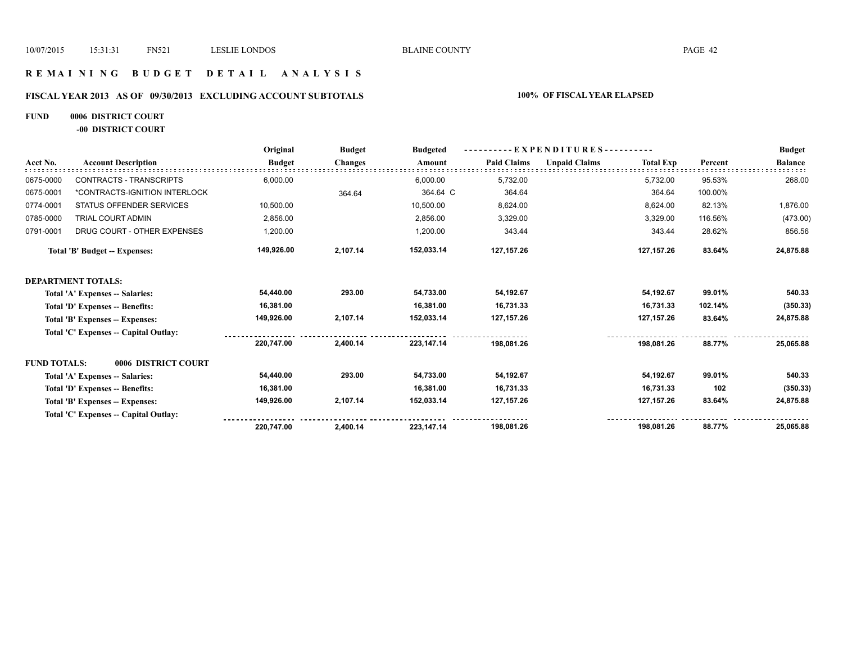## **R E M A I N I N G B U D G E T D E T A I L A N A L Y S I S**

# **FISCAL YEAR 2013 AS OF 09/30/2013 EXCLUDING ACCOUNT SUBTOTALS 100% OF FISCAL YEAR ELAPSED**

# **FUND 0006 DISTRICT COURT**

**-00 DISTRICT COURT**

|                     |                                       | Original      | <b>Budget</b>  | <b>Budgeted</b> | - EXPENDITURES---------- |                      |                  |         | <b>Budget</b>  |
|---------------------|---------------------------------------|---------------|----------------|-----------------|--------------------------|----------------------|------------------|---------|----------------|
| Acct No.            | <b>Account Description</b>            | <b>Budget</b> | <b>Changes</b> | Amount          | <b>Paid Claims</b>       | <b>Unpaid Claims</b> | <b>Total Exp</b> | Percent | <b>Balance</b> |
| 0675-0000           | <b>CONTRACTS - TRANSCRIPTS</b>        | 6,000.00      |                | 6,000.00        | 5,732.00                 |                      | 5,732.00         | 95.53%  | 268.00         |
| 0675-0001           | *CONTRACTS-IGNITION INTERLOCK         |               | 364.64         | 364.64 C        | 364.64                   |                      | 364.64           | 100.00% |                |
| 0774-0001           | STATUS OFFENDER SERVICES              | 10,500.00     |                | 10,500.00       | 8,624.00                 |                      | 8,624.00         | 82.13%  | 1,876.00       |
| 0785-0000           | TRIAL COURT ADMIN                     | 2,856.00      |                | 2,856.00        | 3,329.00                 |                      | 3,329.00         | 116.56% | (473.00)       |
| 0791-0001           | DRUG COURT - OTHER EXPENSES           | 1,200.00      |                | 1,200.00        | 343.44                   |                      | 343.44           | 28.62%  | 856.56         |
|                     | Total 'B' Budget -- Expenses:         | 149,926.00    | 2,107.14       | 152,033.14      | 127, 157. 26             |                      | 127, 157. 26     | 83.64%  | 24,875.88      |
|                     | <b>DEPARTMENT TOTALS:</b>             |               |                |                 |                          |                      |                  |         |                |
|                     | Total 'A' Expenses -- Salaries:       | 54,440.00     | 293.00         | 54,733.00       | 54,192.67                |                      | 54,192.67        | 99.01%  | 540.33         |
|                     | Total 'D' Expenses -- Benefits:       | 16,381.00     |                | 16,381.00       | 16,731.33                |                      | 16,731.33        | 102.14% | (350.33)       |
|                     | Total 'B' Expenses -- Expenses:       | 149,926.00    | 2,107.14       | 152,033.14      | 127, 157. 26             |                      | 127, 157. 26     | 83.64%  | 24,875.88      |
|                     | Total 'C' Expenses -- Capital Outlay: |               |                |                 |                          |                      |                  |         |                |
|                     |                                       | 220,747.00    | 2,400.14       | 223,147.14      | 198,081.26               |                      | 198,081.26       | 88.77%  | 25,065.88      |
| <b>FUND TOTALS:</b> | 0006 DISTRICT COURT                   |               |                |                 |                          |                      |                  |         |                |
|                     | Total 'A' Expenses -- Salaries:       | 54,440.00     | 293.00         | 54,733.00       | 54,192.67                |                      | 54,192.67        | 99.01%  | 540.33         |
|                     | Total 'D' Expenses -- Benefits:       | 16,381.00     |                | 16,381.00       | 16,731.33                |                      | 16,731.33        | 102     | (350.33)       |
|                     | Total 'B' Expenses -- Expenses:       | 149,926.00    | 2,107.14       | 152,033.14      | 127, 157. 26             |                      | 127, 157. 26     | 83.64%  | 24,875.88      |
|                     | Total 'C' Expenses -- Capital Outlay: |               |                |                 |                          |                      |                  |         |                |
|                     |                                       | 220,747.00    | 2,400.14       | 223.147.14      | 198,081.26               |                      | 198,081.26       | 88.77%  | 25,065.88      |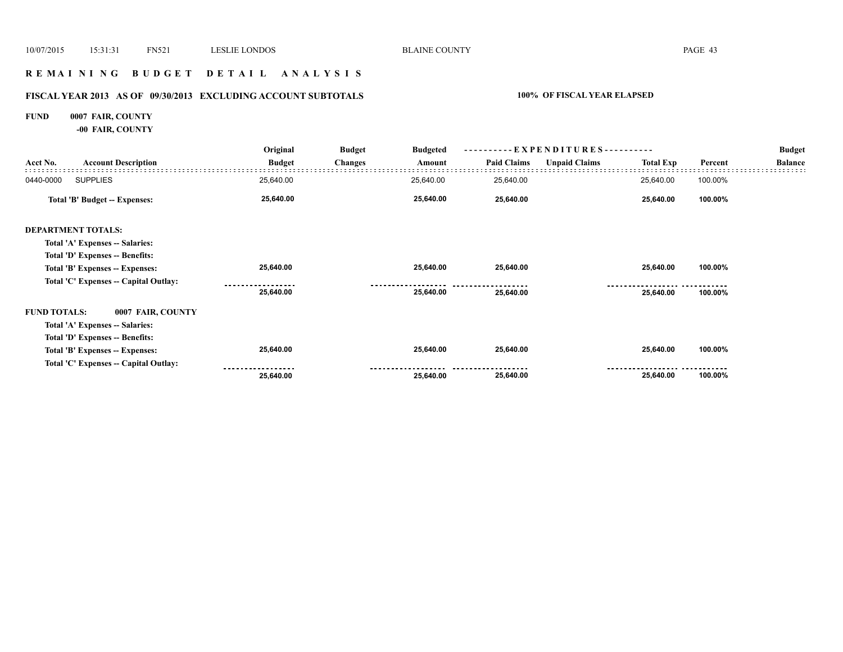## **R E M A I N I N G B U D G E T D E T A I L A N A L Y S I S**

# **FISCAL YEAR 2013 AS OF 09/30/2013 EXCLUDING ACCOUNT SUBTOTALS 100% OF FISCAL YEAR ELAPSED**

# **FUND 0007 FAIR, COUNTY**

**-00 FAIR, COUNTY**

|                     |                                       | Original      | <b>Budget</b><br><b>Changes</b> | <b>Budgeted</b> | EXPENDITURES---------- |                      |                  |         | <b>Budget</b>  |
|---------------------|---------------------------------------|---------------|---------------------------------|-----------------|------------------------|----------------------|------------------|---------|----------------|
| Acct No.            | <b>Account Description</b>            | <b>Budget</b> |                                 | Amount          | <b>Paid Claims</b>     | <b>Unpaid Claims</b> | <b>Total Exp</b> | Percent | <b>Balance</b> |
| 0440-0000           | <b>SUPPLIES</b>                       | 25,640.00     |                                 | 25,640.00       | 25,640.00              |                      | 25,640.00        | 100.00% |                |
|                     | Total 'B' Budget -- Expenses:         | 25,640.00     |                                 | 25,640.00       | 25,640.00              |                      | 25,640.00        | 100.00% |                |
|                     | <b>DEPARTMENT TOTALS:</b>             |               |                                 |                 |                        |                      |                  |         |                |
|                     | Total 'A' Expenses -- Salaries:       |               |                                 |                 |                        |                      |                  |         |                |
|                     | Total 'D' Expenses -- Benefits:       |               |                                 |                 |                        |                      |                  |         |                |
|                     | Total 'B' Expenses -- Expenses:       | 25,640.00     |                                 | 25,640.00       | 25,640.00              |                      | 25,640.00        | 100.00% |                |
|                     | Total 'C' Expenses -- Capital Outlay: |               |                                 |                 |                        |                      |                  |         |                |
|                     |                                       | 25,640.00     |                                 | 25,640.00       | 25,640.00              |                      | 25,640.00        | 100.00% |                |
| <b>FUND TOTALS:</b> | 0007 FAIR, COUNTY                     |               |                                 |                 |                        |                      |                  |         |                |
|                     | Total 'A' Expenses -- Salaries:       |               |                                 |                 |                        |                      |                  |         |                |
|                     | Total 'D' Expenses -- Benefits:       |               |                                 |                 |                        |                      |                  |         |                |
|                     | Total 'B' Expenses -- Expenses:       | 25,640.00     |                                 | 25,640.00       | 25,640.00              |                      | 25,640.00        | 100.00% |                |
|                     | Total 'C' Expenses -- Capital Outlay: |               |                                 |                 |                        |                      |                  |         |                |
|                     |                                       | 25,640.00     |                                 | 25,640.00       | 25,640.00              |                      | 25,640.00        | 100.00% |                |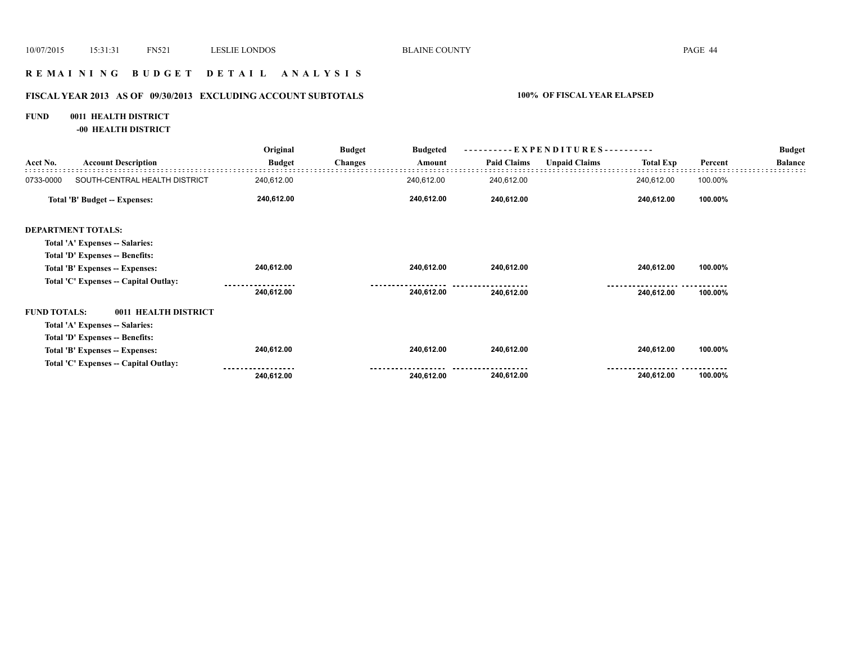## **R E M A I N I N G B U D G E T D E T A I L A N A L Y S I S**

# **FISCAL YEAR 2013 AS OF 09/30/2013 EXCLUDING ACCOUNT SUBTOTALS 100% OF FISCAL YEAR ELAPSED**

# **FUND 0011 HEALTH DISTRICT**

**-00 HEALTH DISTRICT**

|                     |                                       | Original      | <b>Budget</b>  | <b>Budgeted</b> | - EXPENDITURES---------- |                      |                  |         | <b>Budget</b>  |
|---------------------|---------------------------------------|---------------|----------------|-----------------|--------------------------|----------------------|------------------|---------|----------------|
| Acct No.            | <b>Account Description</b>            | <b>Budget</b> | <b>Changes</b> | Amount          | <b>Paid Claims</b>       | <b>Unpaid Claims</b> | <b>Total Exp</b> | Percent | <b>Balance</b> |
| 0733-0000           | SOUTH-CENTRAL HEALTH DISTRICT         | 240,612.00    |                | 240,612.00      | 240,612.00               |                      | 240,612.00       | 100.00% |                |
|                     | Total 'B' Budget -- Expenses:         | 240,612.00    |                | 240,612.00      | 240,612.00               |                      | 240,612.00       | 100.00% |                |
|                     | <b>DEPARTMENT TOTALS:</b>             |               |                |                 |                          |                      |                  |         |                |
|                     | Total 'A' Expenses -- Salaries:       |               |                |                 |                          |                      |                  |         |                |
|                     | Total 'D' Expenses -- Benefits:       |               |                |                 |                          |                      |                  |         |                |
|                     | Total 'B' Expenses -- Expenses:       | 240,612.00    |                | 240,612.00      | 240,612.00               |                      | 240,612.00       | 100.00% |                |
|                     | Total 'C' Expenses -- Capital Outlay: |               |                |                 |                          |                      |                  |         |                |
|                     |                                       | 240,612.00    |                | 240,612.00      | 240,612.00               |                      | 240,612.00       | 100.00% |                |
| <b>FUND TOTALS:</b> | 0011 HEALTH DISTRICT                  |               |                |                 |                          |                      |                  |         |                |
|                     | Total 'A' Expenses -- Salaries:       |               |                |                 |                          |                      |                  |         |                |
|                     | Total 'D' Expenses -- Benefits:       |               |                |                 |                          |                      |                  |         |                |
|                     | Total 'B' Expenses -- Expenses:       | 240,612.00    |                | 240,612.00      | 240,612.00               |                      | 240,612.00       | 100.00% |                |
|                     | Total 'C' Expenses -- Capital Outlay: |               |                |                 |                          |                      |                  |         |                |
|                     |                                       | 240,612.00    |                | 240,612.00      | 240,612.00               |                      | 240,612.00       | 100.00% |                |
|                     |                                       |               |                |                 |                          |                      |                  |         |                |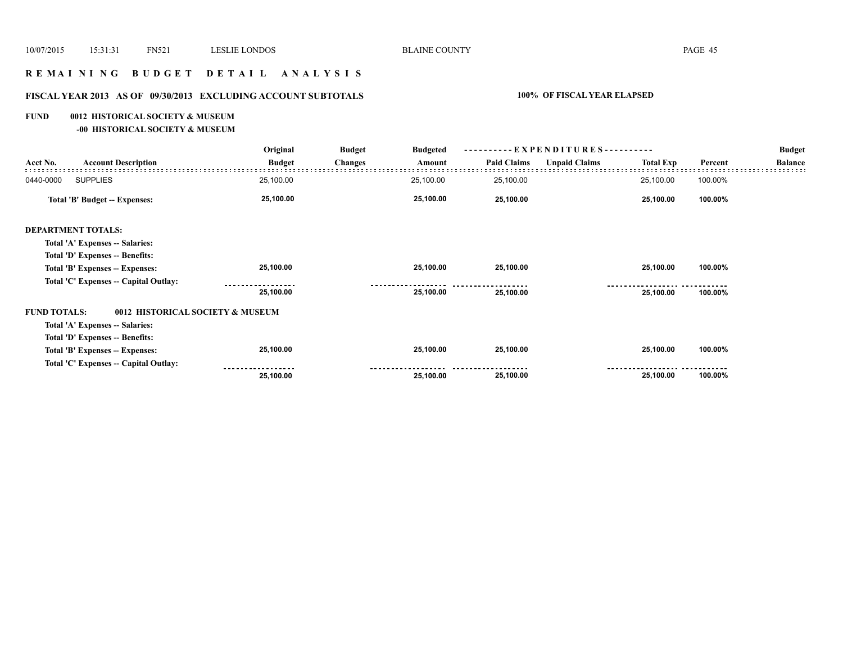# **R E M A I N I N G B U D G E T D E T A I L A N A L Y S I S**

# **FISCAL YEAR 2013 AS OF 09/30/2013 EXCLUDING ACCOUNT SUBTOTALS 100% OF FISCAL YEAR ELAPSED**

### **FUND 0012 HISTORICAL SOCIETY & MUSEUM**

**-00 HISTORICAL SOCIETY & MUSEUM**

|                     |                                       | Original                         | <b>Budget</b><br><b>Changes</b> | <b>Budgeted</b> | $-EXPENDITURES---$ |                      |                  |         | <b>Budget</b>  |
|---------------------|---------------------------------------|----------------------------------|---------------------------------|-----------------|--------------------|----------------------|------------------|---------|----------------|
| Acct No.            | <b>Account Description</b>            | <b>Budget</b>                    |                                 | Amount          | <b>Paid Claims</b> | <b>Unpaid Claims</b> | <b>Total Exp</b> | Percent | <b>Balance</b> |
| 0440-0000           | <b>SUPPLIES</b>                       | 25,100.00                        |                                 | 25,100.00       | 25,100.00          |                      | 25,100.00        | 100.00% |                |
|                     | <b>Total 'B' Budget -- Expenses:</b>  | 25,100.00                        |                                 | 25,100.00       | 25,100.00          |                      | 25,100.00        | 100.00% |                |
|                     | <b>DEPARTMENT TOTALS:</b>             |                                  |                                 |                 |                    |                      |                  |         |                |
|                     | Total 'A' Expenses -- Salaries:       |                                  |                                 |                 |                    |                      |                  |         |                |
|                     | Total 'D' Expenses -- Benefits:       |                                  |                                 |                 |                    |                      |                  |         |                |
|                     | Total 'B' Expenses -- Expenses:       | 25,100.00                        |                                 | 25,100.00       | 25,100.00          |                      | 25,100.00        | 100.00% |                |
|                     | Total 'C' Expenses -- Capital Outlay: |                                  |                                 |                 |                    |                      |                  |         |                |
|                     |                                       | 25,100.00                        |                                 | 25,100.00       | 25,100.00          |                      | 25,100.00        | 100.00% |                |
| <b>FUND TOTALS:</b> |                                       | 0012 HISTORICAL SOCIETY & MUSEUM |                                 |                 |                    |                      |                  |         |                |
|                     | Total 'A' Expenses -- Salaries:       |                                  |                                 |                 |                    |                      |                  |         |                |
|                     | Total 'D' Expenses -- Benefits:       |                                  |                                 |                 |                    |                      |                  |         |                |
|                     | Total 'B' Expenses -- Expenses:       | 25,100.00                        |                                 | 25,100.00       | 25,100.00          |                      | 25,100.00        | 100.00% |                |
|                     | Total 'C' Expenses -- Capital Outlay: |                                  |                                 |                 |                    |                      |                  |         |                |
|                     |                                       | 25,100.00                        |                                 | 25,100.00       | 25,100.00          |                      | 25,100.00        | 100.00% |                |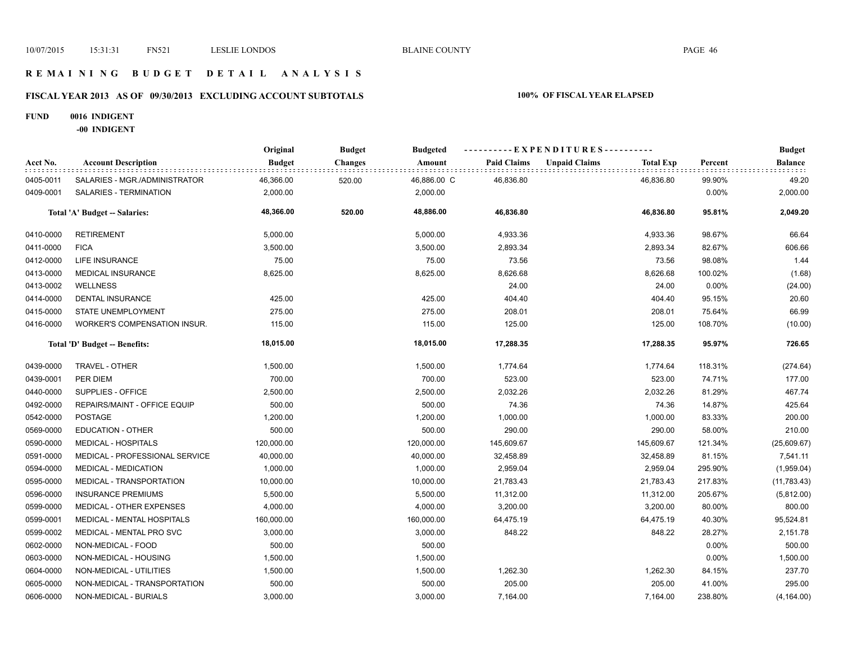## **R E M A I N I N G B U D G E T D E T A I L A N A L Y S I S**

# **FISCAL YEAR 2013 AS OF 09/30/2013 EXCLUDING ACCOUNT SUBTOTALS 100% OF FISCAL YEAR ELAPSED**

### **FUND 0016 INDIGENT**

**-00 INDIGENT**

|           |                                     | Original      | <b>Budget</b>  | <b>Budgeted</b> |                    | ----------EXPENDITURES---------- |                  |         | <b>Budget</b> |
|-----------|-------------------------------------|---------------|----------------|-----------------|--------------------|----------------------------------|------------------|---------|---------------|
| Acct No.  | <b>Account Description</b>          | <b>Budget</b> | <b>Changes</b> | Amount          | <b>Paid Claims</b> | <b>Unpaid Claims</b>             | <b>Total Exp</b> | Percent | Balance       |
| 0405-0011 | SALARIES - MGR./ADMINISTRATOR       | 46,366.00     | 520.00         | 46,886.00 C     | 46,836.80          | 46,836.80                        |                  | 99.90%  | 49.20         |
| 0409-0001 | SALARIES - TERMINATION              | 2,000.00      |                | 2,000.00        |                    |                                  |                  | 0.00%   | 2,000.00      |
|           | Total 'A' Budget -- Salaries:       | 48,366.00     | 520.00         | 48,886.00       | 46,836.80          | 46,836.80                        |                  | 95.81%  | 2,049.20      |
| 0410-0000 | <b>RETIREMENT</b>                   | 5,000.00      |                | 5,000.00        | 4,933.36           |                                  | 4,933.36         | 98.67%  | 66.64         |
| 0411-0000 | <b>FICA</b>                         | 3,500.00      |                | 3,500.00        | 2,893.34           |                                  | 2,893.34         | 82.67%  | 606.66        |
| 0412-0000 | LIFE INSURANCE                      | 75.00         |                | 75.00           | 73.56              |                                  | 73.56            | 98.08%  | 1.44          |
| 0413-0000 | <b>MEDICAL INSURANCE</b>            | 8,625.00      |                | 8,625.00        | 8,626.68           |                                  | 8,626.68         | 100.02% | (1.68)        |
| 0413-0002 | <b>WELLNESS</b>                     |               |                |                 | 24.00              |                                  | 24.00            | 0.00%   | (24.00)       |
| 0414-0000 | <b>DENTAL INSURANCE</b>             | 425.00        |                | 425.00          | 404.40             |                                  | 404.40           | 95.15%  | 20.60         |
| 0415-0000 | STATE UNEMPLOYMENT                  | 275.00        |                | 275.00          | 208.01             |                                  | 208.01           | 75.64%  | 66.99         |
| 0416-0000 | <b>WORKER'S COMPENSATION INSUR.</b> | 115.00        |                | 115.00          | 125.00             |                                  | 125.00           | 108.70% | (10.00)       |
|           | Total 'D' Budget -- Benefits:       | 18,015.00     |                | 18,015.00       | 17,288.35          | 17,288.35                        |                  | 95.97%  | 726.65        |
| 0439-0000 | TRAVEL - OTHER                      | 1,500.00      |                | 1,500.00        | 1,774.64           |                                  | 1,774.64         | 118.31% | (274.64)      |
| 0439-0001 | PER DIEM                            | 700.00        |                | 700.00          | 523.00             |                                  | 523.00           | 74.71%  | 177.00        |
| 0440-0000 | SUPPLIES - OFFICE                   | 2,500.00      |                | 2,500.00        | 2,032.26           |                                  | 2,032.26         | 81.29%  | 467.74        |
| 0492-0000 | REPAIRS/MAINT - OFFICE EQUIP        | 500.00        |                | 500.00          | 74.36              |                                  | 74.36            | 14.87%  | 425.64        |
| 0542-0000 | <b>POSTAGE</b>                      | 1,200.00      |                | 1,200.00        | 1,000.00           |                                  | 1,000.00         | 83.33%  | 200.00        |
| 0569-0000 | <b>EDUCATION - OTHER</b>            | 500.00        |                | 500.00          | 290.00             |                                  | 290.00           | 58.00%  | 210.00        |
| 0590-0000 | <b>MEDICAL - HOSPITALS</b>          | 120,000.00    |                | 120,000.00      | 145,609.67         | 145,609.67                       |                  | 121.34% | (25,609.67)   |
| 0591-0000 | MEDICAL - PROFESSIONAL SERVICE      | 40,000.00     |                | 40,000.00       | 32,458.89          | 32,458.89                        |                  | 81.15%  | 7,541.11      |
| 0594-0000 | <b>MEDICAL - MEDICATION</b>         | 1,000.00      |                | 1,000.00        | 2,959.04           |                                  | 2,959.04         | 295.90% | (1,959.04)    |
| 0595-0000 | MEDICAL - TRANSPORTATION            | 10,000.00     |                | 10,000.00       | 21,783.43          | 21,783.43                        |                  | 217.83% | (11, 783.43)  |
| 0596-0000 | <b>INSURANCE PREMIUMS</b>           | 5,500.00      |                | 5,500.00        | 11,312.00          | 11,312.00                        |                  | 205.67% | (5,812.00)    |
| 0599-0000 | MEDICAL - OTHER EXPENSES            | 4,000.00      |                | 4,000.00        | 3,200.00           |                                  | 3,200.00         | 80.00%  | 800.00        |
| 0599-0001 | MEDICAL - MENTAL HOSPITALS          | 160,000.00    |                | 160,000.00      | 64,475.19          | 64,475.19                        |                  | 40.30%  | 95,524.81     |
| 0599-0002 | MEDICAL - MENTAL PRO SVC            | 3,000.00      |                | 3,000.00        | 848.22             |                                  | 848.22           | 28.27%  | 2,151.78      |
| 0602-0000 | NON-MEDICAL - FOOD                  | 500.00        |                | 500.00          |                    |                                  |                  | 0.00%   | 500.00        |
| 0603-0000 | NON-MEDICAL - HOUSING               | 1,500.00      |                | 1,500.00        |                    |                                  |                  | 0.00%   | 1,500.00      |
| 0604-0000 | NON-MEDICAL - UTILITIES             | 1,500.00      |                | 1,500.00        | 1,262.30           |                                  | 1,262.30         | 84.15%  | 237.70        |
| 0605-0000 | NON-MEDICAL - TRANSPORTATION        | 500.00        |                | 500.00          | 205.00             |                                  | 205.00           | 41.00%  | 295.00        |
| 0606-0000 | NON-MEDICAL - BURIALS               | 3,000.00      |                | 3,000.00        | 7,164.00           |                                  | 7,164.00         | 238.80% | (4, 164.00)   |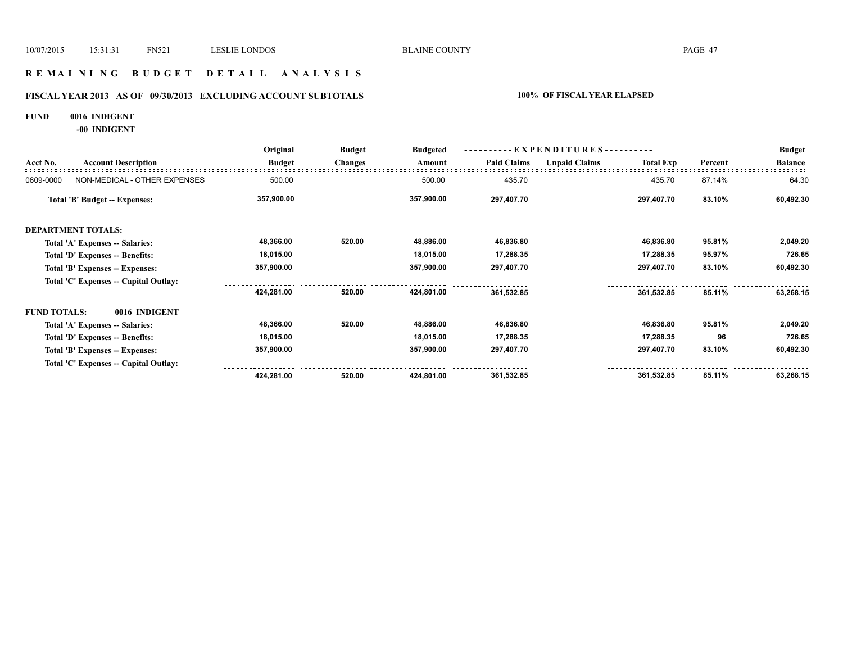## **R E M A I N I N G B U D G E T D E T A I L A N A L Y S I S**

# **FISCAL YEAR 2013 AS OF 09/30/2013 EXCLUDING ACCOUNT SUBTOTALS 100% OF FISCAL YEAR ELAPSED**

### **FUND 0016 INDIGENT**

**-00 INDIGENT**

|                     |                                       | Original      | <b>Budget</b>  | <b>Budgeted</b> | ----------EXPENDITURES---------- |                      |                  |         | <b>Budget</b>  |
|---------------------|---------------------------------------|---------------|----------------|-----------------|----------------------------------|----------------------|------------------|---------|----------------|
| Acct No.            | <b>Account Description</b>            | <b>Budget</b> | <b>Changes</b> | Amount          | <b>Paid Claims</b>               | <b>Unpaid Claims</b> | <b>Total Exp</b> | Percent | <b>Balance</b> |
| 0609-0000           | NON-MEDICAL - OTHER EXPENSES          | 500.00        |                | 500.00          | 435.70                           |                      | 435.70           | 87.14%  | 64.30          |
|                     | Total 'B' Budget -- Expenses:         | 357,900.00    |                | 357,900.00      | 297,407.70                       |                      | 297,407.70       | 83.10%  | 60,492.30      |
|                     | <b>DEPARTMENT TOTALS:</b>             |               |                |                 |                                  |                      |                  |         |                |
|                     | Total 'A' Expenses -- Salaries:       | 48,366.00     | 520.00         | 48,886.00       | 46,836.80                        |                      | 46,836.80        | 95.81%  | 2,049.20       |
|                     | Total 'D' Expenses -- Benefits:       | 18,015.00     |                | 18,015.00       | 17,288.35                        |                      | 17,288.35        | 95.97%  | 726.65         |
|                     | Total 'B' Expenses -- Expenses:       | 357,900.00    |                | 357,900.00      | 297,407.70                       |                      | 297,407.70       | 83.10%  | 60,492.30      |
|                     | Total 'C' Expenses -- Capital Outlay: |               |                |                 |                                  |                      |                  |         |                |
|                     |                                       | 424,281.00    | 520.00         | 424,801.00      | 361,532.85                       |                      | 361,532.85       | 85.11%  | 63,268.15      |
| <b>FUND TOTALS:</b> | 0016 INDIGENT                         |               |                |                 |                                  |                      |                  |         |                |
|                     | Total 'A' Expenses -- Salaries:       | 48,366.00     | 520.00         | 48,886.00       | 46,836.80                        |                      | 46,836.80        | 95.81%  | 2,049.20       |
|                     | Total 'D' Expenses -- Benefits:       | 18,015.00     |                | 18,015.00       | 17,288.35                        |                      | 17,288.35        | 96      | 726.65         |
|                     | Total 'B' Expenses -- Expenses:       | 357,900.00    |                | 357,900.00      | 297,407.70                       |                      | 297,407.70       | 83.10%  | 60,492.30      |
|                     | Total 'C' Expenses -- Capital Outlay: |               |                |                 |                                  |                      |                  |         |                |
|                     |                                       | 424,281.00    | 520.00         | 424,801.00      | 361,532.85                       |                      | 361,532.85       | 85.11%  | 63,268.15      |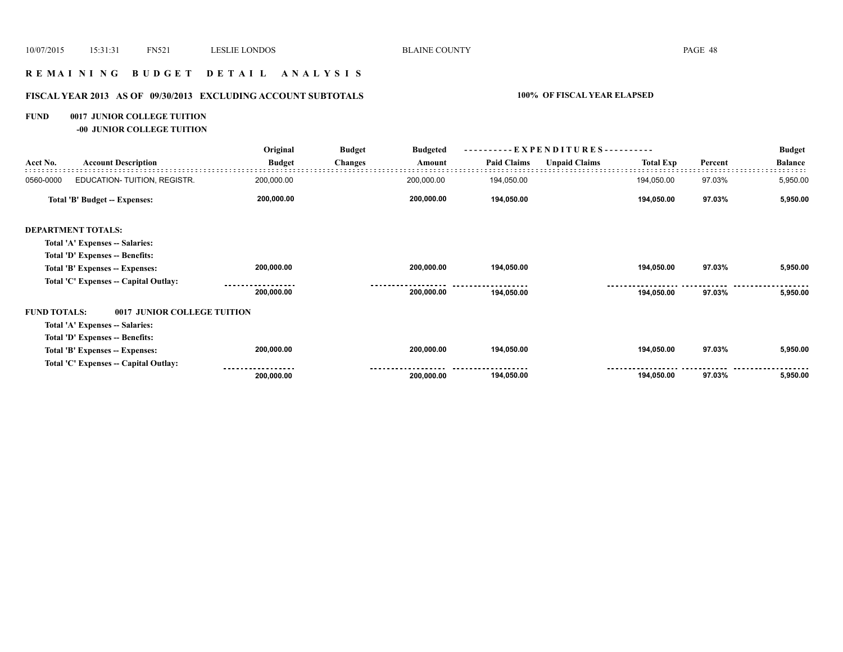## **R E M A I N I N G B U D G E T D E T A I L A N A L Y S I S**

# **FISCAL YEAR 2013 AS OF 09/30/2013 EXCLUDING ACCOUNT SUBTOTALS 100% OF FISCAL YEAR ELAPSED**

## **FUND 0017 JUNIOR COLLEGE TUITION**

**-00 JUNIOR COLLEGE TUITION**

|                     |                                       | Original      | <b>Budget</b>  | <b>Budgeted</b> | EXPENDITURES---------- |                      |                  |         | <b>Budget</b>  |
|---------------------|---------------------------------------|---------------|----------------|-----------------|------------------------|----------------------|------------------|---------|----------------|
| Acct No.            | <b>Account Description</b>            | <b>Budget</b> | <b>Changes</b> | Amount          | <b>Paid Claims</b>     | <b>Unpaid Claims</b> | <b>Total Exp</b> | Percent | <b>Balance</b> |
| 0560-0000           | EDUCATION- TUITION, REGISTR.          | 200,000.00    |                | 200,000.00      | 194,050.00             |                      | 194,050.00       | 97.03%  | 5,950.00       |
|                     | <b>Total 'B' Budget -- Expenses:</b>  | 200,000.00    |                | 200,000.00      | 194,050.00             |                      | 194,050.00       | 97.03%  | 5,950.00       |
|                     | <b>DEPARTMENT TOTALS:</b>             |               |                |                 |                        |                      |                  |         |                |
|                     | Total 'A' Expenses -- Salaries:       |               |                |                 |                        |                      |                  |         |                |
|                     | Total 'D' Expenses -- Benefits:       |               |                |                 |                        |                      |                  |         |                |
|                     | Total 'B' Expenses -- Expenses:       | 200,000.00    |                | 200,000.00      | 194,050.00             |                      | 194,050.00       | 97.03%  | 5,950.00       |
|                     | Total 'C' Expenses - Capital Outlay:  |               |                |                 |                        |                      |                  |         |                |
|                     |                                       | 200,000.00    |                | 200,000.00      | 194,050.00             |                      | 194,050.00       | 97.03%  | 5,950.00       |
| <b>FUND TOTALS:</b> | 0017 JUNIOR COLLEGE TUITION           |               |                |                 |                        |                      |                  |         |                |
|                     | Total 'A' Expenses -- Salaries:       |               |                |                 |                        |                      |                  |         |                |
|                     | Total 'D' Expenses -- Benefits:       |               |                |                 |                        |                      |                  |         |                |
|                     | Total 'B' Expenses -- Expenses:       | 200,000.00    |                | 200,000.00      | 194,050.00             |                      | 194,050.00       | 97.03%  | 5,950.00       |
|                     | Total 'C' Expenses -- Capital Outlay: |               |                |                 |                        |                      |                  |         |                |
|                     |                                       | 200,000.00    |                | 200,000.00      | 194,050.00             |                      | 194,050.00       | 97.03%  | 5,950.00       |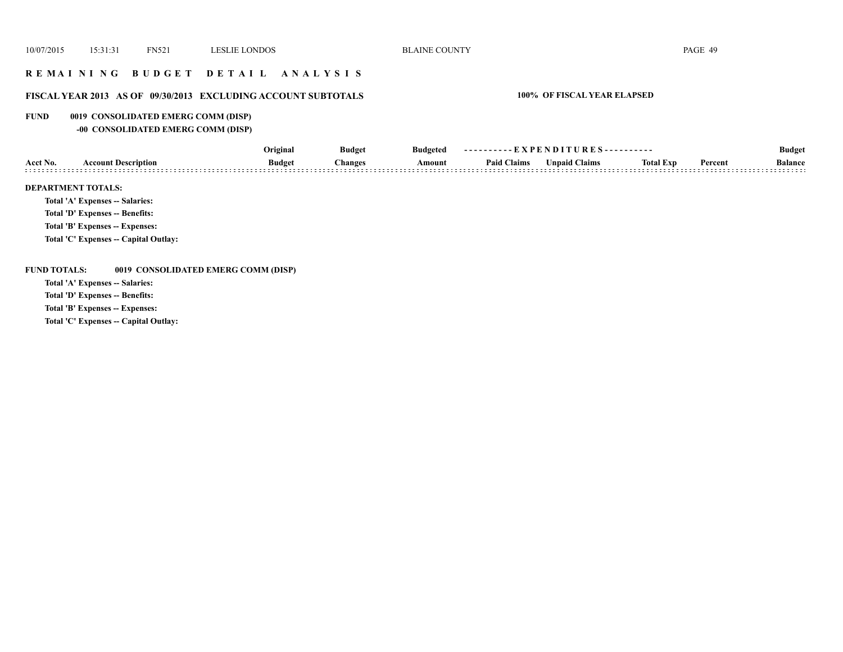## **R E M A I N I N G B U D G E T D E T A I L A N A L Y S I S**

## **FISCAL YEAR 2013 AS OF 09/30/2013 EXCLUDING ACCOUNT SUBTOTALS 100% OF FISCAL YEAR ELAPSED**

### **FUND 0019 CONSOLIDATED EMERG COMM (DISP)**

**-00 CONSOLIDATED EMERG COMM (DISP)**

|                           |                                 | Original      | <b>Budget</b> | <b>Budgeted</b> | ----------EXPENDITURES---------- |                      | <b>Budget</b>    |         |                |
|---------------------------|---------------------------------|---------------|---------------|-----------------|----------------------------------|----------------------|------------------|---------|----------------|
| Acct No.                  | <b>Account Description</b>      | <b>Budget</b> | Changes       | Amount          | <b>Paid Claims</b>               | <b>Unpaid Claims</b> | <b>Total Exp</b> | Percent | <b>Balance</b> |
| <b>DEPARTMENT TOTALS:</b> |                                 |               |               |                 |                                  |                      |                  |         |                |
|                           | Total 'A' Expenses -- Salaries: |               |               |                 |                                  |                      |                  |         |                |

**Total 'D' Expenses -- Benefits:**

**Total 'B' Expenses -- Expenses:**

**Total 'C' Expenses -- Capital Outlay:**

**FUND TOTALS: 0019 CONSOLIDATED EMERG COMM (DISP)**

**Total 'A' Expenses -- Salaries:**

**Total 'D' Expenses -- Benefits:**

**Total 'B' Expenses -- Expenses:**

**Total 'C' Expenses -- Capital Outlay:**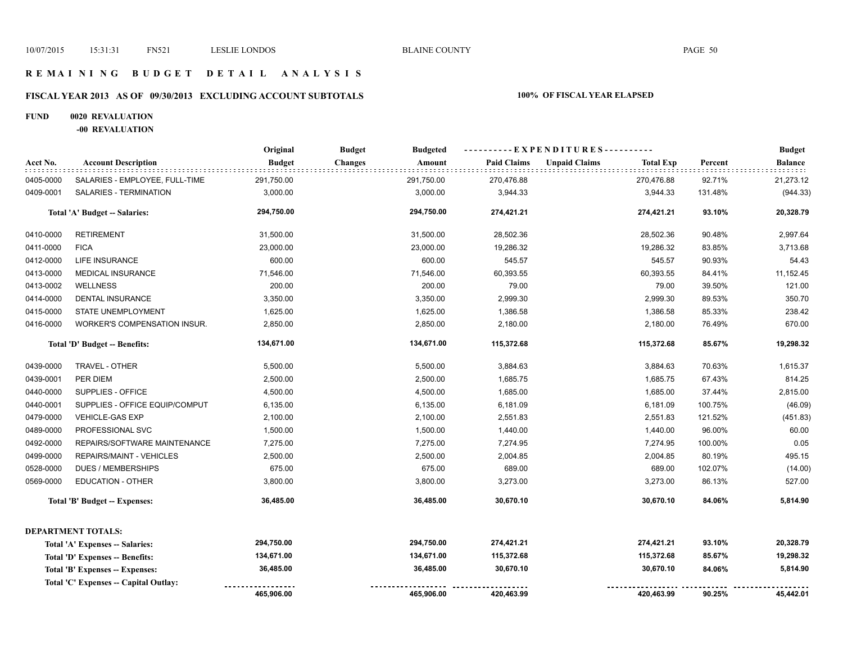## **R E M A I N I N G B U D G E T D E T A I L A N A L Y S I S**

# **FISCAL YEAR 2013 AS OF 09/30/2013 EXCLUDING ACCOUNT SUBTOTALS 100% OF FISCAL YEAR ELAPSED**

### **FUND 0020 REVALUATION**

**-00 REVALUATION**

|           |                                       | Original      | <b>Budget</b><br><b>Budgeted</b> |                    | ----------EXPENDITURES----------         |         | <b>Budget</b> |
|-----------|---------------------------------------|---------------|----------------------------------|--------------------|------------------------------------------|---------|---------------|
| Acct No.  | <b>Account Description</b>            | <b>Budget</b> | <b>Changes</b><br>Amount         | <b>Paid Claims</b> | <b>Unpaid Claims</b><br><b>Total Exp</b> | Percent | Balance       |
| 0405-0000 | SALARIES - EMPLOYEE, FULL-TIME        | 291,750.00    | 291,750.00                       | 270,476.88         | 270,476.88                               | 92.71%  | 21,273.12     |
| 0409-0001 | SALARIES - TERMINATION                | 3,000.00      | 3,000.00                         | 3,944.33           | 3,944.33                                 | 131.48% | (944.33)      |
|           | Total 'A' Budget -- Salaries:         | 294,750.00    | 294,750.00                       | 274,421.21         | 274,421.21                               | 93.10%  | 20,328.79     |
| 0410-0000 | <b>RETIREMENT</b>                     | 31,500.00     | 31,500.00                        | 28,502.36          | 28,502.36                                | 90.48%  | 2,997.64      |
| 0411-0000 | <b>FICA</b>                           | 23,000.00     | 23,000.00                        | 19,286.32          | 19,286.32                                | 83.85%  | 3,713.68      |
| 0412-0000 | LIFE INSURANCE                        | 600.00        | 600.00                           | 545.57             | 545.57                                   | 90.93%  | 54.43         |
| 0413-0000 | MEDICAL INSURANCE                     | 71,546.00     | 71,546.00                        | 60,393.55          | 60,393.55                                | 84.41%  | 11,152.45     |
| 0413-0002 | <b>WELLNESS</b>                       | 200.00        | 200.00                           | 79.00              | 79.00                                    | 39.50%  | 121.00        |
| 0414-0000 | DENTAL INSURANCE                      | 3,350.00      | 3,350.00                         | 2,999.30           | 2,999.30                                 | 89.53%  | 350.70        |
| 0415-0000 | STATE UNEMPLOYMENT                    | 1,625.00      | 1,625.00                         | 1,386.58           | 1,386.58                                 | 85.33%  | 238.42        |
| 0416-0000 | WORKER'S COMPENSATION INSUR.          | 2,850.00      | 2,850.00                         | 2,180.00           | 2,180.00                                 | 76.49%  | 670.00        |
|           | Total 'D' Budget -- Benefits:         | 134,671.00    | 134,671.00                       | 115,372.68         | 115,372.68                               | 85.67%  | 19,298.32     |
| 0439-0000 | TRAVEL - OTHER                        | 5,500.00      | 5,500.00                         | 3,884.63           | 3,884.63                                 | 70.63%  | 1,615.37      |
| 0439-0001 | PER DIEM                              | 2,500.00      | 2,500.00                         | 1,685.75           | 1,685.75                                 | 67.43%  | 814.25        |
| 0440-0000 | SUPPLIES - OFFICE                     | 4,500.00      | 4,500.00                         | 1,685.00           | 1,685.00                                 | 37.44%  | 2,815.00      |
| 0440-0001 | SUPPLIES - OFFICE EQUIP/COMPUT        | 6,135.00      | 6,135.00                         | 6,181.09           | 6,181.09                                 | 100.75% | (46.09)       |
| 0479-0000 | <b>VEHICLE-GAS EXP</b>                | 2,100.00      | 2,100.00                         | 2,551.83           | 2,551.83                                 | 121.52% | (451.83)      |
| 0489-0000 | PROFESSIONAL SVC                      | 1,500.00      | 1,500.00                         | 1,440.00           | 1,440.00                                 | 96.00%  | 60.00         |
| 0492-0000 | REPAIRS/SOFTWARE MAINTENANCE          | 7,275.00      | 7,275.00                         | 7,274.95           | 7,274.95                                 | 100.00% | 0.05          |
| 0499-0000 | REPAIRS/MAINT - VEHICLES              | 2,500.00      | 2,500.00                         | 2,004.85           | 2,004.85                                 | 80.19%  | 495.15        |
| 0528-0000 | <b>DUES / MEMBERSHIPS</b>             | 675.00        | 675.00                           | 689.00             | 689.00                                   | 102.07% | (14.00)       |
| 0569-0000 | <b>EDUCATION - OTHER</b>              | 3,800.00      | 3,800.00                         | 3,273.00           | 3,273.00                                 | 86.13%  | 527.00        |
|           | <b>Total 'B' Budget -- Expenses:</b>  | 36,485.00     | 36,485.00                        | 30,670.10          | 30,670.10                                | 84.06%  | 5,814.90      |
|           | <b>DEPARTMENT TOTALS:</b>             |               |                                  |                    |                                          |         |               |
|           | Total 'A' Expenses -- Salaries:       | 294,750.00    | 294,750.00                       | 274,421.21         | 274,421.21                               | 93.10%  | 20,328.79     |
|           | Total 'D' Expenses -- Benefits:       | 134,671.00    | 134,671.00                       | 115,372.68         | 115,372.68                               | 85.67%  | 19,298.32     |
|           | Total 'B' Expenses -- Expenses:       | 36,485.00     | 36,485.00                        | 30,670.10          | 30,670.10                                | 84.06%  | 5,814.90      |
|           | Total 'C' Expenses -- Capital Outlay: |               |                                  |                    |                                          |         |               |
|           |                                       | 465,906.00    | 465,906.00                       | 420,463.99         | 420,463.99                               | 90.25%  | 45,442.01     |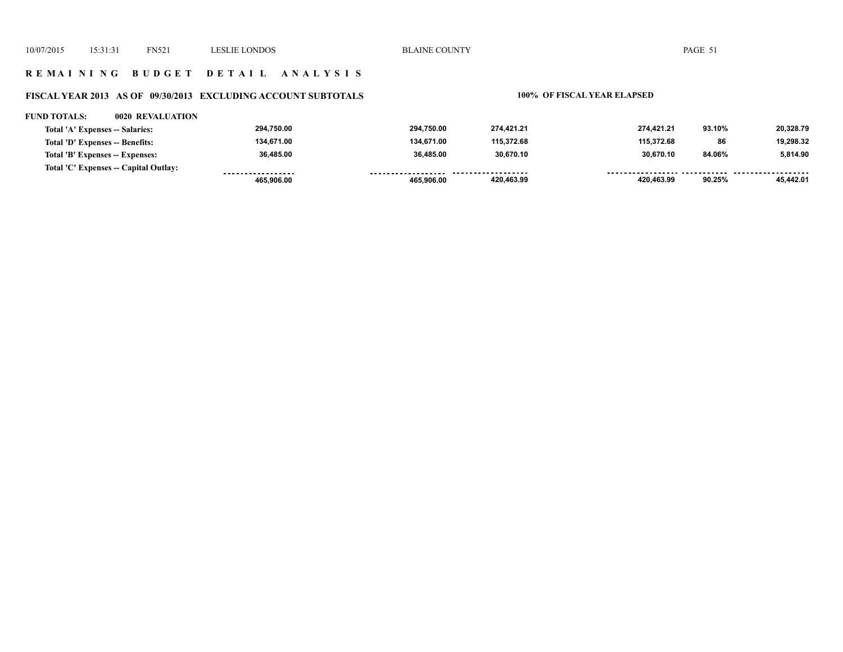## **R E M A I N I N G B U D G E T D E T A I L A N A L Y S I S**

# **FISCAL YEAR 2013 AS OF 09/30/2013 EXCLUDING ACCOUNT SUBTOTALS 100% OF FISCAL YEAR ELAPSED**

### **FUND TOTALS: 0020 REVALUATION**

| Total 'A' Expenses -- Salaries:       | 294.750.00 | 294.750.00   | 274.421.21          | 274.421.21 | 93.10%       | 20,328.79 |
|---------------------------------------|------------|--------------|---------------------|------------|--------------|-----------|
| Total 'D' Expenses -- Benefits:       | 134.671.00 | 134.671.00   | 115.372.68          | 115.372.68 | 86           | 19.298.32 |
| Total 'B' Expenses -- Expenses:       | 36.485.00  | 36.485.00    | 30.670.10           | 30.670.10  | 84.06%       | 5.814.90  |
| Total 'C' Expenses -- Capital Outlay: |            | ------------ | ------------------- |            | ------------ |           |
|                                       | 465.906.00 | 465.906.00   | 420,463.99          | 420,463.99 | 90.25%       | 45.442.01 |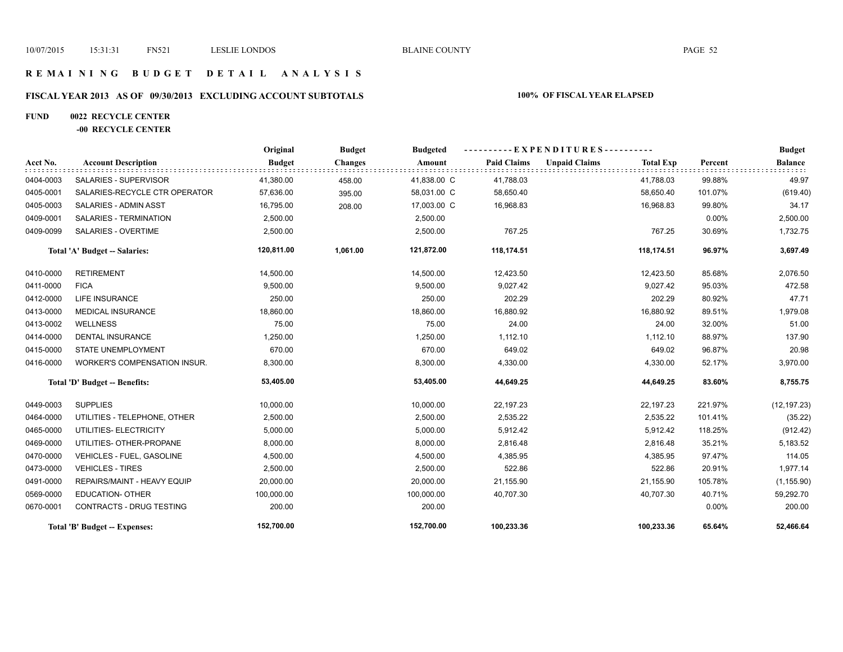## **R E M A I N I N G B U D G E T D E T A I L A N A L Y S I S**

# **FISCAL YEAR 2013 AS OF 09/30/2013 EXCLUDING ACCOUNT SUBTOTALS 100% OF FISCAL YEAR ELAPSED**

## **FUND 0022 RECYCLE CENTER**

## **-00 RECYCLE CENTER**

|           |                                     | Original      | <b>Budget</b>  | <b>Budgeted</b> | ----------EXPENDITURES---------- |                      |                  |          | <b>Budget</b>  |
|-----------|-------------------------------------|---------------|----------------|-----------------|----------------------------------|----------------------|------------------|----------|----------------|
| Acct No.  | <b>Account Description</b>          | <b>Budget</b> | <b>Changes</b> | Amount          | <b>Paid Claims</b>               | <b>Unpaid Claims</b> | <b>Total Exp</b> | Percent  | <b>Balance</b> |
| 0404-0003 | SALARIES - SUPERVISOR               | 41,380.00     | 458.00         | 41,838.00 C     | 41,788.03                        |                      | 41,788.03        | 99.88%   | 49.97          |
| 0405-0001 | SALARIES-RECYCLE CTR OPERATOR       | 57,636.00     | 395.00         | 58,031.00 C     | 58,650.40                        |                      | 58,650.40        | 101.07%  | (619.40)       |
| 0405-0003 | <b>SALARIES - ADMIN ASST</b>        | 16,795.00     | 208.00         | 17,003.00 C     | 16,968.83                        |                      | 16,968.83        | 99.80%   | 34.17          |
| 0409-0001 | <b>SALARIES - TERMINATION</b>       | 2,500.00      |                | 2,500.00        |                                  |                      |                  | $0.00\%$ | 2,500.00       |
| 0409-0099 | SALARIES - OVERTIME                 | 2,500.00      |                | 2,500.00        | 767.25                           |                      | 767.25           | 30.69%   | 1,732.75       |
|           | Total 'A' Budget -- Salaries:       | 120,811.00    | 1,061.00       | 121,872.00      | 118,174.51                       |                      | 118,174.51       | 96.97%   | 3,697.49       |
| 0410-0000 | <b>RETIREMENT</b>                   | 14,500.00     |                | 14,500.00       | 12,423.50                        |                      | 12,423.50        | 85.68%   | 2,076.50       |
| 0411-0000 | <b>FICA</b>                         | 9,500.00      |                | 9,500.00        | 9,027.42                         |                      | 9,027.42         | 95.03%   | 472.58         |
| 0412-0000 | <b>LIFE INSURANCE</b>               | 250.00        |                | 250.00          | 202.29                           |                      | 202.29           | 80.92%   | 47.71          |
| 0413-0000 | <b>MEDICAL INSURANCE</b>            | 18,860.00     |                | 18,860.00       | 16,880.92                        |                      | 16,880.92        | 89.51%   | 1,979.08       |
| 0413-0002 | <b>WELLNESS</b>                     | 75.00         |                | 75.00           | 24.00                            |                      | 24.00            | 32.00%   | 51.00          |
| 0414-0000 | <b>DENTAL INSURANCE</b>             | 1,250.00      |                | 1,250.00        | 1,112.10                         |                      | 1,112.10         | 88.97%   | 137.90         |
| 0415-0000 | STATE UNEMPLOYMENT                  | 670.00        |                | 670.00          | 649.02                           |                      | 649.02           | 96.87%   | 20.98          |
| 0416-0000 | <b>WORKER'S COMPENSATION INSUR.</b> | 8,300.00      |                | 8,300.00        | 4,330.00                         |                      | 4,330.00         | 52.17%   | 3,970.00       |
|           | Total 'D' Budget -- Benefits:       | 53,405.00     |                | 53,405.00       | 44,649.25                        |                      | 44,649.25        | 83.60%   | 8,755.75       |
| 0449-0003 | <b>SUPPLIES</b>                     | 10,000.00     |                | 10,000.00       | 22,197.23                        |                      | 22,197.23        | 221.97%  | (12, 197.23)   |
| 0464-0000 | UTILITIES - TELEPHONE, OTHER        | 2,500.00      |                | 2,500.00        | 2,535.22                         |                      | 2,535.22         | 101.41%  | (35.22)        |
| 0465-0000 | UTILITIES- ELECTRICITY              | 5,000.00      |                | 5,000.00        | 5,912.42                         |                      | 5,912.42         | 118.25%  | (912.42)       |
| 0469-0000 | UTILITIES- OTHER-PROPANE            | 8,000.00      |                | 8,000.00        | 2,816.48                         |                      | 2,816.48         | 35.21%   | 5,183.52       |
| 0470-0000 | VEHICLES - FUEL, GASOLINE           | 4,500.00      |                | 4,500.00        | 4,385.95                         |                      | 4,385.95         | 97.47%   | 114.05         |
| 0473-0000 | <b>VEHICLES - TIRES</b>             | 2,500.00      |                | 2,500.00        | 522.86                           |                      | 522.86           | 20.91%   | 1,977.14       |
| 0491-0000 | REPAIRS/MAINT - HEAVY EQUIP         | 20,000.00     |                | 20,000.00       | 21,155.90                        |                      | 21,155.90        | 105.78%  | (1, 155.90)    |
| 0569-0000 | <b>EDUCATION- OTHER</b>             | 100,000.00    |                | 100,000.00      | 40,707.30                        |                      | 40,707.30        | 40.71%   | 59,292.70      |
| 0670-0001 | <b>CONTRACTS - DRUG TESTING</b>     | 200.00        |                | 200.00          |                                  |                      |                  | 0.00%    | 200.00         |
|           | Total 'B' Budget -- Expenses:       | 152,700.00    |                | 152,700.00      | 100,233.36                       |                      | 100,233.36       | 65.64%   | 52,466.64      |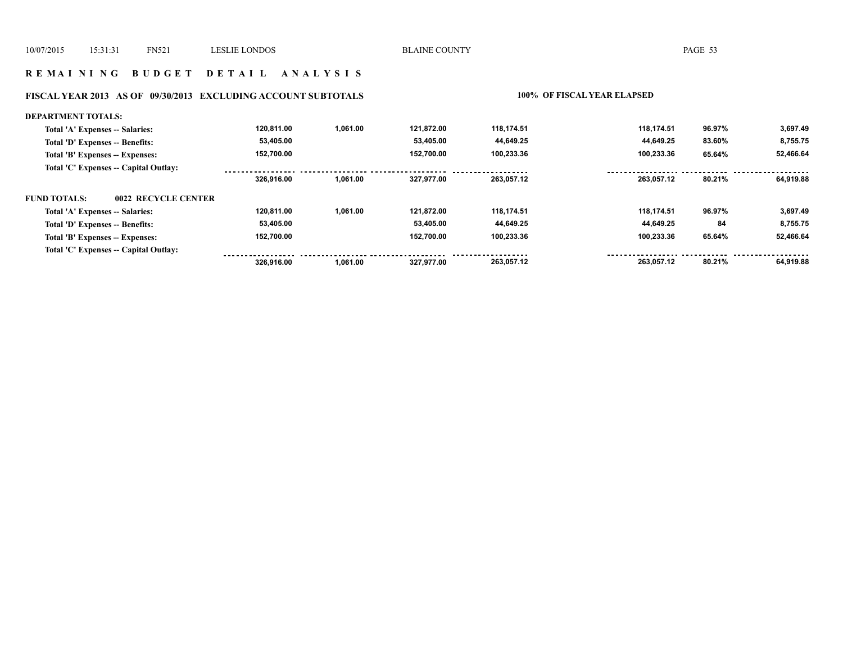## **R E M A I N I N G B U D G E T D E T A I L A N A L Y S I S**

# **FISCAL YEAR 2013 AS OF 09/30/2013 EXCLUDING ACCOUNT SUBTOTALS 100% OF FISCAL YEAR ELAPSED**

| <b>DEPARTMENT TOTALS:</b>                  |            |          |            |            |            |        |           |
|--------------------------------------------|------------|----------|------------|------------|------------|--------|-----------|
| Total 'A' Expenses -- Salaries:            | 120.811.00 | 1.061.00 | 121.872.00 | 118.174.51 | 118.174.51 | 96.97% | 3,697.49  |
| Total 'D' Expenses -- Benefits:            | 53,405.00  |          | 53,405.00  | 44,649.25  | 44,649.25  | 83.60% | 8,755.75  |
| Total 'B' Expenses -- Expenses:            | 152,700.00 |          | 152.700.00 | 100,233.36 | 100,233.36 | 65.64% | 52,466.64 |
| Total 'C' Expenses -- Capital Outlay:      |            |          |            |            |            |        |           |
|                                            | 326.916.00 | 1,061.00 | 327.977.00 | 263.057.12 | 263.057.12 | 80.21% | 64.919.88 |
| <b>FUND TOTALS:</b><br>0022 RECYCLE CENTER |            |          |            |            |            |        |           |
| Total 'A' Expenses -- Salaries:            | 120,811.00 | 1,061.00 | 121.872.00 | 118,174.51 | 118.174.51 | 96.97% | 3,697.49  |
| Total 'D' Expenses -- Benefits:            | 53,405.00  |          | 53,405.00  | 44,649.25  | 44,649.25  | 84     | 8,755.75  |
| Total 'B' Expenses -- Expenses:            | 152,700.00 |          | 152.700.00 | 100,233.36 | 100.233.36 | 65.64% | 52,466.64 |
| Total 'C' Expenses -- Capital Outlay:      |            |          |            |            |            |        |           |
|                                            | 326.916.00 | 1.061.00 | 327.977.00 | 263,057.12 | 263.057.12 | 80.21% | 64.919.88 |
|                                            |            |          |            |            |            |        |           |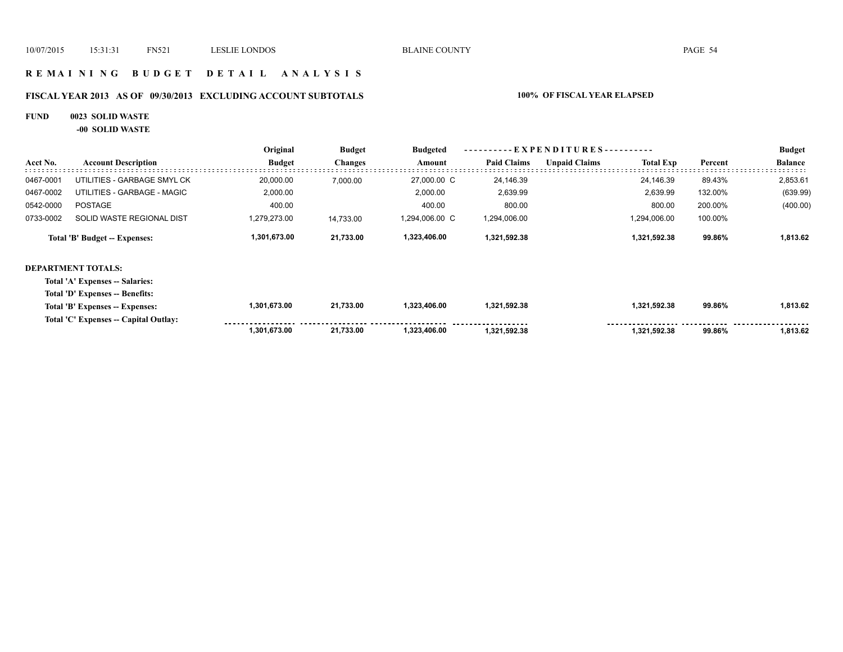## **R E M A I N I N G B U D G E T D E T A I L A N A L Y S I S**

# **FISCAL YEAR 2013 AS OF 09/30/2013 EXCLUDING ACCOUNT SUBTOTALS 100% OF FISCAL YEAR ELAPSED**

### **FUND 0023 SOLID WASTE**

**-00 SOLID WASTE**

|           |                                       | Original      | <b>Budget</b>  | <b>Budgeted</b> |                    | - E X P E N D I T U R E S - - - - - - - - - - |                  |         | <b>Budget</b>  |
|-----------|---------------------------------------|---------------|----------------|-----------------|--------------------|-----------------------------------------------|------------------|---------|----------------|
| Acct No.  | <b>Account Description</b>            | <b>Budget</b> | <b>Changes</b> | Amount          | <b>Paid Claims</b> | <b>Unpaid Claims</b>                          | <b>Total Exp</b> | Percent | <b>Balance</b> |
| 0467-0001 | UTILITIES - GARBAGE SMYL CK           | 20,000.00     | 7,000.00       | 27,000.00 C     | 24,146.39          |                                               | 24,146.39        | 89.43%  | 2,853.61       |
| 0467-0002 | UTILITIES - GARBAGE - MAGIC           | 2,000.00      |                | 2,000.00        | 2,639.99           |                                               | 2,639.99         | 132.00% | (639.99)       |
| 0542-0000 | <b>POSTAGE</b>                        | 400.00        |                | 400.00          | 800.00             |                                               | 800.00           | 200.00% | (400.00)       |
| 0733-0002 | SOLID WASTE REGIONAL DIST             | 1,279,273.00  | 14,733.00      | 1,294,006.00 C  | 1,294,006.00       |                                               | 1,294,006.00     | 100.00% |                |
|           | Total 'B' Budget -- Expenses:         | 1,301,673.00  | 21,733.00      | 1,323,406.00    | 1,321,592.38       |                                               | 1,321,592.38     | 99.86%  | 1,813.62       |
|           | <b>DEPARTMENT TOTALS:</b>             |               |                |                 |                    |                                               |                  |         |                |
|           | Total 'A' Expenses -- Salaries:       |               |                |                 |                    |                                               |                  |         |                |
|           | Total 'D' Expenses -- Benefits:       |               |                |                 |                    |                                               |                  |         |                |
|           | Total 'B' Expenses -- Expenses:       | 1,301,673.00  | 21,733.00      | 1,323,406.00    | 1,321,592.38       |                                               | 1,321,592.38     | 99.86%  | 1,813.62       |
|           | Total 'C' Expenses -- Capital Outlay: |               |                |                 |                    |                                               |                  |         |                |
|           |                                       | 1,301,673.00  | 21,733.00      | 1,323,406.00    | 1,321,592.38       |                                               | 1,321,592.38     | 99.86%  | 1,813.62       |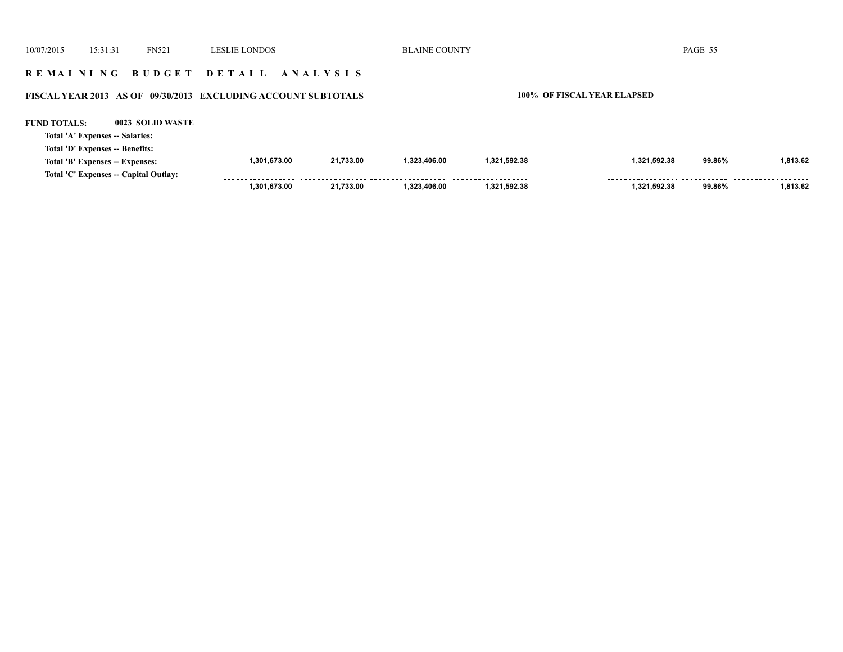| 10/07/2015          | 15:31:31                                                           | <b>FN521</b>                          | <b>LESLIE LONDOS</b>                                          |           | <b>BLAINE COUNTY</b>        |              |              | PAGE 55 |          |
|---------------------|--------------------------------------------------------------------|---------------------------------------|---------------------------------------------------------------|-----------|-----------------------------|--------------|--------------|---------|----------|
|                     |                                                                    |                                       | REMAINING BUDGET DETAIL ANALYSIS                              |           |                             |              |              |         |          |
|                     |                                                                    |                                       | FISCAL YEAR 2013 AS OF 09/30/2013 EXCLUDING ACCOUNT SUBTOTALS |           | 100% OF FISCAL YEAR ELAPSED |              |              |         |          |
| <b>FUND TOTALS:</b> | Total 'A' Expenses -- Salaries:                                    | 0023 SOLID WASTE                      |                                                               |           |                             |              |              |         |          |
|                     | Total 'D' Expenses -- Benefits:<br>Total 'B' Expenses -- Expenses: |                                       | 1,301,673.00                                                  | 21,733.00 | 1.323.406.00                | 1,321,592.38 | 1,321,592.38 | 99.86%  | 1.813.62 |
|                     |                                                                    | Total 'C' Expenses -- Capital Outlay: | 1.301.673.00                                                  | 21.733.00 | 1.323.406.00                | 1,321,592.38 | 1.321.592.38 | 99.86%  | 1.813.62 |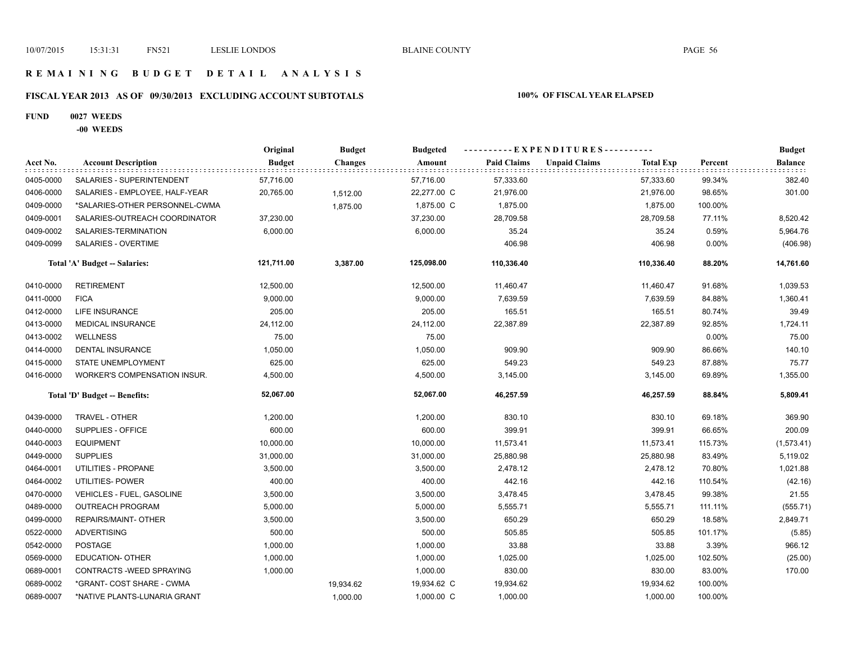## **R E M A I N I N G B U D G E T D E T A I L A N A L Y S I S**

# **FISCAL YEAR 2013 AS OF 09/30/2013 EXCLUDING ACCOUNT SUBTOTALS 100% OF FISCAL YEAR ELAPSED**

### **FUND 0027 WEEDS**

**-00 WEEDS**

|           |                                     | Original      | <b>Budget</b>  | <b>Budgeted</b> | ----------EXPENDITURES---------- |                      |                  |         | <b>Budget</b> |
|-----------|-------------------------------------|---------------|----------------|-----------------|----------------------------------|----------------------|------------------|---------|---------------|
| Acct No.  | <b>Account Description</b>          | <b>Budget</b> | <b>Changes</b> | Amount          | <b>Paid Claims</b>               | <b>Unpaid Claims</b> | <b>Total Exp</b> | Percent | Balance       |
| 0405-0000 | SALARIES - SUPERINTENDENT           | 57,716.00     |                | 57,716.00       | 57,333.60                        |                      | 57,333.60        | 99.34%  | 382.40        |
| 0406-0000 | SALARIES - EMPLOYEE, HALF-YEAR      | 20,765.00     | 1,512.00       | 22,277.00 C     | 21,976.00                        |                      | 21,976.00        | 98.65%  | 301.00        |
| 0409-0000 | *SALARIES-OTHER PERSONNEL-CWMA      |               | 1,875.00       | 1,875.00 C      | 1,875.00                         |                      | 1,875.00         | 100.00% |               |
| 0409-0001 | SALARIES-OUTREACH COORDINATOR       | 37,230.00     |                | 37,230.00       | 28,709.58                        |                      | 28,709.58        | 77.11%  | 8,520.42      |
| 0409-0002 | SALARIES-TERMINATION                | 6,000.00      |                | 6,000.00        | 35.24                            |                      | 35.24            | 0.59%   | 5,964.76      |
| 0409-0099 | SALARIES - OVERTIME                 |               |                |                 | 406.98                           |                      | 406.98           | 0.00%   | (406.98)      |
|           | Total 'A' Budget -- Salaries:       | 121,711.00    | 3,387.00       | 125,098.00      | 110,336.40                       |                      | 110,336.40       | 88.20%  | 14,761.60     |
| 0410-0000 | <b>RETIREMENT</b>                   | 12,500.00     |                | 12,500.00       | 11,460.47                        |                      | 11,460.47        | 91.68%  | 1,039.53      |
| 0411-0000 | <b>FICA</b>                         | 9,000.00      |                | 9,000.00        | 7,639.59                         |                      | 7,639.59         | 84.88%  | 1,360.41      |
| 0412-0000 | LIFE INSURANCE                      | 205.00        |                | 205.00          | 165.51                           |                      | 165.51           | 80.74%  | 39.49         |
| 0413-0000 | MEDICAL INSURANCE                   | 24,112.00     |                | 24,112.00       | 22,387.89                        |                      | 22,387.89        | 92.85%  | 1,724.11      |
| 0413-0002 | <b>WELLNESS</b>                     | 75.00         |                | 75.00           |                                  |                      |                  | 0.00%   | 75.00         |
| 0414-0000 | <b>DENTAL INSURANCE</b>             | 1,050.00      |                | 1,050.00        | 909.90                           |                      | 909.90           | 86.66%  | 140.10        |
| 0415-0000 | STATE UNEMPLOYMENT                  | 625.00        |                | 625.00          | 549.23                           |                      | 549.23           | 87.88%  | 75.77         |
| 0416-0000 | <b>WORKER'S COMPENSATION INSUR.</b> | 4,500.00      |                | 4,500.00        | 3,145.00                         |                      | 3,145.00         | 69.89%  | 1,355.00      |
|           | Total 'D' Budget -- Benefits:       | 52,067.00     |                | 52,067.00       | 46,257.59                        |                      | 46,257.59        | 88.84%  | 5,809.41      |
| 0439-0000 | TRAVEL - OTHER                      | 1,200.00      |                | 1,200.00        | 830.10                           |                      | 830.10           | 69.18%  | 369.90        |
| 0440-0000 | SUPPLIES - OFFICE                   | 600.00        |                | 600.00          | 399.91                           |                      | 399.91           | 66.65%  | 200.09        |
| 0440-0003 | <b>EQUIPMENT</b>                    | 10,000.00     |                | 10,000.00       | 11,573.41                        |                      | 11,573.41        | 115.73% | (1,573.41)    |
| 0449-0000 | <b>SUPPLIES</b>                     | 31,000.00     |                | 31,000.00       | 25,880.98                        |                      | 25,880.98        | 83.49%  | 5,119.02      |
| 0464-0001 | UTILITIES - PROPANE                 | 3,500.00      |                | 3,500.00        | 2,478.12                         |                      | 2,478.12         | 70.80%  | 1,021.88      |
| 0464-0002 | UTILITIES- POWER                    | 400.00        |                | 400.00          | 442.16                           |                      | 442.16           | 110.54% | (42.16)       |
| 0470-0000 | VEHICLES - FUEL, GASOLINE           | 3,500.00      |                | 3,500.00        | 3,478.45                         |                      | 3,478.45         | 99.38%  | 21.55         |
| 0489-0000 | <b>OUTREACH PROGRAM</b>             | 5,000.00      |                | 5,000.00        | 5,555.71                         |                      | 5,555.71         | 111.11% | (555.71)      |
| 0499-0000 | REPAIRS/MAINT- OTHER                | 3,500.00      |                | 3,500.00        | 650.29                           |                      | 650.29           | 18.58%  | 2,849.71      |
| 0522-0000 | <b>ADVERTISING</b>                  | 500.00        |                | 500.00          | 505.85                           |                      | 505.85           | 101.17% | (5.85)        |
| 0542-0000 | POSTAGE                             | 1,000.00      |                | 1,000.00        | 33.88                            |                      | 33.88            | 3.39%   | 966.12        |
| 0569-0000 | <b>EDUCATION- OTHER</b>             | 1,000.00      |                | 1,000.00        | 1,025.00                         |                      | 1,025.00         | 102.50% | (25.00)       |
| 0689-0001 | CONTRACTS - WEED SPRAYING           | 1,000.00      |                | 1,000.00        | 830.00                           |                      | 830.00           | 83.00%  | 170.00        |
| 0689-0002 | *GRANT- COST SHARE - CWMA           |               | 19,934.62      | 19,934.62 C     | 19,934.62                        |                      | 19,934.62        | 100.00% |               |
| 0689-0007 | *NATIVE PLANTS-LUNARIA GRANT        |               | 1,000.00       | 1,000.00 C      | 1,000.00                         |                      | 1,000.00         | 100.00% |               |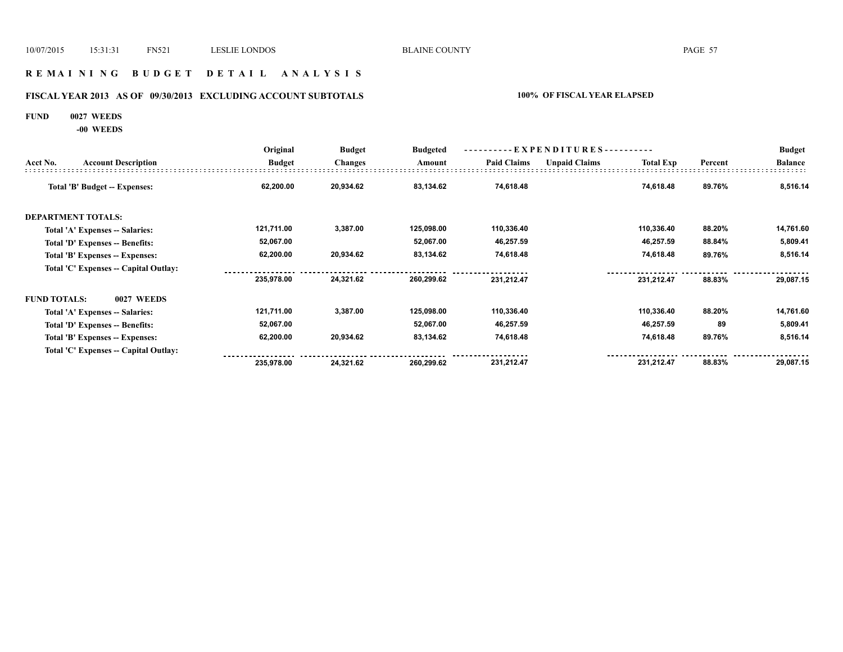## **R E M A I N I N G B U D G E T D E T A I L A N A L Y S I S**

# **FISCAL YEAR 2013 AS OF 09/30/2013 EXCLUDING ACCOUNT SUBTOTALS 100% OF FISCAL YEAR ELAPSED**

### **FUND 0027 WEEDS**

**-00 WEEDS**

|                     |                                       | Original      | <b>Budget</b>  | <b>Budgeted</b> | $-EXPENDITURES---$ |                      |                  | <b>Budget</b> |                |
|---------------------|---------------------------------------|---------------|----------------|-----------------|--------------------|----------------------|------------------|---------------|----------------|
| Acct No.            | <b>Account Description</b>            | <b>Budget</b> | <b>Changes</b> | Amount          | <b>Paid Claims</b> | <b>Unpaid Claims</b> | <b>Total Exp</b> | Percent       | <b>Balance</b> |
|                     | Total 'B' Budget -- Expenses:         | 62,200.00     | 20,934.62      | 83,134.62       | 74,618.48          |                      | 74,618.48        | 89.76%        | 8,516.14       |
|                     | <b>DEPARTMENT TOTALS:</b>             |               |                |                 |                    |                      |                  |               |                |
|                     | Total 'A' Expenses -- Salaries:       | 121,711.00    | 3,387.00       | 125,098.00      | 110,336.40         |                      | 110,336.40       | 88.20%        | 14,761.60      |
|                     | Total 'D' Expenses -- Benefits:       | 52,067.00     |                | 52,067.00       | 46,257.59          |                      | 46,257.59        | 88.84%        | 5,809.41       |
|                     | Total 'B' Expenses -- Expenses:       | 62,200.00     | 20,934.62      | 83,134.62       | 74,618.48          |                      | 74,618.48        | 89.76%        | 8,516.14       |
|                     | Total 'C' Expenses -- Capital Outlay: |               |                |                 |                    |                      |                  |               |                |
|                     |                                       | 235,978.00    | 24,321.62      | 260,299.62      | 231,212.47         |                      | 231,212.47       | 88.83%        | 29,087.15      |
| <b>FUND TOTALS:</b> | 0027 WEEDS                            |               |                |                 |                    |                      |                  |               |                |
|                     | Total 'A' Expenses -- Salaries:       | 121,711.00    | 3,387.00       | 125,098.00      | 110,336.40         |                      | 110,336.40       | 88.20%        | 14,761.60      |
|                     | Total 'D' Expenses -- Benefits:       | 52,067.00     |                | 52,067.00       | 46,257.59          |                      | 46,257.59        | 89            | 5,809.41       |
|                     | Total 'B' Expenses -- Expenses:       | 62,200.00     | 20,934.62      | 83,134.62       | 74,618.48          |                      | 74,618.48        | 89.76%        | 8,516.14       |
|                     | Total 'C' Expenses -- Capital Outlay: |               |                |                 |                    |                      |                  |               |                |
|                     |                                       | 235,978.00    | 24,321.62      | 260,299.62      | 231,212.47         |                      | 231,212.47       | 88.83%        | 29,087.15      |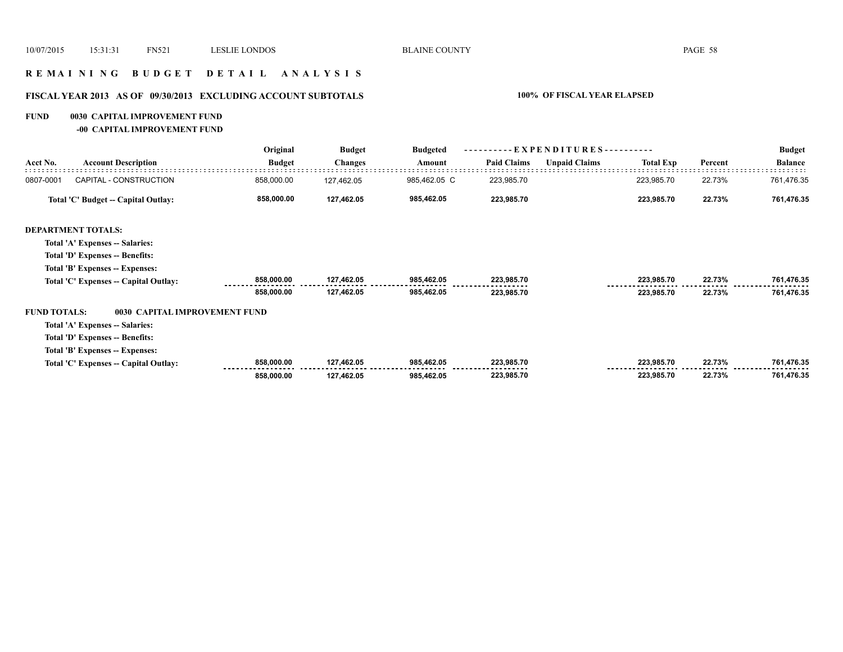## **R E M A I N I N G B U D G E T D E T A I L A N A L Y S I S**

# **FISCAL YEAR 2013 AS OF 09/30/2013 EXCLUDING ACCOUNT SUBTOTALS 100% OF FISCAL YEAR ELAPSED**

### **FUND 0030 CAPITAL IMPROVEMENT FUND**

**-00 CAPITAL IMPROVEMENT FUND**

|                     |                                       | Original      | <b>Budget</b>  | <b>Budgeted</b> | $EXPENDITURES$ --------- |                      |                  |         | <b>Budget</b>  |
|---------------------|---------------------------------------|---------------|----------------|-----------------|--------------------------|----------------------|------------------|---------|----------------|
| Acct No.            | <b>Account Description</b>            | <b>Budget</b> | <b>Changes</b> | Amount          | <b>Paid Claims</b>       | <b>Unpaid Claims</b> | <b>Total Exp</b> | Percent | <b>Balance</b> |
| 0807-0001           | CAPITAL - CONSTRUCTION                | 858,000.00    | 127,462.05     | 985,462.05 C    | 223,985.70               |                      | 223,985.70       | 22.73%  | 761,476.35     |
|                     | Total 'C' Budget -- Capital Outlay:   | 858,000.00    | 127,462.05     | 985,462.05      | 223,985.70               |                      | 223,985.70       | 22.73%  | 761,476.35     |
|                     | <b>DEPARTMENT TOTALS:</b>             |               |                |                 |                          |                      |                  |         |                |
|                     | Total 'A' Expenses -- Salaries:       |               |                |                 |                          |                      |                  |         |                |
|                     | Total 'D' Expenses -- Benefits:       |               |                |                 |                          |                      |                  |         |                |
|                     | Total 'B' Expenses -- Expenses:       |               |                |                 |                          |                      |                  |         |                |
|                     | Total 'C' Expenses -- Capital Outlay: | 858,000.00    | 127,462.05     | 985,462.05      | 223,985.70               |                      | 223,985.70       | 22.73%  | 761,476.35     |
|                     |                                       | 858,000.00    | 127,462.05     | 985,462.05      | 223,985.70               |                      | 223,985.70       | 22.73%  | 761,476.35     |
| <b>FUND TOTALS:</b> | 0030 CAPITAL IMPROVEMENT FUND         |               |                |                 |                          |                      |                  |         |                |
|                     | Total 'A' Expenses -- Salaries:       |               |                |                 |                          |                      |                  |         |                |
|                     | Total 'D' Expenses -- Benefits:       |               |                |                 |                          |                      |                  |         |                |
|                     | Total 'B' Expenses -- Expenses:       |               |                |                 |                          |                      |                  |         |                |
|                     | Total 'C' Expenses -- Capital Outlay: | 858,000.00    | 127,462.05     | 985,462.05      | 223,985.70               |                      | 223,985.70       | 22.73%  | 761,476.35     |
|                     |                                       | 858,000.00    | 127,462.05     | 985,462.05      | 223,985.70               |                      | 223,985.70       | 22.73%  | 761,476.35     |
|                     |                                       |               |                |                 |                          |                      |                  |         |                |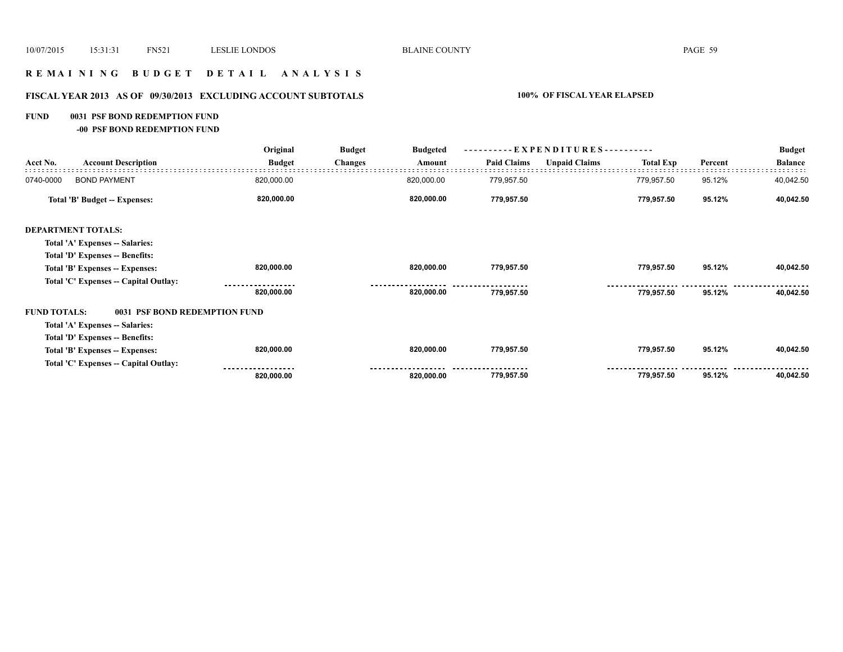# **R E M A I N I N G B U D G E T D E T A I L A N A L Y S I S**

# **FISCAL YEAR 2013 AS OF 09/30/2013 EXCLUDING ACCOUNT SUBTOTALS 100% OF FISCAL YEAR ELAPSED**

### **FUND 0031 PSF BOND REDEMPTION FUND**

**-00 PSF BOND REDEMPTION FUND**

|                     |                                       | Original      | <b>Budget</b>  | <b>Budgeted</b> | ----------EXPENDITURES---------- |                      |                  |         | <b>Budget</b>  |
|---------------------|---------------------------------------|---------------|----------------|-----------------|----------------------------------|----------------------|------------------|---------|----------------|
| Acct No.            | <b>Account Description</b>            | <b>Budget</b> | <b>Changes</b> | Amount          | <b>Paid Claims</b>               | <b>Unpaid Claims</b> | <b>Total Exp</b> | Percent | <b>Balance</b> |
| 0740-0000           | <b>BOND PAYMENT</b>                   | 820,000.00    |                | 820,000.00      | 779,957.50                       |                      | 779,957.50       | 95.12%  | 40,042.50      |
|                     | Total 'B' Budget -- Expenses:         | 820,000.00    |                | 820,000.00      | 779,957.50                       |                      | 779,957.50       | 95.12%  | 40,042.50      |
|                     | <b>DEPARTMENT TOTALS:</b>             |               |                |                 |                                  |                      |                  |         |                |
|                     | Total 'A' Expenses -- Salaries:       |               |                |                 |                                  |                      |                  |         |                |
|                     | Total 'D' Expenses -- Benefits:       |               |                |                 |                                  |                      |                  |         |                |
|                     | Total 'B' Expenses -- Expenses:       | 820,000.00    |                | 820,000.00      | 779,957.50                       |                      | 779,957.50       | 95.12%  | 40,042.50      |
|                     | Total 'C' Expenses -- Capital Outlay: |               |                |                 |                                  |                      |                  |         |                |
|                     |                                       | 820,000.00    |                | 820,000.00      | 779,957.50                       |                      | 779,957.50       | 95.12%  | 40,042.50      |
| <b>FUND TOTALS:</b> | 0031 PSF BOND REDEMPTION FUND         |               |                |                 |                                  |                      |                  |         |                |
|                     | Total 'A' Expenses -- Salaries:       |               |                |                 |                                  |                      |                  |         |                |
|                     | Total 'D' Expenses -- Benefits:       |               |                |                 |                                  |                      |                  |         |                |
|                     | Total 'B' Expenses -- Expenses:       | 820,000.00    |                | 820,000.00      | 779,957.50                       |                      | 779,957.50       | 95.12%  | 40,042.50      |
|                     | Total 'C' Expenses -- Capital Outlay: |               |                |                 |                                  |                      |                  |         |                |
|                     |                                       | 820,000.00    |                | 820,000.00      | 779,957.50                       |                      | 779,957.50       | 95.12%  | 40,042.50      |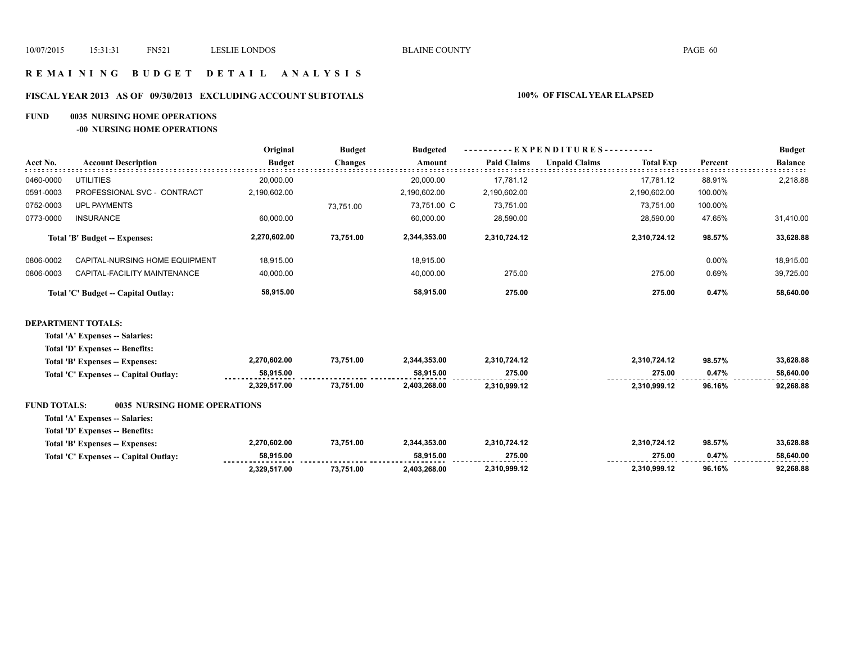## **R E M A I N I N G B U D G E T D E T A I L A N A L Y S I S**

## **FISCAL YEAR 2013 AS OF 09/30/2013 EXCLUDING ACCOUNT SUBTOTALS 100% OF FISCAL YEAR ELAPSED**

### **FUND 0035 NURSING HOME OPERATIONS**

**-00 NURSING HOME OPERATIONS**

|                     |                                       | Original                         | <b>Budget</b>  | <b>Budgeted</b> | - E X P E N D I T U R E S - - - - - - - - - - |                                          |         | <b>Budget</b>  |
|---------------------|---------------------------------------|----------------------------------|----------------|-----------------|-----------------------------------------------|------------------------------------------|---------|----------------|
| Acct No.            | <b>Account Description</b>            | <b>Budget</b>                    | <b>Changes</b> | Amount          | <b>Paid Claims</b>                            | <b>Unpaid Claims</b><br><b>Total Exp</b> | Percent | <b>Balance</b> |
| 0460-0000           | <b>UTILITIES</b>                      | 20,000.00                        |                | 20,000.00       | 17,781.12                                     | 17,781.12                                | 88.91%  | 2,218.88       |
| 0591-0003           | PROFESSIONAL SVC - CONTRACT           | 2,190,602.00                     |                | 2,190,602.00    | 2,190,602.00                                  | 2,190,602.00                             | 100.00% |                |
| 0752-0003           | <b>UPL PAYMENTS</b>                   |                                  | 73,751.00      | 73,751.00 C     | 73,751.00                                     | 73,751.00                                | 100.00% |                |
| 0773-0000           | <b>INSURANCE</b>                      | 60,000.00                        |                | 60,000.00       | 28,590.00                                     | 28,590.00                                | 47.65%  | 31,410.00      |
|                     | <b>Total 'B' Budget -- Expenses:</b>  | 2,270,602.00                     | 73,751.00      | 2,344,353.00    | 2,310,724.12                                  | 2,310,724.12                             | 98.57%  | 33,628.88      |
| 0806-0002           | CAPITAL-NURSING HOME EQUIPMENT        | 18,915.00                        |                | 18,915.00       |                                               |                                          | 0.00%   | 18,915.00      |
| 0806-0003           | CAPITAL-FACILITY MAINTENANCE          | 40,000.00                        |                | 40,000.00       | 275.00                                        | 275.00                                   | 0.69%   | 39,725.00      |
|                     | Total 'C' Budget -- Capital Outlay:   | 58,915.00<br>58,915.00<br>275.00 |                | 275.00          | 0.47%                                         | 58,640.00                                |         |                |
|                     | <b>DEPARTMENT TOTALS:</b>             |                                  |                |                 |                                               |                                          |         |                |
|                     | Total 'A' Expenses -- Salaries:       |                                  |                |                 |                                               |                                          |         |                |
|                     | Total 'D' Expenses -- Benefits:       |                                  |                |                 |                                               |                                          |         |                |
|                     | Total 'B' Expenses -- Expenses:       | 2,270,602.00                     | 73,751.00      | 2,344,353.00    | 2,310,724.12                                  | 2,310,724.12                             | 98.57%  | 33,628.88      |
|                     | Total 'C' Expenses -- Capital Outlay: | 58,915.00                        |                | 58,915.00       | 275.00                                        | 275.00                                   | 0.47%   | 58,640.00      |
|                     |                                       | 2,329,517.00                     | 73,751.00      | 2,403,268.00    | 2,310,999.12                                  | 2,310,999.12                             | 96.16%  | 92,268.88      |
| <b>FUND TOTALS:</b> | 0035 NURSING HOME OPERATIONS          |                                  |                |                 |                                               |                                          |         |                |
|                     | Total 'A' Expenses -- Salaries:       |                                  |                |                 |                                               |                                          |         |                |
|                     | Total 'D' Expenses -- Benefits:       |                                  |                |                 |                                               |                                          |         |                |

| Total 'B' Expenses -- Expenses:       | 2.270.602.00 | 73,751.00 | 2.344.353.00 | 2.310.724.12                  | 2.310.724.12 | 98.57% | 33,628.88      |
|---------------------------------------|--------------|-----------|--------------|-------------------------------|--------------|--------|----------------|
| Total 'C' Expenses -- Capital Outlay: | 58.915.00    |           | 58.915.00    | 275.00<br>------------------- | 275.00       | 0.47%  | 58.640.00<br>. |
|                                       | 2.329.517.00 | 73,751.00 | 2.403.268.00 | 2.310.999.12                  | 2.310.999.12 | 96.16% | 92,268.88      |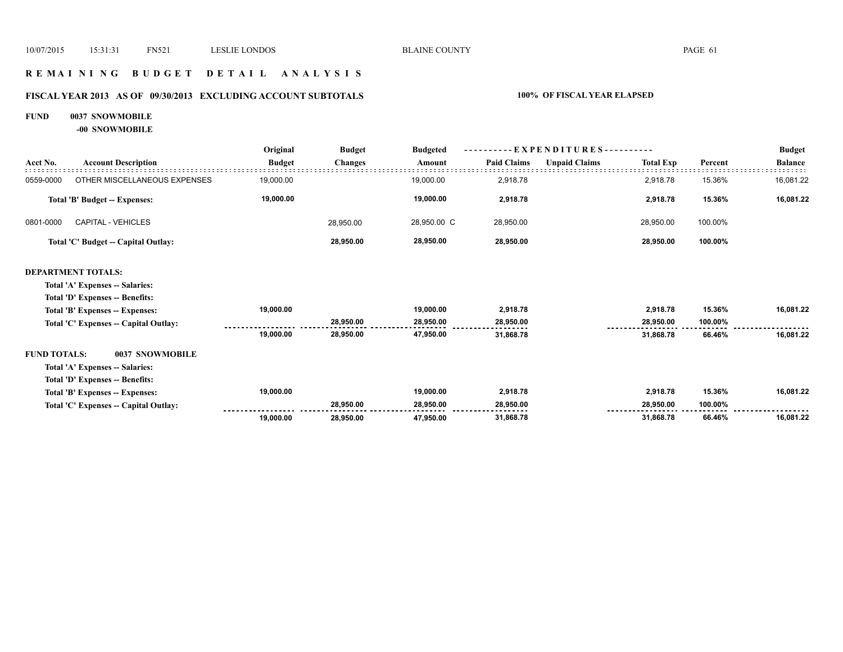## **R E M A I N I N G B U D G E T D E T A I L A N A L Y S I S**

# **FISCAL YEAR 2013 AS OF 09/30/2013 EXCLUDING ACCOUNT SUBTOTALS 100% OF FISCAL YEAR ELAPSED**

### **FUND 0037 SNOWMOBILE**

**-00 SNOWMOBILE**

|                     |                                       | Original      | <b>Budget</b>  | <b>Budgeted</b> | $-EXPENDITURES$ --------- |                      |                  |         | <b>Budget</b>  |
|---------------------|---------------------------------------|---------------|----------------|-----------------|---------------------------|----------------------|------------------|---------|----------------|
| Acct No.            | <b>Account Description</b>            | <b>Budget</b> | <b>Changes</b> | Amount          | <b>Paid Claims</b>        | <b>Unpaid Claims</b> | <b>Total Exp</b> | Percent | <b>Balance</b> |
| 0559-0000           | OTHER MISCELLANEOUS EXPENSES          | 19,000.00     |                | 19,000.00       | 2,918.78                  |                      | 2,918.78         | 15.36%  | 16,081.22      |
|                     | <b>Total 'B' Budget -- Expenses:</b>  | 19,000.00     |                | 19,000.00       | 2,918.78                  |                      | 2,918.78         | 15.36%  | 16,081.22      |
| 0801-0000           | <b>CAPITAL - VEHICLES</b>             |               | 28,950.00      | 28,950.00 C     | 28,950.00                 |                      | 28,950.00        | 100.00% |                |
|                     | Total 'C' Budget -- Capital Outlay:   |               | 28,950.00      | 28,950.00       | 28,950.00                 |                      | 28,950.00        | 100.00% |                |
|                     | <b>DEPARTMENT TOTALS:</b>             |               |                |                 |                           |                      |                  |         |                |
|                     | Total 'A' Expenses -- Salaries:       |               |                |                 |                           |                      |                  |         |                |
|                     | Total 'D' Expenses -- Benefits:       |               |                |                 |                           |                      |                  |         |                |
|                     | Total 'B' Expenses -- Expenses:       | 19,000.00     |                | 19,000.00       | 2,918.78                  |                      | 2,918.78         | 15.36%  | 16,081.22      |
|                     | Total 'C' Expenses -- Capital Outlay: |               | 28,950.00      | 28,950.00       | 28,950.00                 |                      | 28,950.00        | 100.00% |                |
|                     |                                       | 19,000.00     | 28,950.00      | 47,950.00       | 31,868.78                 |                      | 31,868.78        | 66.46%  | 16,081.22      |
| <b>FUND TOTALS:</b> | 0037 SNOWMOBILE                       |               |                |                 |                           |                      |                  |         |                |
|                     | Total 'A' Expenses -- Salaries:       |               |                |                 |                           |                      |                  |         |                |
|                     | Total 'D' Expenses -- Benefits:       |               |                |                 |                           |                      |                  |         |                |
|                     | Total 'B' Expenses -- Expenses:       | 19,000.00     |                | 19,000.00       | 2,918.78                  |                      | 2,918.78         | 15.36%  | 16,081.22      |
|                     | Total 'C' Expenses - Capital Outlay:  |               | 28,950.00      | 28,950.00       | 28,950.00                 |                      | 28,950.00        | 100.00% |                |
|                     |                                       | 19,000.00     | 28,950.00      | 47,950.00       | 31,868.78                 |                      | 31,868.78        | 66.46%  | 16,081.22      |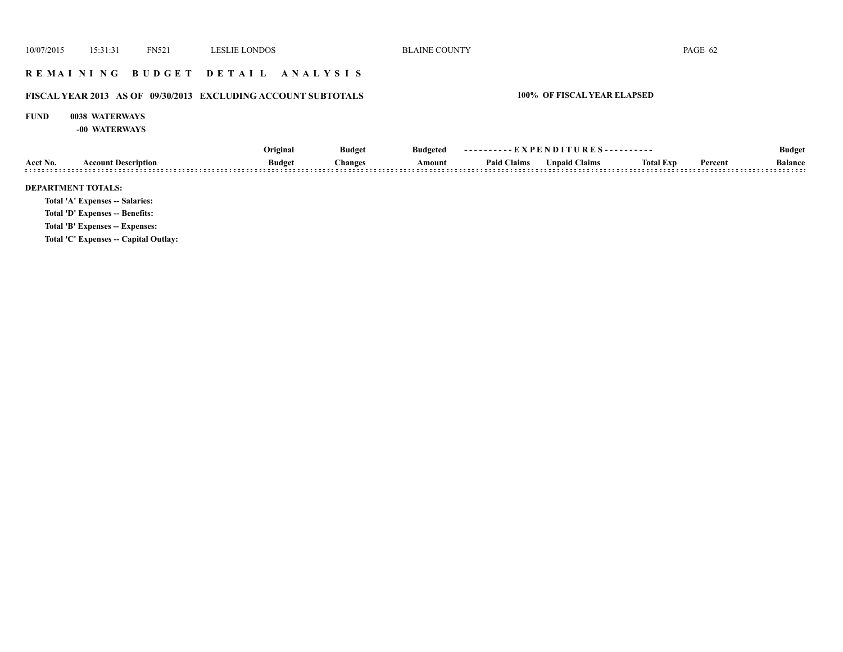## **R E M A I N I N G B U D G E T D E T A I L A N A L Y S I S**

# **FISCAL YEAR 2013 AS OF 09/30/2013 EXCLUDING ACCOUNT SUBTOTALS 100% OF FISCAL YEAR ELAPSED**

### **FUND 0038 WATERWAYS**

**-00 WATERWAYS**

|          |                                       | Original      | <b>Budget</b>  | Budgeted | ----------EXPENDITURES---------- |                      |                  |         | <b>Budget</b>  |
|----------|---------------------------------------|---------------|----------------|----------|----------------------------------|----------------------|------------------|---------|----------------|
| Acct No. | <b>Account Description</b>            | <b>Budget</b> | <b>Changes</b> | Amount   | <b>Paid Claims</b>               | <b>Unpaid Claims</b> | <b>Total Exp</b> | Percent | <b>Balance</b> |
|          | <b>DEPARTMENT TOTALS:</b>             |               |                |          |                                  |                      |                  |         |                |
|          | Total 'A' Expenses -- Salaries:       |               |                |          |                                  |                      |                  |         |                |
|          | Total 'D' Expenses -- Benefits:       |               |                |          |                                  |                      |                  |         |                |
|          | Total 'B' Expenses -- Expenses:       |               |                |          |                                  |                      |                  |         |                |
|          | Total 'C' Expenses -- Capital Outlay: |               |                |          |                                  |                      |                  |         |                |
|          |                                       |               |                |          |                                  |                      |                  |         |                |
|          |                                       |               |                |          |                                  |                      |                  |         |                |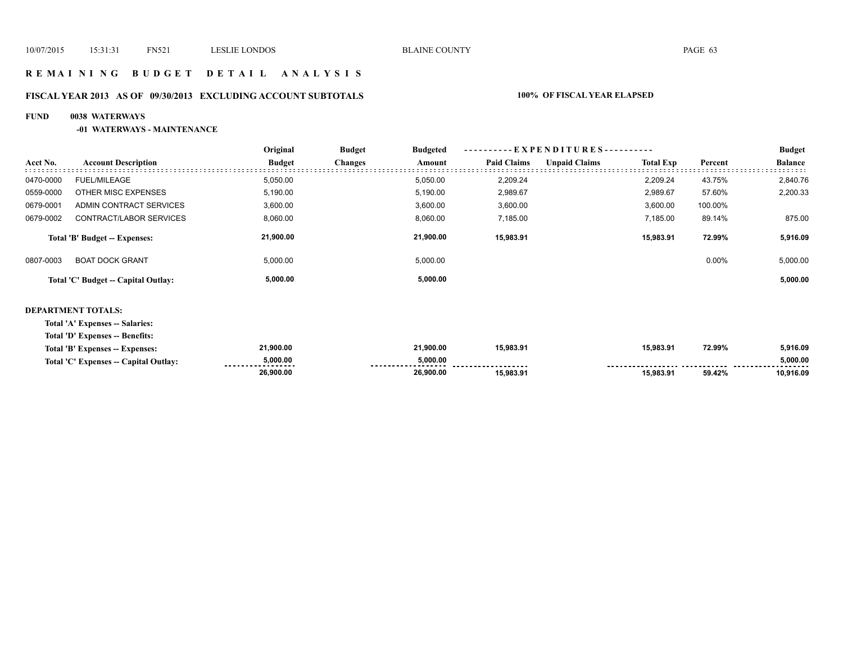## **R E M A I N I N G B U D G E T D E T A I L A N A L Y S I S**

# **FISCAL YEAR 2013 AS OF 09/30/2013 EXCLUDING ACCOUNT SUBTOTALS 100% OF FISCAL YEAR ELAPSED**

## **FUND 0038 WATERWAYS**

### **-01 WATERWAYS - MAINTENANCE**

|           |                                     | Original      | <b>Budget</b>  | <b>Budgeted</b> |                    | ----------EXPENDITURES---------- |                  |          | <b>Budget</b>  |
|-----------|-------------------------------------|---------------|----------------|-----------------|--------------------|----------------------------------|------------------|----------|----------------|
| Acct No.  | <b>Account Description</b>          | <b>Budget</b> | <b>Changes</b> | Amount          | <b>Paid Claims</b> | <b>Unpaid Claims</b>             | <b>Total Exp</b> | Percent  | <b>Balance</b> |
| 0470-0000 | <b>FUEL/MILEAGE</b>                 | 5,050.00      |                | 5,050.00        | 2,209.24           |                                  | 2.209.24         | 43.75%   | 2,840.76       |
| 0559-0000 | OTHER MISC EXPENSES                 | 5,190.00      |                | 5,190.00        | 2,989.67           |                                  | 2,989.67         | 57.60%   | 2,200.33       |
| 0679-0001 | ADMIN CONTRACT SERVICES             | 3,600.00      |                | 3,600.00        | 3,600.00           |                                  | 3,600.00         | 100.00%  |                |
| 0679-0002 | CONTRACT/LABOR SERVICES             | 8,060.00      |                | 8,060.00        | 7,185.00           |                                  | 7,185.00         | 89.14%   | 875.00         |
|           | Total 'B' Budget -- Expenses:       | 21,900.00     |                | 21.900.00       | 15,983.91          |                                  | 15,983.91        | 72.99%   | 5,916.09       |
| 0807-0003 | <b>BOAT DOCK GRANT</b>              | 5,000.00      |                | 5,000.00        |                    |                                  |                  | $0.00\%$ | 5,000.00       |
|           | Total 'C' Budget -- Capital Outlay: | 5,000.00      |                | 5,000.00        |                    |                                  |                  |          | 5,000.00       |

### **DEPARTMENT TOTALS:**

**Total 'A' Expenses -- Salaries:**

**Total 'D' Expenses -- Benefits:**

| <b>Total 'B' Expenses</b><br><b>Expenses:</b> | 21.900.00                      | 21.900.00     | 15.983.91            | 15,983.91                      | 72.99% | 5,916.09      |
|-----------------------------------------------|--------------------------------|---------------|----------------------|--------------------------------|--------|---------------|
| Total 'C' Expenses -- Capital Outlay:         | 5,000.00<br>------------------ | 5.000.00<br>. | -------------------- | ------------------------------ |        | 5,000.00<br>. |
|                                               | 26,900.00                      | 26,900.00     | 15,983.91            | 15.983.91                      | 59.42% | 916.09. ل     |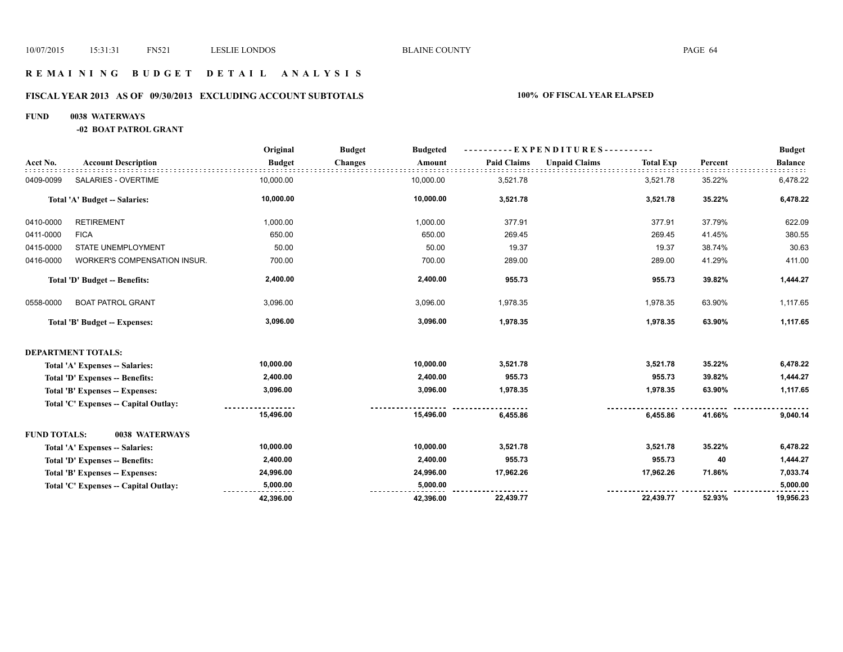## **R E M A I N I N G B U D G E T D E T A I L A N A L Y S I S**

## **FISCAL YEAR 2013 AS OF 09/30/2013 EXCLUDING ACCOUNT SUBTOTALS 100% OF FISCAL YEAR ELAPSED**

### **FUND 0038 WATERWAYS**

**-02 BOAT PATROL GRANT**

|                     |                                      | Original      | <b>Budget</b><br><b>Budgeted</b> |                    | ---------- EXPENDITURES----------        |         | <b>Budget</b>  |
|---------------------|--------------------------------------|---------------|----------------------------------|--------------------|------------------------------------------|---------|----------------|
| Acct No.            | <b>Account Description</b>           | <b>Budget</b> | <b>Changes</b><br>Amount         | <b>Paid Claims</b> | <b>Unpaid Claims</b><br><b>Total Exp</b> | Percent | <b>Balance</b> |
| 0409-0099           | SALARIES - OVERTIME                  | 10,000.00     | 10,000.00                        | 3,521.78           | 3,521.78                                 | 35.22%  | 6,478.22       |
|                     | Total 'A' Budget -- Salaries:        | 10,000.00     | 10,000.00                        | 3,521.78           | 3,521.78                                 | 35.22%  | 6,478.22       |
| 0410-0000           | <b>RETIREMENT</b>                    | 1,000.00      | 1,000.00                         | 377.91             | 377.91                                   | 37.79%  | 622.09         |
| 0411-0000           | <b>FICA</b>                          | 650.00        | 650.00                           | 269.45             | 269.45                                   | 41.45%  | 380.55         |
| 0415-0000           | STATE UNEMPLOYMENT                   | 50.00         | 50.00                            | 19.37              | 19.37                                    | 38.74%  | 30.63          |
| 0416-0000           | <b>WORKER'S COMPENSATION INSUR.</b>  | 700.00        | 700.00                           | 289.00             | 289.00                                   | 41.29%  | 411.00         |
|                     | Total 'D' Budget -- Benefits:        | 2,400.00      | 2,400.00                         | 955.73             | 955.73                                   | 39.82%  | 1,444.27       |
| 0558-0000           | <b>BOAT PATROL GRANT</b>             | 3,096.00      | 3,096.00                         | 1,978.35           | 1,978.35                                 | 63.90%  | 1,117.65       |
|                     | Total 'B' Budget -- Expenses:        | 3,096.00      | 3,096.00                         | 1,978.35           | 1,978.35                                 | 63.90%  | 1,117.65       |
|                     | <b>DEPARTMENT TOTALS:</b>            |               |                                  |                    |                                          |         |                |
|                     | Total 'A' Expenses -- Salaries:      | 10,000.00     | 10,000.00                        | 3,521.78           | 3,521.78                                 | 35.22%  | 6,478.22       |
|                     | Total 'D' Expenses -- Benefits:      | 2,400.00      | 2,400.00                         | 955.73             | 955.73                                   | 39.82%  | 1,444.27       |
|                     | Total 'B' Expenses -- Expenses:      | 3,096.00      | 3,096.00                         | 1,978.35           | 1,978.35                                 | 63.90%  | 1,117.65       |
|                     | Total 'C' Expenses - Capital Outlay: |               |                                  |                    |                                          |         |                |
|                     |                                      | 15,496.00     | 15,496.00                        | 6,455.86           | 6,455.86                                 | 41.66%  | 9,040.14       |
| <b>FUND TOTALS:</b> | 0038 WATERWAYS                       |               |                                  |                    |                                          |         |                |
|                     | Total 'A' Expenses -- Salaries:      | 10,000.00     | 10,000.00                        | 3,521.78           | 3,521.78                                 | 35.22%  | 6,478.22       |
|                     | Total 'D' Expenses -- Benefits:      | 2,400.00      | 2,400.00                         | 955.73             | 955.73                                   | 40      | 1,444.27       |
|                     | Total 'B' Expenses -- Expenses:      | 24,996.00     | 24,996.00                        | 17,962.26          | 17,962.26                                | 71.86%  | 7,033.74       |
|                     | Total 'C' Expenses - Capital Outlay: | 5,000.00      | 5,000.00                         |                    |                                          |         | 5,000.00       |
|                     |                                      | 42,396.00     | 42,396.00                        | 22,439.77          | 22,439.77                                | 52.93%  | 19,956.23      |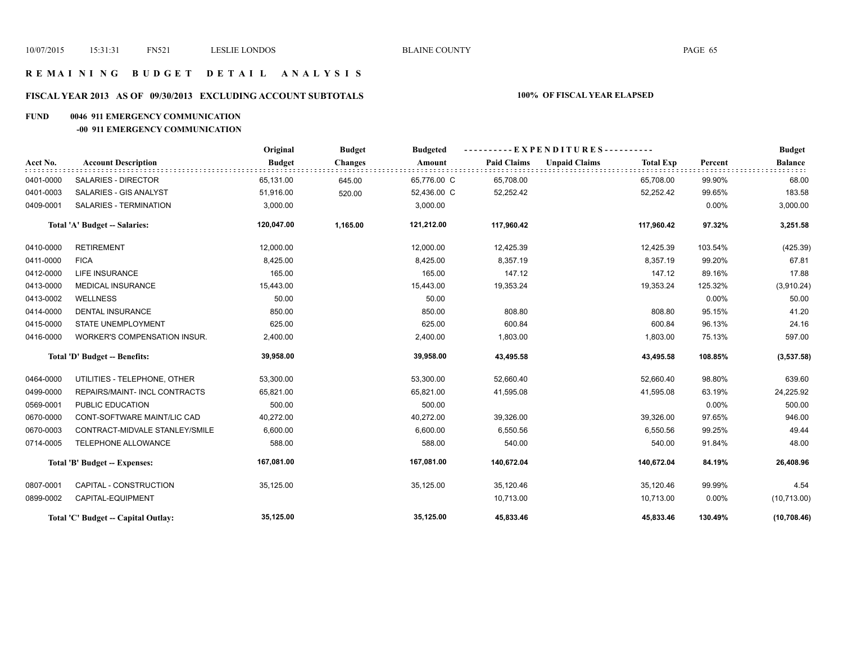# **R E M A I N I N G B U D G E T D E T A I L A N A L Y S I S**

# **FISCAL YEAR 2013 AS OF 09/30/2013 EXCLUDING ACCOUNT SUBTOTALS 100% OF FISCAL YEAR ELAPSED**

### **FUND 0046 911 EMERGENCY COMMUNICATION**

### **-00 911 EMERGENCY COMMUNICATION**

|           |                                      | Original      | <b>Budget</b>  | <b>Budgeted</b> | ----------EXPENDITURES---------- |                      |                  |          | <b>Budget</b>  |
|-----------|--------------------------------------|---------------|----------------|-----------------|----------------------------------|----------------------|------------------|----------|----------------|
| Acct No.  | <b>Account Description</b>           | <b>Budget</b> | <b>Changes</b> | Amount          | <b>Paid Claims</b>               | <b>Unpaid Claims</b> | <b>Total Exp</b> | Percent  | <b>Balance</b> |
| 0401-0000 | <b>SALARIES - DIRECTOR</b>           | 65,131.00     | 645.00         | 65,776.00 C     | 65,708.00                        |                      | 65,708.00        | 99.90%   | 68.00          |
| 0401-0003 | SALARIES - GIS ANALYST               | 51,916.00     | 520.00         | 52,436.00 C     | 52,252.42                        |                      | 52,252.42        | 99.65%   | 183.58         |
| 0409-0001 | SALARIES - TERMINATION               | 3,000.00      |                | 3,000.00        |                                  |                      |                  | $0.00\%$ | 3,000.00       |
|           | Total 'A' Budget -- Salaries:        | 120,047.00    | 1,165.00       | 121,212.00      | 117,960.42                       |                      | 117,960.42       | 97.32%   | 3,251.58       |
| 0410-0000 | <b>RETIREMENT</b>                    | 12,000.00     |                | 12,000.00       | 12,425.39                        |                      | 12,425.39        | 103.54%  | (425.39)       |
| 0411-0000 | <b>FICA</b>                          | 8,425.00      |                | 8,425.00        | 8,357.19                         |                      | 8,357.19         | 99.20%   | 67.81          |
| 0412-0000 | <b>LIFE INSURANCE</b>                | 165.00        |                | 165.00          | 147.12                           |                      | 147.12           | 89.16%   | 17.88          |
| 0413-0000 | <b>MEDICAL INSURANCE</b>             | 15,443.00     |                | 15,443.00       | 19,353.24                        |                      | 19,353.24        | 125.32%  | (3,910.24)     |
| 0413-0002 | <b>WELLNESS</b>                      | 50.00         |                | 50.00           |                                  |                      |                  | 0.00%    | 50.00          |
| 0414-0000 | <b>DENTAL INSURANCE</b>              | 850.00        |                | 850.00          | 808.80                           |                      | 808.80           | 95.15%   | 41.20          |
| 0415-0000 | STATE UNEMPLOYMENT                   | 625.00        |                | 625.00          | 600.84                           |                      | 600.84           | 96.13%   | 24.16          |
| 0416-0000 | WORKER'S COMPENSATION INSUR.         | 2,400.00      |                | 2,400.00        | 1,803.00                         |                      | 1,803.00         | 75.13%   | 597.00         |
|           | Total 'D' Budget -- Benefits:        | 39,958.00     |                | 39,958.00       | 43,495.58                        |                      | 43,495.58        | 108.85%  | (3,537.58)     |
| 0464-0000 | UTILITIES - TELEPHONE, OTHER         | 53,300.00     |                | 53,300.00       | 52,660.40                        |                      | 52,660.40        | 98.80%   | 639.60         |
| 0499-0000 | <b>REPAIRS/MAINT- INCL CONTRACTS</b> | 65,821.00     |                | 65,821.00       | 41,595.08                        |                      | 41,595.08        | 63.19%   | 24,225.92      |
| 0569-0001 | PUBLIC EDUCATION                     | 500.00        |                | 500.00          |                                  |                      |                  | $0.00\%$ | 500.00         |
| 0670-0000 | CONT-SOFTWARE MAINT/LIC CAD          | 40,272.00     |                | 40,272.00       | 39,326.00                        |                      | 39,326.00        | 97.65%   | 946.00         |
| 0670-0003 | CONTRACT-MIDVALE STANLEY/SMILE       | 6,600.00      |                | 6,600.00        | 6,550.56                         |                      | 6,550.56         | 99.25%   | 49.44          |
| 0714-0005 | TELEPHONE ALLOWANCE                  | 588.00        |                | 588.00          | 540.00                           |                      | 540.00           | 91.84%   | 48.00          |
|           | Total 'B' Budget -- Expenses:        | 167,081.00    |                | 167,081.00      | 140,672.04                       |                      | 140,672.04       | 84.19%   | 26,408.96      |
| 0807-0001 | CAPITAL - CONSTRUCTION               | 35,125.00     |                | 35,125.00       | 35,120.46                        |                      | 35,120.46        | 99.99%   | 4.54           |
| 0899-0002 | CAPITAL-EQUIPMENT                    |               |                |                 | 10,713.00                        |                      | 10,713.00        | 0.00%    | (10,713.00)    |
|           | Total 'C' Budget -- Capital Outlay:  | 35,125.00     |                | 35,125.00       | 45,833.46                        |                      | 45,833.46        | 130.49%  | (10, 708.46)   |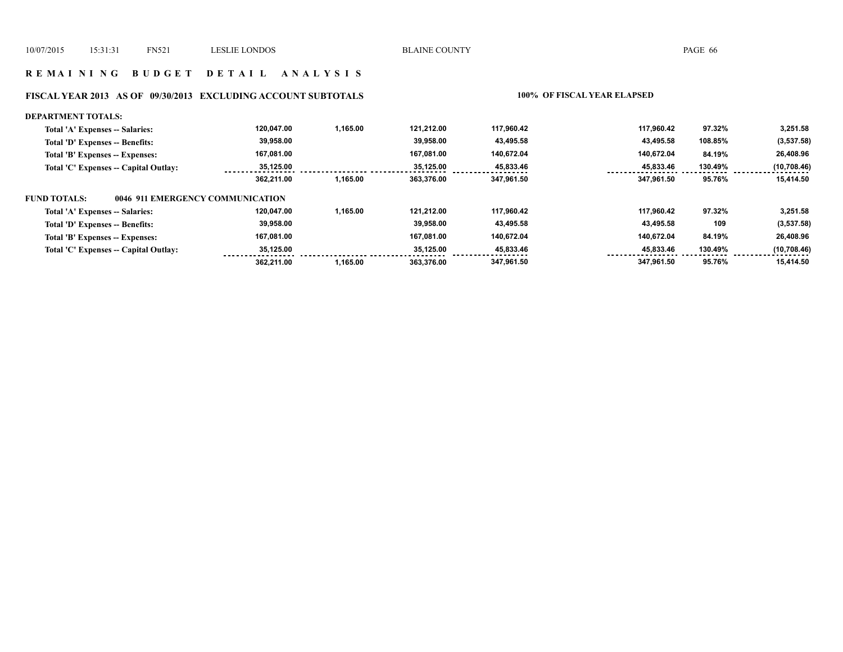## **R E M A I N I N G B U D G E T D E T A I L A N A L Y S I S**

# **FISCAL YEAR 2013 AS OF 09/30/2013 EXCLUDING ACCOUNT SUBTOTALS 100% OF FISCAL YEAR ELAPSED**

| <b>DEPARTMENT TOTALS:</b>                               |            |          |            |            |            |         |             |
|---------------------------------------------------------|------------|----------|------------|------------|------------|---------|-------------|
| Total 'A' Expenses -- Salaries:                         | 120.047.00 | 1.165.00 | 121.212.00 | 117.960.42 | 117.960.42 | 97.32%  | 3,251.58    |
| Total 'D' Expenses -- Benefits:                         | 39,958.00  |          | 39.958.00  | 43,495.58  | 43,495.58  | 108.85% | (3, 537.58) |
| Total 'B' Expenses -- Expenses:                         | 167,081.00 |          | 167.081.00 | 140.672.04 | 140.672.04 | 84.19%  | 26,408.96   |
| Total 'C' Expenses -- Capital Outlay:                   | 35,125.00  |          | 35.125.00  | 45,833.46  | 45,833.46  | 130.49% | (10,708.46) |
|                                                         | 362.211.00 | 1.165.00 | 363.376.00 | 347.961.50 | 347.961.50 | 95.76%  | 15.414.50   |
| 0046 911 EMERGENCY COMMUNICATION<br><b>FUND TOTALS:</b> |            |          |            |            |            |         |             |
| Total 'A' Expenses -- Salaries:                         | 120,047.00 | 1.165.00 | 121.212.00 | 117.960.42 | 117.960.42 | 97.32%  | 3,251.58    |
| Total 'D' Expenses -- Benefits:                         | 39,958.00  |          | 39.958.00  | 43,495.58  | 43,495.58  | 109     | (3, 537.58) |
| Total 'B' Expenses -- Expenses:                         | 167,081.00 |          | 167.081.00 | 140.672.04 | 140.672.04 | 84.19%  | 26,408.96   |
| Total 'C' Expenses -- Capital Outlay:                   | 35,125.00  |          | 35.125.00  | 45,833.46  | 45,833.46  | 130.49% | (10,708.46) |
|                                                         | 362.211.00 | 1,165.00 | 363.376.00 | 347.961.50 | 347.961.50 | 95.76%  | 15,414.50   |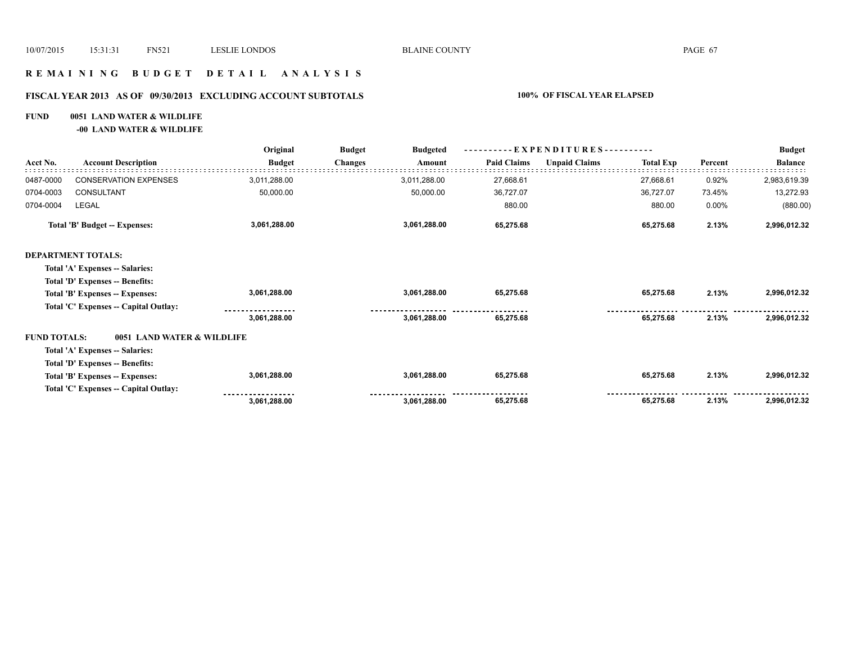## **R E M A I N I N G B U D G E T D E T A I L A N A L Y S I S**

# **FISCAL YEAR 2013 AS OF 09/30/2013 EXCLUDING ACCOUNT SUBTOTALS 100% OF FISCAL YEAR ELAPSED**

## **FUND 0051 LAND WATER & WILDLIFE**

**-00 LAND WATER & WILDLIFE**

|                     | <b>Account Description</b>            | Original      | <b>Budget</b><br><b>Budgeted</b> |                    | - EXPENDITURES---------- |                  |         |                |
|---------------------|---------------------------------------|---------------|----------------------------------|--------------------|--------------------------|------------------|---------|----------------|
| Acct No.            |                                       | <b>Budget</b> | <b>Changes</b><br>Amount         | <b>Paid Claims</b> | <b>Unpaid Claims</b>     | <b>Total Exp</b> | Percent | <b>Balance</b> |
| 0487-0000           | <b>CONSERVATION EXPENSES</b>          | 3,011,288.00  | 3,011,288.00                     | 27,668.61          |                          | 27,668.61        | 0.92%   | 2,983,619.39   |
| 0704-0003           | CONSULTANT                            | 50,000.00     | 50,000.00                        | 36,727.07          |                          | 36,727.07        | 73.45%  | 13,272.93      |
| 0704-0004           | LEGAL                                 |               |                                  | 880.00             |                          | 880.00           | 0.00%   | (880.00)       |
|                     | Total 'B' Budget -- Expenses:         | 3,061,288.00  | 3,061,288.00                     | 65,275.68          |                          | 65,275.68        | 2.13%   | 2,996,012.32   |
|                     | <b>DEPARTMENT TOTALS:</b>             |               |                                  |                    |                          |                  |         |                |
|                     | Total 'A' Expenses -- Salaries:       |               |                                  |                    |                          |                  |         |                |
|                     | Total 'D' Expenses -- Benefits:       |               |                                  |                    |                          |                  |         |                |
|                     | Total 'B' Expenses -- Expenses:       | 3,061,288.00  | 3,061,288.00                     | 65,275.68          |                          | 65,275.68        | 2.13%   | 2,996,012.32   |
|                     | Total 'C' Expenses -- Capital Outlay: |               |                                  |                    |                          |                  |         |                |
|                     |                                       | 3,061,288.00  | 3,061,288.00                     | 65,275.68          |                          | 65,275.68        | 2.13%   | 2,996,012.32   |
| <b>FUND TOTALS:</b> | 0051 LAND WATER & WILDLIFE            |               |                                  |                    |                          |                  |         |                |
|                     | Total 'A' Expenses -- Salaries:       |               |                                  |                    |                          |                  |         |                |
|                     | Total 'D' Expenses -- Benefits:       |               |                                  |                    |                          |                  |         |                |
|                     | Total 'B' Expenses -- Expenses:       | 3,061,288.00  | 3,061,288.00                     | 65,275.68          |                          | 65,275.68        | 2.13%   | 2,996,012.32   |
|                     | Total 'C' Expenses -- Capital Outlay: |               |                                  |                    |                          |                  |         |                |
|                     |                                       | 3,061,288.00  | 3,061,288.00                     | 65,275.68          |                          | 65,275.68        | 2.13%   | 2,996,012.32   |